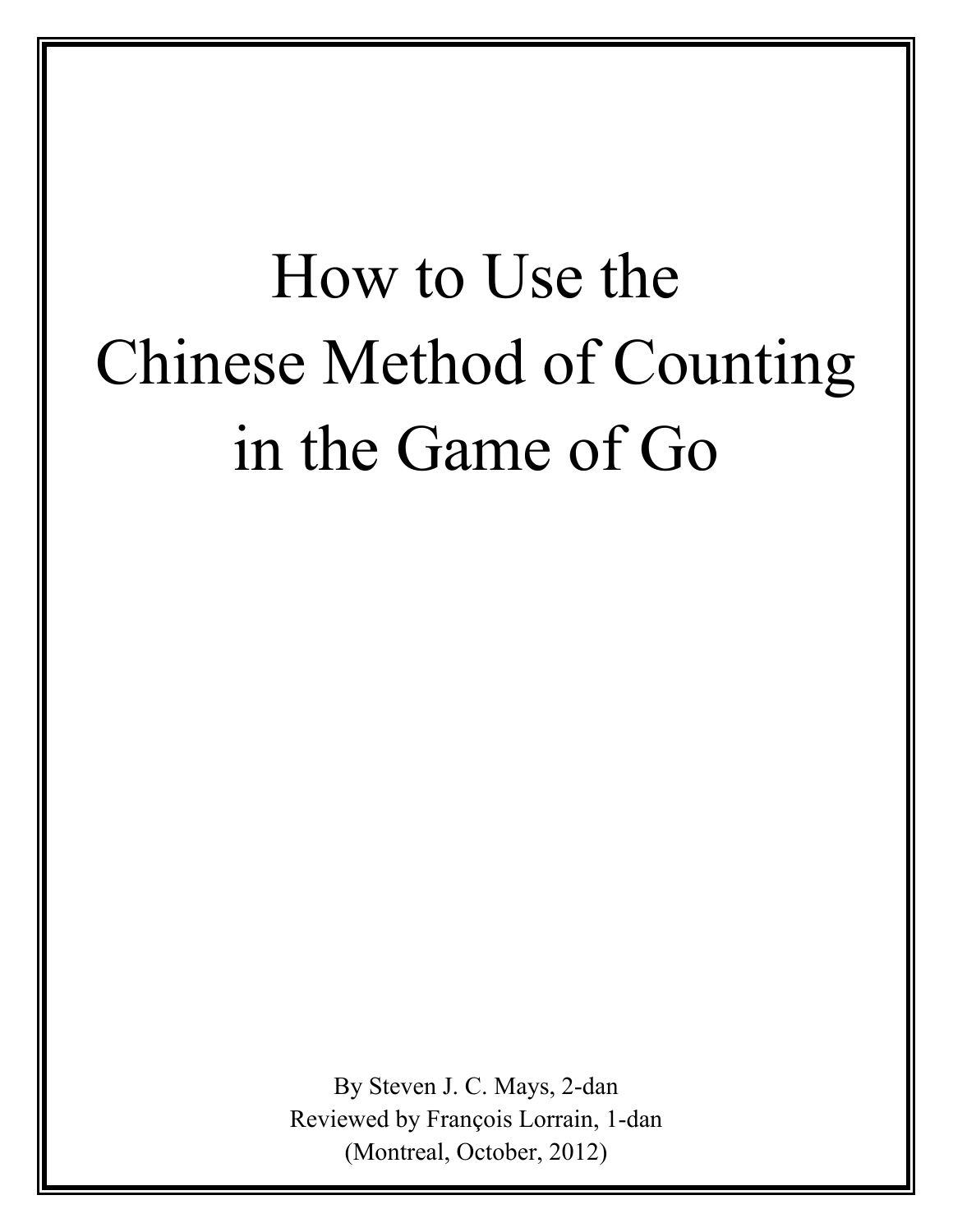# How to Use the Chinese Method of Counting in the Game of Go

By Steven J. C. Mays, 2-dan Reviewed by François Lorrain, 1-dan (Montreal, October, 2012)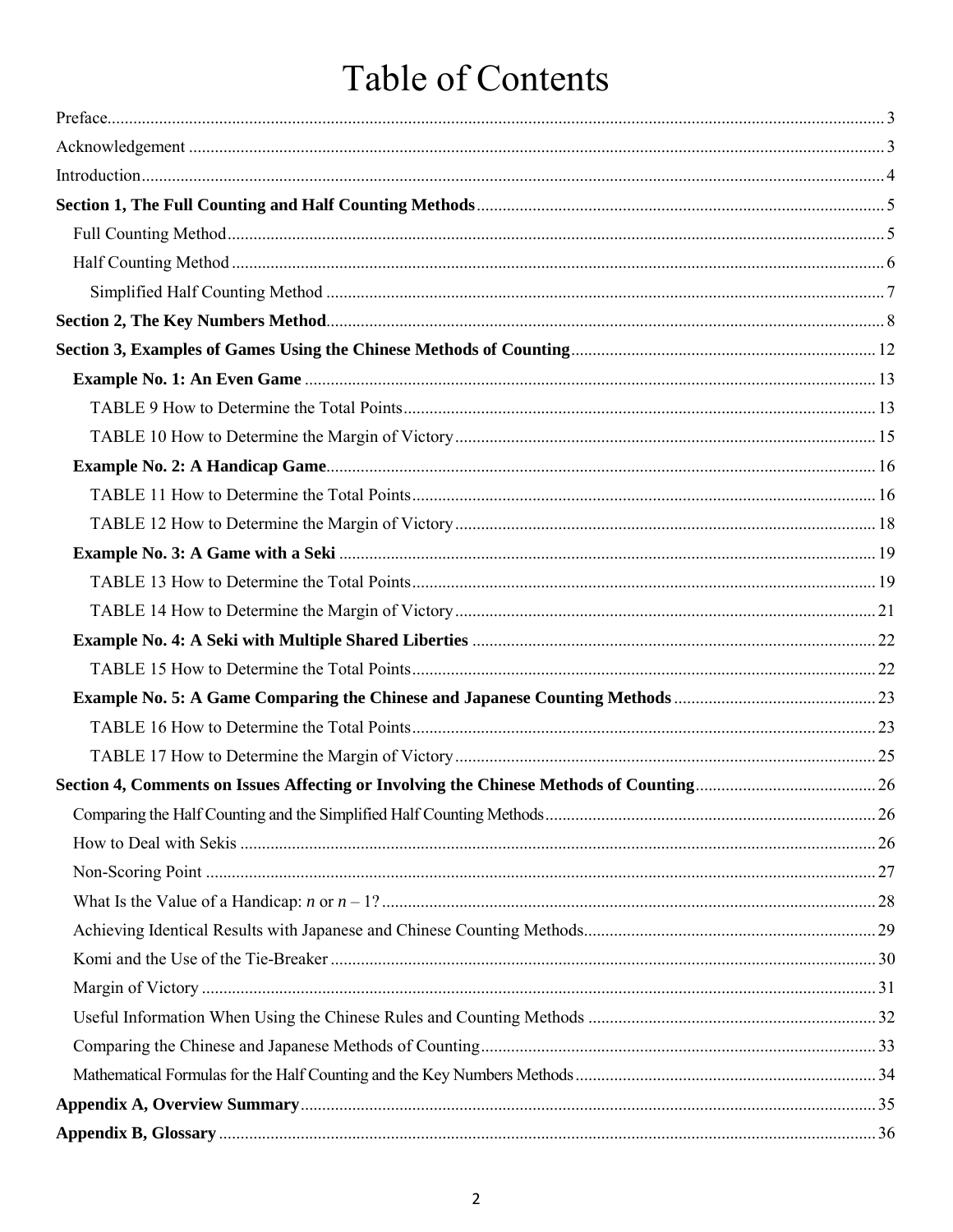# Table of Contents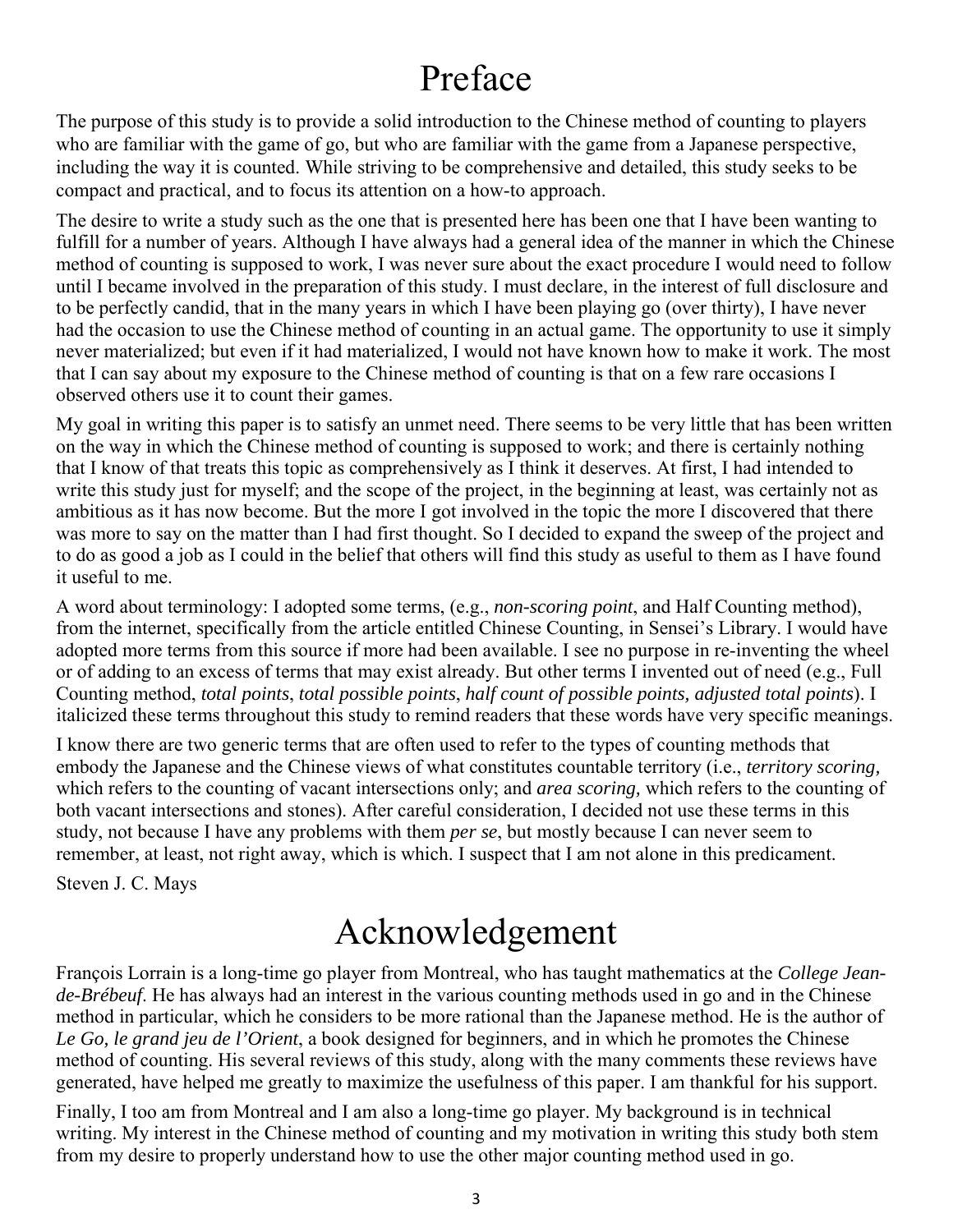# Preface

<span id="page-2-1"></span>The purpose of this study is to provide a solid introduction to the Chinese method of counting to players who are familiar with the game of go, but who are familiar with the game from a Japanese perspective, including the way it is counted. While striving to be comprehensive and detailed, this study seeks to be compact and practical, and to focus its attention on a how-to approach.

The desire to write a study such as the one that is presented here has been one that I have been wanting to fulfill for a number of years. Although I have always had a general idea of the manner in which the Chinese method of counting is supposed to work, I was never sure about the exact procedure I would need to follow until I became involved in the preparation of this study. I must declare, in the interest of full disclosure and to be perfectly candid, that in the many years in which I have been playing go (over thirty), I have never had the occasion to use the Chinese method of counting in an actual game. The opportunity to use it simply never materialized; but even if it had materialized, I would not have known how to make it work. The most that I can say about my exposure to the Chinese method of counting is that on a few rare occasions I observed others use it to count their games.

My goal in writing this paper is to satisfy an unmet need. There seems to be very little that has been written on the way in which the Chinese method of counting is supposed to work; and there is certainly nothing that I know of that treats this topic as comprehensively as I think it deserves. At first, I had intended to write this study just for myself; and the scope of the project, in the beginning at least, was certainly not as ambitious as it has now become. But the more I got involved in the topic the more I discovered that there was more to say on the matter than I had first thought. So I decided to expand the sweep of the project and to do as good a job as I could in the belief that others will find this study as useful to them as I have found it useful to me.

A word about terminology: I adopted some terms, (e.g., *non-scoring point*, and Half Counting method), from the internet, specifically from the article entitled Chinese Counting, in Sensei's Library. I would have adopted more terms from this source if more had been available. I see no purpose in re-inventing the wheel or of adding to an excess of terms that may exist already. But other terms I invented out of need (e.g., Full Counting method, *total points*, *total possible points*, *half count of possible points, adjusted total points*). I italicized these terms throughout this study to remind readers that these words have very specific meanings.

I know there are two generic terms that are often used to refer to the types of counting methods that embody the Japanese and the Chinese views of what constitutes countable territory (i.e., *territory scoring,* which refers to the counting of vacant intersections only; and *area scoring,* which refers to the counting of both vacant intersections and stones). After careful consideration, I decided not use these terms in this study, not because I have any problems with them *per se*, but mostly because I can never seem to remember, at least, not right away, which is which. I suspect that I am not alone in this predicament.

<span id="page-2-0"></span>Steven J. C. Mays

# Acknowledgement

François Lorrain is a long-time go player from Montreal, who has taught mathematics at the *College Jeande-Brébeuf*. He has always had an interest in the various counting methods used in go and in the Chinese method in particular, which he considers to be more rational than the Japanese method. He is the author of *Le Go, le grand jeu de l'Orient*, a book designed for beginners, and in which he promotes the Chinese method of counting. His several reviews of this study, along with the many comments these reviews have generated, have helped me greatly to maximize the usefulness of this paper. I am thankful for his support.

Finally, I too am from Montreal and I am also a long-time go player. My background is in technical writing. My interest in the Chinese method of counting and my motivation in writing this study both stem from my desire to properly understand how to use the other major counting method used in go.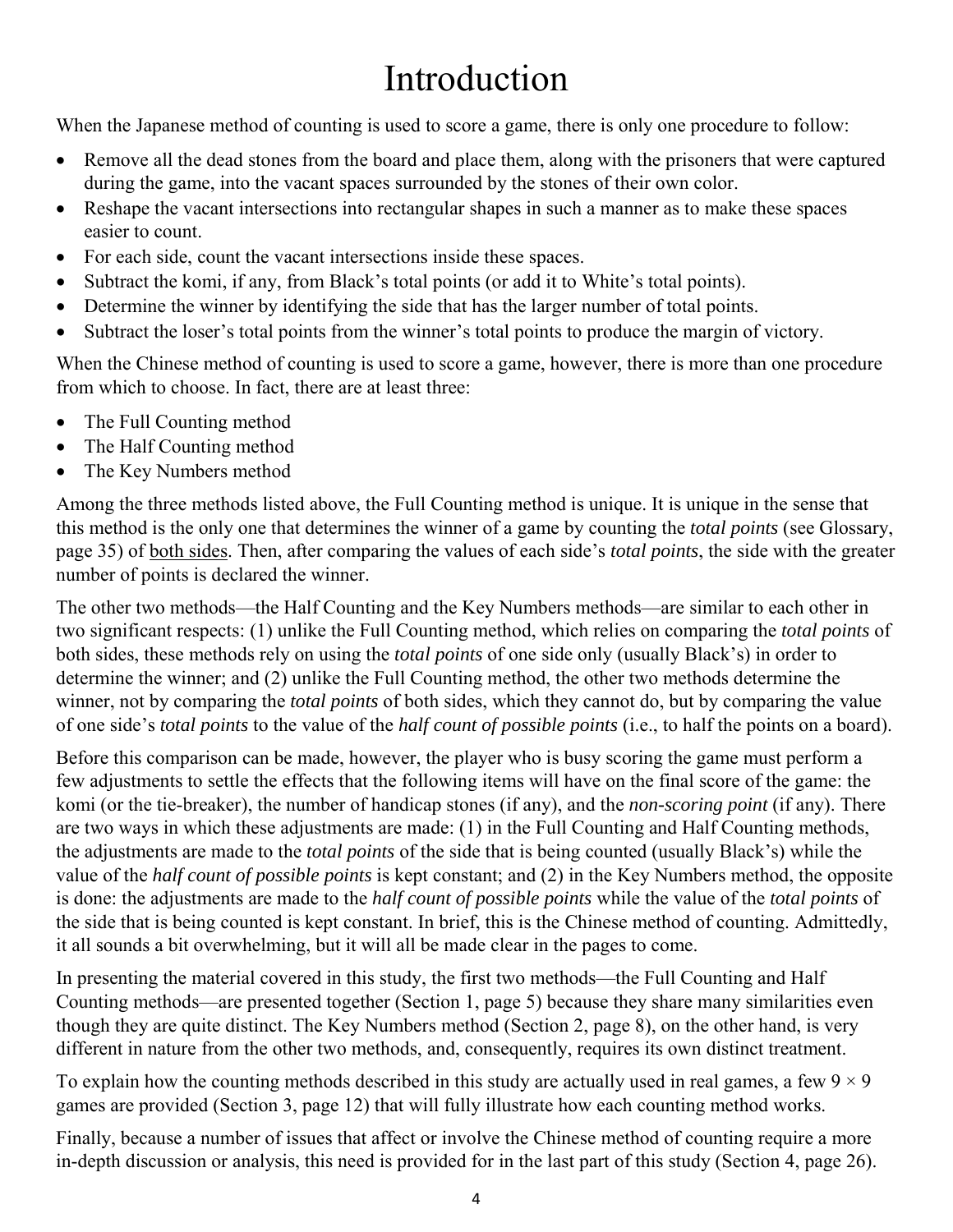# Introduction

<span id="page-3-0"></span>When the Japanese method of counting is used to score a game, there is only one procedure to follow:

- Remove all the dead stones from the board and place them, along with the prisoners that were captured during the game, into the vacant spaces surrounded by the stones of their own color.
- Reshape the vacant intersections into rectangular shapes in such a manner as to make these spaces easier to count.
- For each side, count the vacant intersections inside these spaces.
- Subtract the komi, if any, from Black's total points (or add it to White's total points).
- Determine the winner by identifying the side that has the larger number of total points.
- Subtract the loser's total points from the winner's total points to produce the margin of victory.

When the Chinese method of counting is used to score a game, however, there is more than one procedure from which to choose. In fact, there are at least three:

- The Full Counting method
- The Half Counting method
- The Key Numbers method

Among the three methods listed above, the Full Counting method is unique. It is unique in the sense that this method is the only one that determines the winner of a game by counting the *total points* (see [Glossary,](#page-35-0) [page 35\)](#page-35-1) of both sides. Then, after comparing the values of each side's *total points*, the side with the greater number of points is declared the winner.

The other two methods—the Half Counting and the Key Numbers methods—are similar to each other in two significant respects: (1) unlike the Full Counting method, which relies on comparing the *total points* of both sides, these methods rely on using the *total points* of one side only (usually Black's) in order to determine the winner; and (2) unlike the Full Counting method, the other two methods determine the winner, not by comparing the *total points* of both sides, which they cannot do, but by comparing the value of one side's *total points* to the value of the *half count of possible points* (i.e., to half the points on a board).

Before this comparison can be made, however, the player who is busy scoring the game must perform a few adjustments to settle the effects that the following items will have on the final score of the game: the komi (or the tie-breaker), the number of handicap stones (if any), and the *non-scoring point* (if any). There are two ways in which these adjustments are made: (1) in the Full Counting and Half Counting methods, the adjustments are made to the *total points* of the side that is being counted (usually Black's) while the value of the *half count of possible points* is kept constant; and (2) in the Key Numbers method, the opposite is done: the adjustments are made to the *half count of possible points* while the value of the *total points* of the side that is being counted is kept constant. In brief, this is the Chinese method of counting. Admittedly, it all sounds a bit overwhelming, but it will all be made clear in the pages to come.

In presenting the material covered in this study, the first two methods—the Full Counting and Half Counting methods—are presented together [\(Section 1, page 5\)](#page-4-2) because they share many similarities even though they are quite distinct. The Key Numbers method [\(Section 2, page 8\)](#page-7-1), on the other hand, is very different in nature from the other two methods, and, consequently, requires its own distinct treatment.

To explain how the counting methods described in this study are actually used in real games, a few  $9 \times 9$ games are provided [\(Section 3, page 12\)](#page-11-1) that will fully illustrate how each counting method works.

Finally, because a number of issues that affect or involve the Chinese method of counting require a more in-depth discussion or analysis, this need is provided for in the last part of this study [\(Section 4, page 26\)](#page-25-3).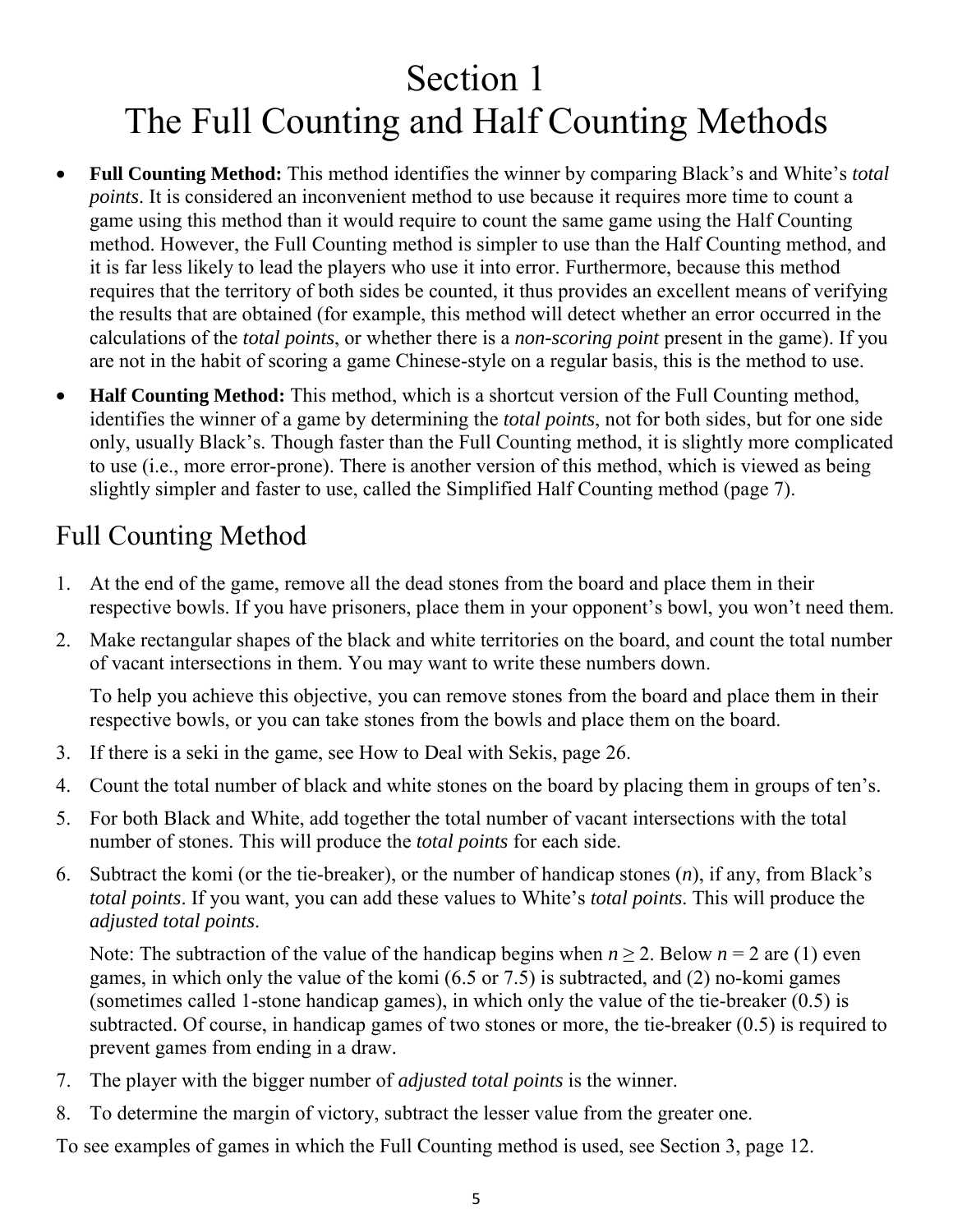# <span id="page-4-2"></span><span id="page-4-0"></span>Section 1 The Full Counting and Half Counting Methods

- **Full Counting Method:** This method identifies the winner by comparing Black's and White's *total points*. It is considered an inconvenient method to use because it requires more time to count a game using this method than it would require to count the same game using the Half Counting method. However, the Full Counting method is simpler to use than the Half Counting method, and it is far less likely to lead the players who use it into error. Furthermore, because this method requires that the territory of both sides be counted, it thus provides an excellent means of verifying the results that are obtained (for example, this method will detect whether an error occurred in the calculations of the *total points*, or whether there is a *non-scoring point* present in the game). If you are not in the habit of scoring a game Chinese-style on a regular basis, this is the method to use.
- **Half Counting Method:** This method, which is a shortcut version of the Full Counting method, identifies the winner of a game by determining the *total points*, not for both sides, but for one side only, usually Black's. Though faster than the Full Counting method, it is slightly more complicated to use (i.e., more error-prone). There is another version of this method, which is viewed as being slightly simpler and faster to use, called the [Simplified Half Counting method \(page 7\).](#page-6-1)

# <span id="page-4-1"></span>Full Counting Method

- 1. At the end of the game, remove all the dead stones from the board and place them in their respective bowls. If you have prisoners, place them in your opponent's bowl, you won't need them.
- 2. Make rectangular shapes of the black and white territories on the board, and count the total number of vacant intersections in them. You may want to write these numbers down.

To help you achieve this objective, you can remove stones from the board and place them in their respective bowls, or you can take stones from the bowls and place them on the board.

- 3. If there is a seki in the game, see [How to Deal with Sekis, page 26.](#page-25-3)
- 4. Count the total number of black and white stones on the board by placing them in groups of ten's.
- 5. For both Black and White, add together the total number of vacant intersections with the total number of stones. This will produce the *total points* for each side.
- 6. Subtract the komi (or the tie-breaker), or the number of handicap stones (*n*), if any, from Black's *total points*. If you want, you can add these values to White's *total points*. This will produce the *adjusted total points*.

Note: The subtraction of the value of the handicap begins when  $n \ge 2$ . Below  $n = 2$  are (1) even games, in which only the value of the komi (6.5 or 7.5) is subtracted, and (2) no-komi games (sometimes called 1-stone handicap games), in which only the value of the tie-breaker (0.5) is subtracted. Of course, in handicap games of two stones or more, the tie-breaker (0.5) is required to prevent games from ending in a draw.

- 7. The player with the bigger number of *adjusted total points* is the winner.
- 8. To determine the margin of victory, subtract the lesser value from the greater one.

To see examples of games in which the Full Counting method is used, [see Section 3, page 12.](#page-11-1)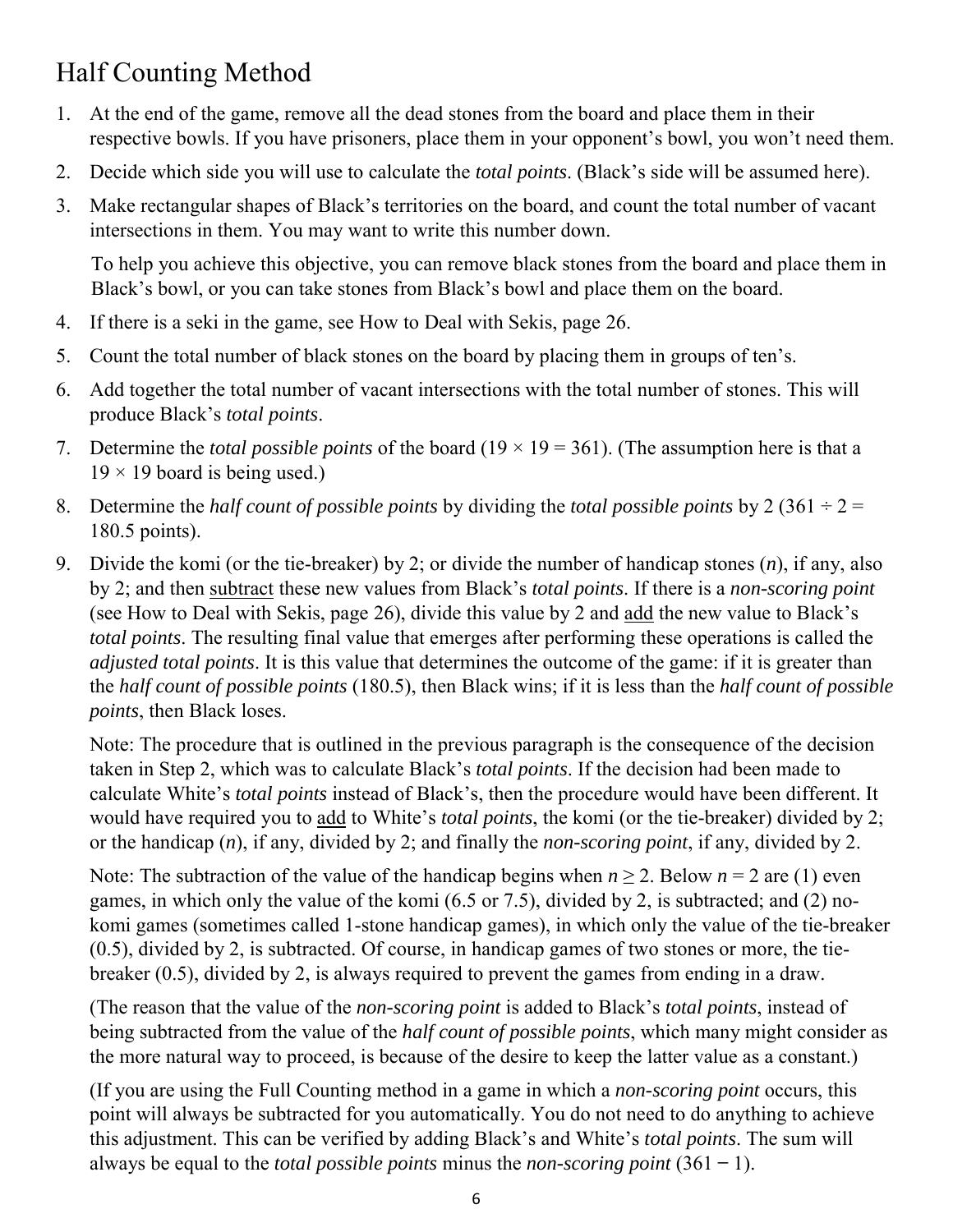# <span id="page-5-0"></span>Half Counting Method

- 1. At the end of the game, remove all the dead stones from the board and place them in their respective bowls. If you have prisoners, place them in your opponent's bowl, you won't need them.
- 2. Decide which side you will use to calculate the *total points*. (Black's side will be assumed here).
- 3. Make rectangular shapes of Black's territories on the board, and count the total number of vacant intersections in them. You may want to write this number down.

To help you achieve this objective, you can remove black stones from the board and place them in Black's bowl, or you can take stones from Black's bowl and place them on the board.

- 4. If there is a seki in the game, se[e How to Deal with Sekis, page 26.](#page-25-3)
- 5. Count the total number of black stones on the board by placing them in groups of ten's.
- 6. Add together the total number of vacant intersections with the total number of stones. This will produce Black's *total points*.
- 7. Determine the *total possible points* of the board  $(19 \times 19 = 361)$ . (The assumption here is that a  $19 \times 19$  board is being used.)
- 8. Determine the *half count of possible points* by dividing the *total possible points* by 2 (361  $\div$  2 = 180.5 points).
- 9. Divide the komi (or the tie-breaker) by 2; or divide the number of handicap stones (*n*), if any, also by 2; and then subtract these new values from Black's *total points*. If there is a *non-scoring point* (see [How to Deal with Sekis, page 26\),](#page-25-3) divide this value by 2 and add the new value to Black's *total points*. The resulting final value that emerges after performing these operations is called the *adjusted total points*. It is this value that determines the outcome of the game: if it is greater than the *half count of possible points* (180.5), then Black wins; if it is less than the *half count of possible points*, then Black loses.

Note: The procedure that is outlined in the previous paragraph is the consequence of the decision taken in Step 2, which was to calculate Black's *total points*. If the decision had been made to calculate White's *total points* instead of Black's, then the procedure would have been different. It would have required you to add to White's *total points*, the komi (or the tie-breaker) divided by 2; or the handicap (*n*), if any, divided by 2; and finally the *non-scoring point*, if any, divided by 2.

Note: The subtraction of the value of the handicap begins when  $n > 2$ . Below  $n = 2$  are (1) even games, in which only the value of the komi (6.5 or 7.5), divided by 2, is subtracted; and (2) nokomi games (sometimes called 1-stone handicap games), in which only the value of the tie-breaker (0.5), divided by 2, is subtracted. Of course, in handicap games of two stones or more, the tiebreaker (0.5), divided by 2, is always required to prevent the games from ending in a draw.

(The reason that the value of the *non-scoring point* is added to Black's *total points*, instead of being subtracted from the value of the *half count of possible points*, which many might consider as the more natural way to proceed, is because of the desire to keep the latter value as a constant.)

(If you are using the Full Counting method in a game in which a *non-scoring point* occurs, this point will always be subtracted for you automatically. You do not need to do anything to achieve this adjustment. This can be verified by adding Black's and White's *total points*. The sum will always be equal to the *total possible points* minus the *non-scoring point*  $(361 - 1)$ .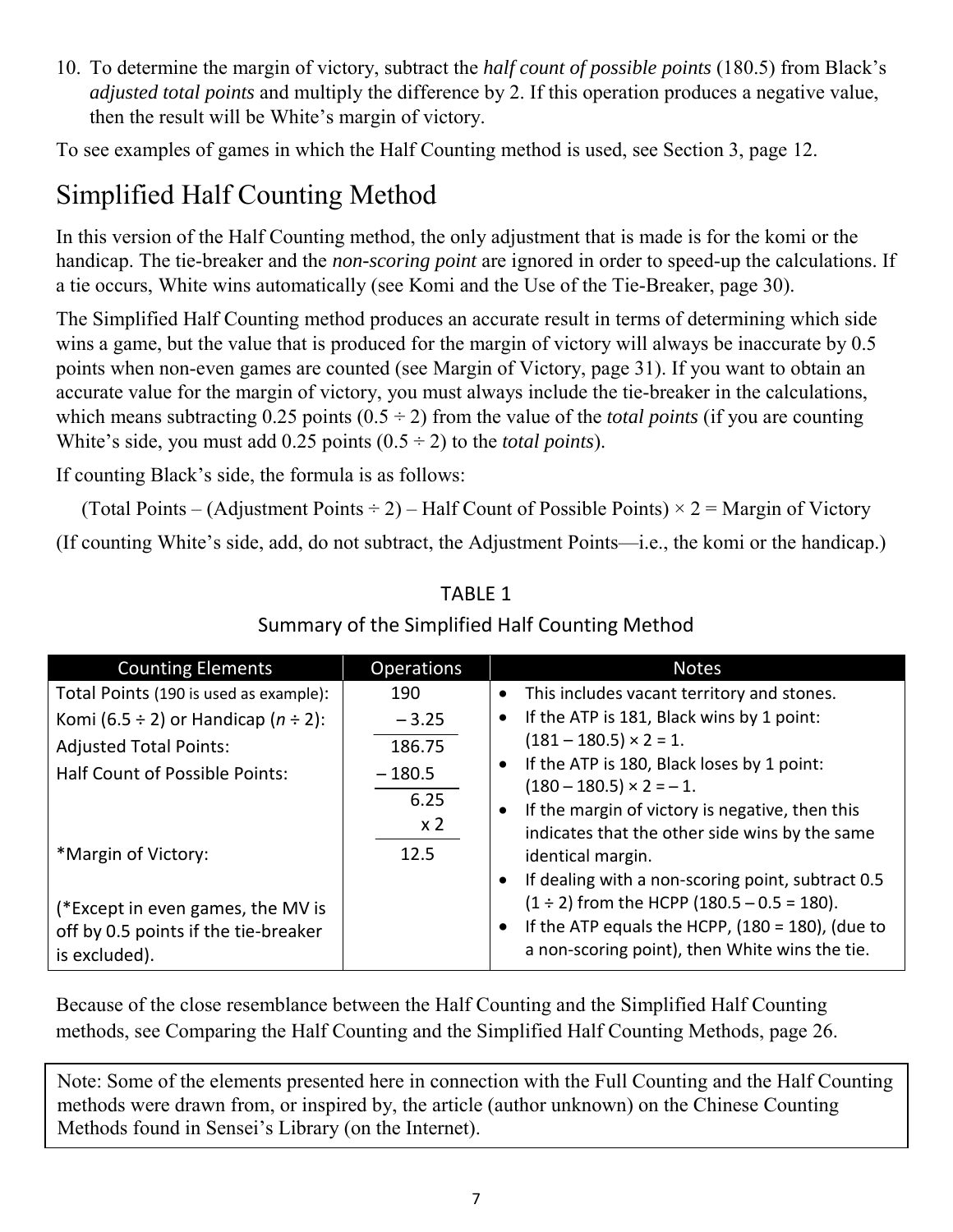<span id="page-6-1"></span>10. To determine the margin of victory, subtract the *half count of possible points* (180.5) from Black's *adjusted total points* and multiply the difference by 2. If this operation produces a negative value, then the result will be White's margin of victory.

To see examples of games in which the Half Counting method is used, [see Section 3, page 12.](#page-11-1) 

# <span id="page-6-0"></span>Simplified Half Counting Method

In this version of the Half Counting method, the only adjustment that is made is for the komi or the handicap. The tie-breaker and the *non-scoring point* are ignored in order to speed-up the calculations. If a tie occurs, White wins automatically (see [Komi and the Use of the Tie-Breaker, page 30\).](#page-29-1)

The Simplified Half Counting method produces an accurate result in terms of determining which side wins a game, but the value that is produced for the margin of victory will always be inaccurate by 0.5 points when non-even games are counted (see [Margin of Victory, page 31\)](#page-30-1). If you want to obtain an accurate value for the margin of victory, you must always include the tie-breaker in the calculations, which means subtracting  $0.25$  points  $(0.5 \div 2)$  from the value of the *total points* (if you are counting White's side, you must add  $0.25$  points  $(0.5 \div 2)$  to the *total points*).

If counting Black's side, the formula is as follows:

(Total Points – (Adjustment Points  $\div$  2) – Half Count of Possible Points)  $\times$  2 = Margin of Victory (If counting White's side, add, do not subtract, the Adjustment Points—i.e., the komi or the handicap.)

| <b>Counting Elements</b>                                                                   | <b>Operations</b>                  | <b>Notes</b>                                                                                                                                                                      |
|--------------------------------------------------------------------------------------------|------------------------------------|-----------------------------------------------------------------------------------------------------------------------------------------------------------------------------------|
| Total Points (190 is used as example):                                                     | 190                                | This includes vacant territory and stones.                                                                                                                                        |
| Komi (6.5 ÷ 2) or Handicap ( $n \div 2$ ):                                                 | $-3.25$                            | If the ATP is 181, Black wins by 1 point:                                                                                                                                         |
| <b>Adjusted Total Points:</b>                                                              | 186.75                             | $(181 - 180.5) \times 2 = 1.$                                                                                                                                                     |
| <b>Half Count of Possible Points:</b>                                                      | $-180.5$<br>6.25<br>x <sub>2</sub> | If the ATP is 180, Black loses by 1 point:<br>$(180 - 180.5) \times 2 = -1.$<br>If the margin of victory is negative, then this<br>indicates that the other side wins by the same |
| *Margin of Victory:                                                                        | 12.5                               | identical margin.<br>If dealing with a non-scoring point, subtract 0.5                                                                                                            |
| (*Except in even games, the MV is<br>off by 0.5 points if the tie-breaker<br>is excluded). |                                    | $(1 \div 2)$ from the HCPP $(180.5 - 0.5 = 180)$ .<br>If the ATP equals the HCPP, $(180 = 180)$ , (due to<br>a non-scoring point), then White wins the tie.                       |

#### TABLE 1 Summary of the Simplified Half Counting Method

Because of the close resemblance between the Half Counting and the Simplified Half Counting methods, see [Comparing the Half Counting and the Simplified Half Counting Methods, page 26.](#page-25-3) 

Note: Some of the elements presented here in connection with the Full Counting and the Half Counting methods were drawn from, or inspired by, the article (author unknown) on the Chinese Counting Methods found in Sensei's Library (on the Internet).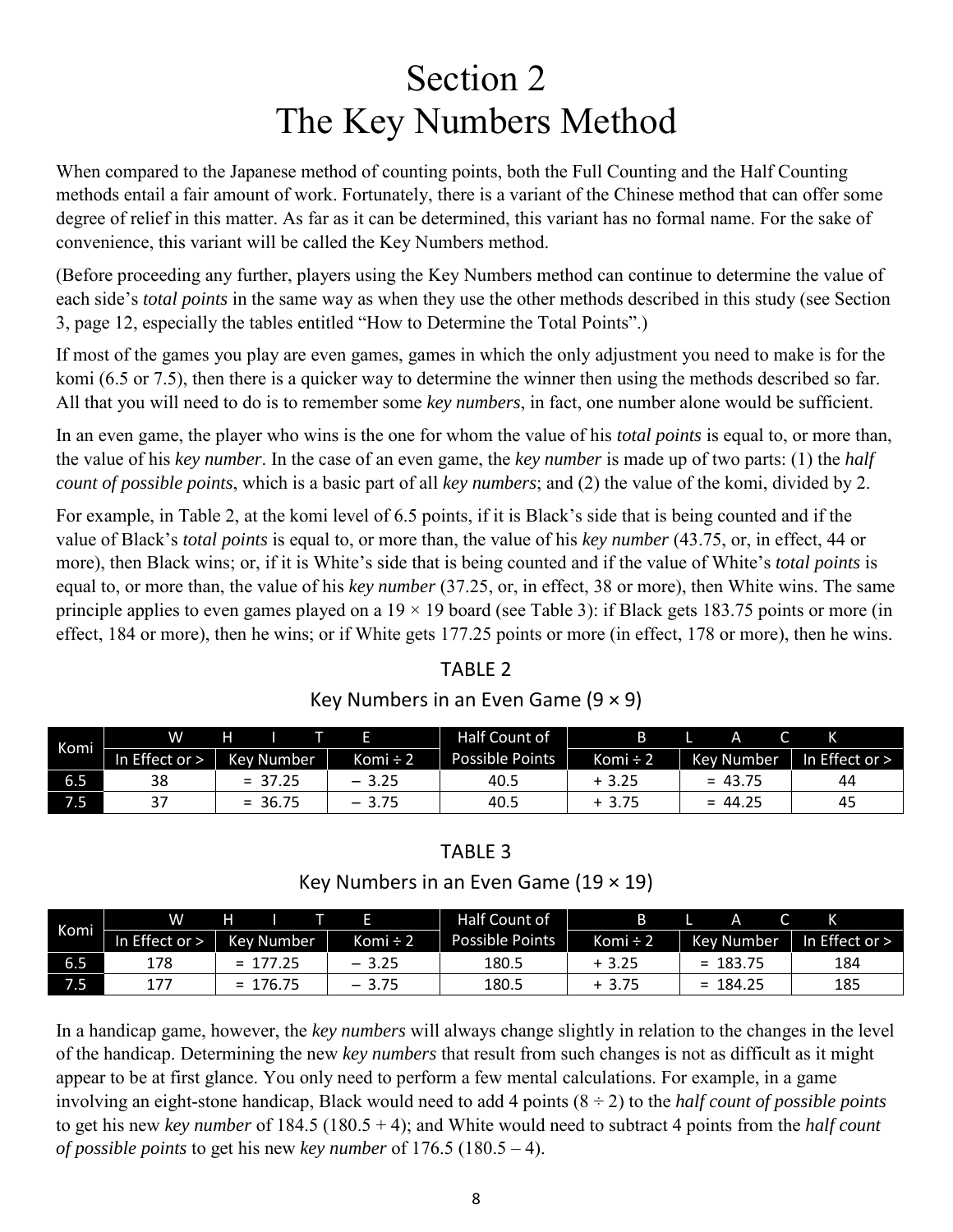# Section 2 The Key Numbers Method

<span id="page-7-1"></span><span id="page-7-0"></span>When compared to the Japanese method of counting points, both the Full Counting and the Half Counting methods entail a fair amount of work. Fortunately, there is a variant of the Chinese method that can offer some degree of relief in this matter. As far as it can be determined, this variant has no formal name. For the sake of convenience, this variant will be called the Key Numbers method.

(Before proceeding any further, players using the Key Numbers method can continue to determine the value of each side's *total points* in the same way as when they use the other methods described in this study (see [Section](#page-11-1)  [3, page 12,](#page-11-1) especially the tables entitled "How to Determine the Total Points".)

If most of the games you play are even games, games in which the only adjustment you need to make is for the komi (6.5 or 7.5), then there is a quicker way to determine the winner then using the methods described so far. All that you will need to do is to remember some *key numbers*, in fact, one number alone would be sufficient.

In an even game, the player who wins is the one for whom the value of his *total points* is equal to, or more than, the value of his *key number*. In the case of an even game, the *key number* is made up of two parts: (1) the *half count of possible points*, which is a basic part of all *key numbers*; and (2) the value of the komi, divided by 2.

For example, in Table 2, at the komi level of 6.5 points, if it is Black's side that is being counted and if the value of Black's *total points* is equal to, or more than, the value of his *key number* (43.75, or, in effect, 44 or more), then Black wins; or, if it is White's side that is being counted and if the value of White's *total points* is equal to, or more than, the value of his *key number* (37.25, or, in effect, 38 or more), then White wins. The same principle applies to even games played on a  $19 \times 19$  board (see Table 3): if Black gets 183.75 points or more (in effect, 184 or more), then he wins; or if White gets 177.25 points or more (in effect, 178 or more), then he wins.

#### TABLE 2 Key Numbers in an Even Game  $(9 \times 9)$

| Komi | W              | н                 |          | Half Count of          |               | Α          |                  |
|------|----------------|-------------------|----------|------------------------|---------------|------------|------------------|
|      | In Effect or > | <b>Key Number</b> | Komi ÷ 2 | <b>Possible Points</b> | Komi $\div$ 2 | Kev Number | In Effect or $>$ |
| 6.5  | 38             | $= 37.25$         | $-3.25$  | 40.5                   | $+3.25$       | $= 43.75$  | 44               |
| 7.5' |                | $= 36.75$         | $-3.75$  | 40.5                   | $+3.75$       | $= 44.25$  | 45               |

#### TABLE 3

#### Key Numbers in an Even Game  $(19 \times 19)$

| Komi | w              | н          |          | Half Count of          |               | А          |                |
|------|----------------|------------|----------|------------------------|---------------|------------|----------------|
|      | In Effect or > | Key Number | Komi ÷ 2 | <b>Possible Points</b> | Komi $\div$ 2 | Kev Number | In Effect or > |
| 6.5  | 178            | $= 177.25$ | $-3.25$  | 180.5                  | $+3.25$       | $= 183.75$ | 184            |
| 7.5  | 177            | 176.75     | $-3.75$  | 180.5                  | $+3.75$       | $= 184.25$ | 185            |

In a handicap game, however, the *key numbers* will always change slightly in relation to the changes in the level of the handicap. Determining the new *key numbers* that result from such changes is not as difficult as it might appear to be at first glance. You only need to perform a few mental calculations. For example, in a game involving an eight-stone handicap, Black would need to add 4 points (8 ÷ 2) to the *half count of possible points* to get his new *key number* of 184.5 (180.5 + 4); and White would need to subtract 4 points from the *half count of possible points* to get his new *key number* of 176.5 (180.5 – 4).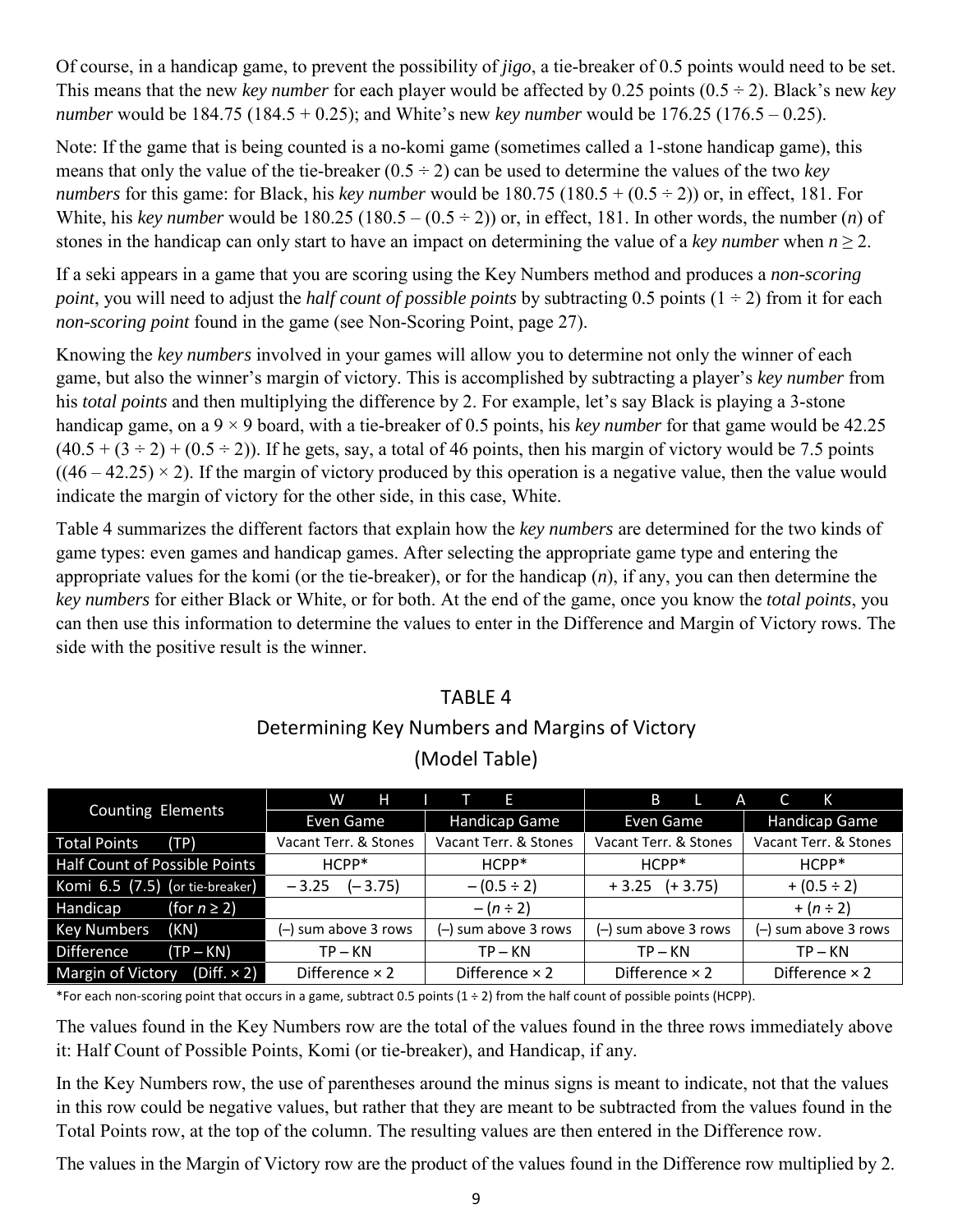Of course, in a handicap game, to prevent the possibility of *jigo*, a tie-breaker of 0.5 points would need to be set. This means that the new *key number* for each player would be affected by 0.25 points  $(0.5 \div 2)$ . Black's new *key number* would be 184.75 (184.5 + 0.25); and White's new *key number* would be 176.25 (176.5 – 0.25).

Note: If the game that is being counted is a no-komi game (sometimes called a 1-stone handicap game), this means that only the value of the tie-breaker  $(0.5 \div 2)$  can be used to determine the values of the two *key numbers* for this game: for Black, his *key number* would be  $180.75 (180.5 + (0.5 \div 2))$  or, in effect, 181. For White, his *key number* would be  $180.25 (180.5 - (0.5 \div 2))$  or, in effect, 181. In other words, the number (*n*) of stones in the handicap can only start to have an impact on determining the value of a *key number* when  $n \ge 2$ .

If a seki appears in a game that you are scoring using the Key Numbers method and produces a *non-scoring point*, you will need to adjust the *half count of possible points* by subtracting 0.5 points  $(1 \div 2)$  from it for each *non-scoring point* found in the game (see [Non-Scoring Point, page 27\).](#page-26-1)

Knowing the *key numbers* involved in your games will allow you to determine not only the winner of each game, but also the winner's margin of victory. This is accomplished by subtracting a player's *key number* from his *total points* and then multiplying the difference by 2. For example, let's say Black is playing a 3-stone handicap game, on a 9 × 9 board, with a tie-breaker of 0.5 points, his *key number* for that game would be 42.25  $(40.5 + (3 \div 2) + (0.5 \div 2))$ . If he gets, say, a total of 46 points, then his margin of victory would be 7.5 points  $((46 – 42.25) \times 2)$ . If the margin of victory produced by this operation is a negative value, then the value would indicate the margin of victory for the other side, in this case, White.

Table 4 summarizes the different factors that explain how the *key numbers* are determined for the two kinds of game types: even games and handicap games. After selecting the appropriate game type and entering the appropriate values for the komi (or the tie-breaker), or for the handicap (*n*), if any, you can then determine the *key numbers* for either Black or White, or for both. At the end of the game, once you know the *total points*, you can then use this information to determine the values to enter in the Difference and Margin of Victory rows. The side with the positive result is the winner.

#### TABLE 4 Determining Key Numbers and Margins of Victory (Model Table)

| <b>Counting Elements</b>                | W<br>H                | F.                    | B<br>A                | K                     |
|-----------------------------------------|-----------------------|-----------------------|-----------------------|-----------------------|
|                                         | Even Game             | <b>Handicap Game</b>  | Even Game             | <b>Handicap Game</b>  |
| <b>Total Points</b><br>TP)              | Vacant Terr. & Stones | Vacant Terr. & Stones | Vacant Terr. & Stones | Vacant Terr. & Stones |
| Half Count of Possible Points           | $HCPP*$               | $HCPP*$               | $HCPP*$               | $HCPP*$               |
| Komi 6.5 (7.5) (or tie-breaker)         | $(-3.75)$<br>$-3.25$  | $-(0.5 \div 2)$       | $+3.25$ $(+3.75)$     | $+(0.5 \div 2)$       |
| (for $n \geq 2$ )<br>Handicap           |                       | $-(n \div 2)$         |                       | $+(n \div 2)$         |
| <b>Key Numbers</b><br>(KN)              | (-) sum above 3 rows  | (-) sum above 3 rows  | (-) sum above 3 rows  | (-) sum above 3 rows  |
| <b>Difference</b><br>$(TP - KN)$        | $TP - KN$             | $TP - KN$             | $TP - KN$             | $TP - KN$             |
| $(Diff. \times 2)$<br>Margin of Victory | Difference $\times$ 2 | Difference $\times$ 2 | Difference $\times$ 2 | Difference $\times$ 2 |

\*For each non-scoring point that occurs in a game, subtract 0.5 points (1 ÷ 2) from the half count of possible points (HCPP).

The values found in the Key Numbers row are the total of the values found in the three rows immediately above it: Half Count of Possible Points, Komi (or tie-breaker), and Handicap, if any.

In the Key Numbers row, the use of parentheses around the minus signs is meant to indicate, not that the values in this row could be negative values, but rather that they are meant to be subtracted from the values found in the Total Points row, at the top of the column. The resulting values are then entered in the Difference row.

The values in the Margin of Victory row are the product of the values found in the Difference row multiplied by 2.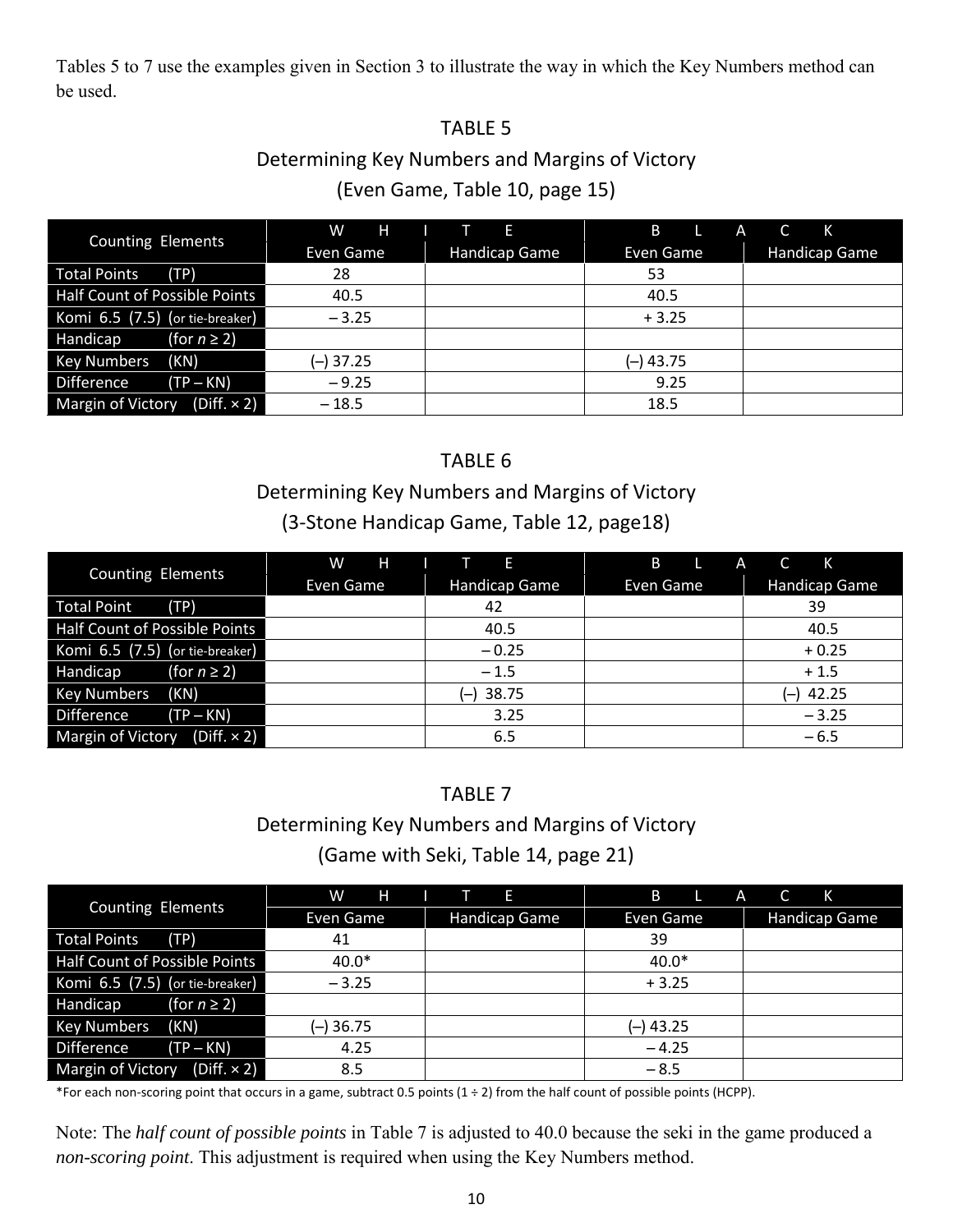Tables 5 to 7 use the examples given in Section 3 to illustrate the way in which the Key Numbers method can be used.

#### TABLE 5

#### Determining Key Numbers and Margins of Victory [\(Even Game, Table 10, page](#page-14-1) 15)

|                                         | W<br>н     | $\mathbf{T}$ $\mathbf{E}$ | B<br>$\Lambda$<br>C.<br>К |               |
|-----------------------------------------|------------|---------------------------|---------------------------|---------------|
| <b>Counting Elements</b>                | Even Game  | <b>Handicap Game</b>      | Even Game                 | Handicap Game |
| <b>Total Points</b><br>TP)              | 28         |                           | 53                        |               |
| Half Count of Possible Points           | 40.5       |                           | 40.5                      |               |
| Komi 6.5 (7.5) (or tie-breaker)         | $-3.25$    |                           | $+3.25$                   |               |
| Handicap<br>(for $n \geq 2$ )           |            |                           |                           |               |
| <b>Key Numbers</b><br>(KN)              | $(-)37.25$ |                           | (-) 43.75                 |               |
| Difference<br>(TP – KN)                 | $-9.25$    |                           | 9.25                      |               |
| $(Diff. \times 2)$<br>Margin of Victory | $-18.5$    |                           | 18.5                      |               |

#### TABLE 6

#### Determining Key Numbers and Margins of Victory

#### [\(3-Stone Handicap Game, Table 12, page1](#page-17-1)8)

| <b>Counting Elements</b>                       | W<br>Н<br>E |                                   | B<br><b>K</b><br>C<br>A |                      |
|------------------------------------------------|-------------|-----------------------------------|-------------------------|----------------------|
|                                                | Even Game   | <b>Handicap Game</b>              | Even Game               | <b>Handicap Game</b> |
| <b>Total Point</b><br>(TP)                     |             | 42                                |                         | 39                   |
| Half Count of Possible Points                  |             | 40.5                              |                         | 40.5                 |
| Komi $6.5$ (7.5) (or tie-breaker)              |             | $-0.25$                           |                         | $+0.25$              |
| Handicap<br>(for $n \geq 2$ )                  |             | $-1.5$                            |                         | $+1.5$               |
| (KN)<br><b>Key Numbers</b>                     |             | 38.75<br>$\overline{\phantom{0}}$ |                         | 42.25<br>$(-)$       |
| Difference<br>$(TP - KN)$                      |             | 3.25                              |                         | $-3.25$              |
| <b>Margin of Victory</b><br>$(Diff. \times 2)$ |             | 6.5                               |                         | $-6.5$               |

#### TABLE 7

#### Determining Key Numbers and Margins of Victory

#### [\(Game with Seki, Table 14, page](#page-20-1) 21)

| <b>Counting Elements</b>                       | W<br>н      | <i><b>Alex</b></i><br>F. | B<br>C<br>A<br>К |               |
|------------------------------------------------|-------------|--------------------------|------------------|---------------|
|                                                | Even Game   | <b>Handicap Game</b>     | Even Game        | Handicap Game |
| <b>Total Points</b><br>(TP)                    | 41          |                          | 39               |               |
| Half Count of Possible Points                  | $40.0*$     |                          | $40.0*$          |               |
| Komi 6.5 (7.5) (or tie-breaker)                | $-3.25$     |                          | $+3.25$          |               |
| Handicap<br>(for $n \geq 2$ )                  |             |                          |                  |               |
| (KN)<br><b>Key Numbers</b>                     | $(-)$ 36.75 |                          | $(-)$ 43.25      |               |
| Difference<br>$(TP - KN)$                      | 4.25        |                          | $-4.25$          |               |
| $(Diff. \times 2)$<br><b>Margin of Victory</b> | 8.5         |                          | $-8.5$           |               |

\*For each non-scoring point that occurs in a game, subtract 0.5 points (1 ÷ 2) from the half count of possible points (HCPP).

Note: The *half count of possible points* in Table 7 is adjusted to 40.0 because the seki in the game produced a *non-scoring point*. This adjustment is required when using the Key Numbers method.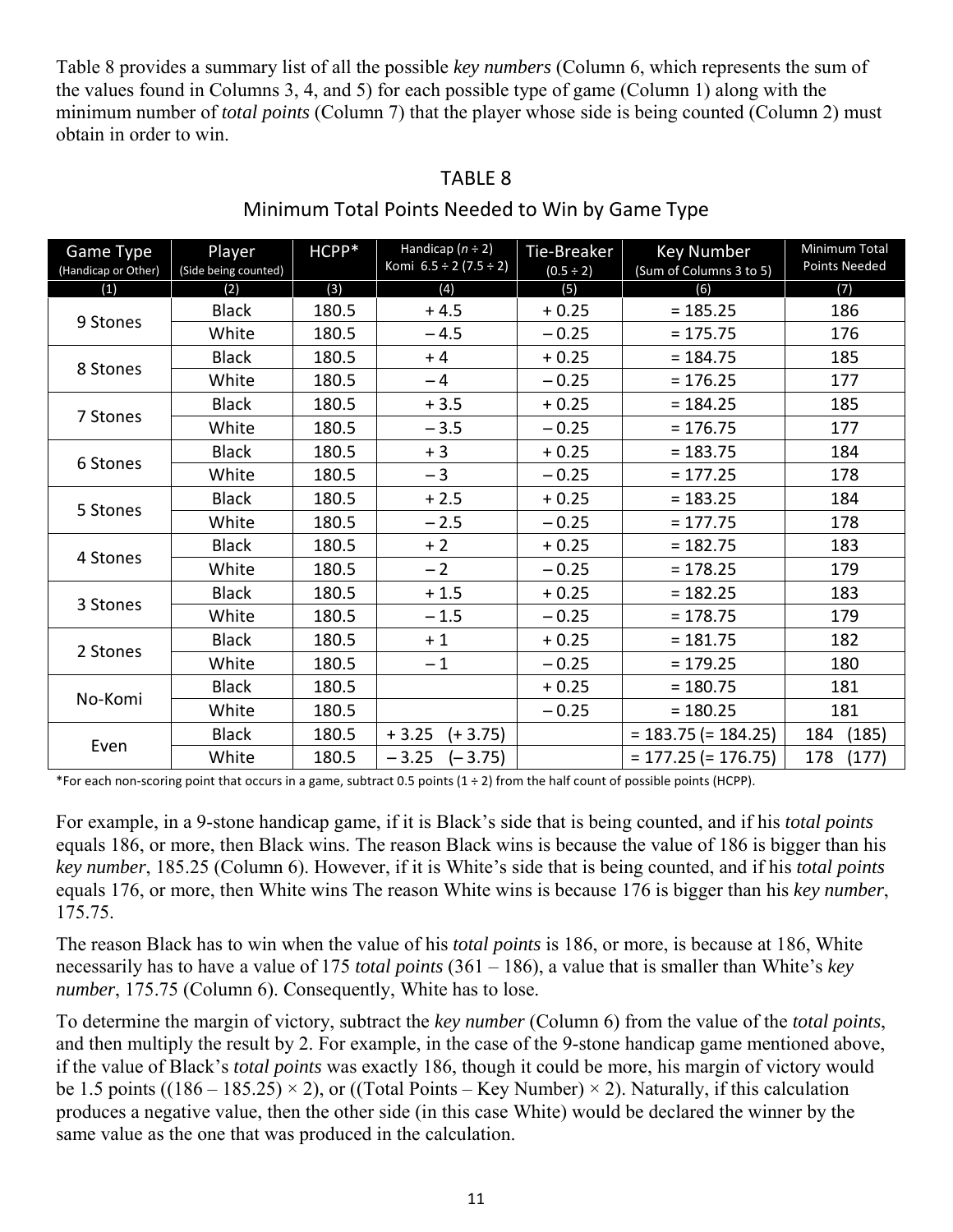Table 8 provides a summary list of all the possible *key numbers* (Column 6, which represents the sum of the values found in Columns 3, 4, and 5) for each possible type of game (Column 1) along with the minimum number of *total points* (Column 7) that the player whose side is being counted (Column 2) must obtain in order to win.

| Game Type<br>(Handicap or Other) | Player<br>(Side being counted) | HCPP* | Handicap $(n \div 2)$<br>Komi $6.5 \div 2 (7.5 \div 2)$ | Tie-Breaker<br>$(0.5 \div 2)$ | <b>Key Number</b><br>(Sum of Columns 3 to 5) | Minimum Total<br><b>Points Needed</b> |
|----------------------------------|--------------------------------|-------|---------------------------------------------------------|-------------------------------|----------------------------------------------|---------------------------------------|
| (1)                              | (2)                            | (3)   | (4)                                                     | (5)                           | (6)                                          | (7)                                   |
| 9 Stones                         | <b>Black</b>                   | 180.5 | $+4.5$                                                  | $+0.25$                       | $= 185.25$                                   | 186                                   |
|                                  | White                          | 180.5 | $-4.5$                                                  | $-0.25$                       | $= 175.75$                                   | 176                                   |
| 8 Stones                         | <b>Black</b>                   | 180.5 | $+4$                                                    | $+0.25$                       | $= 184.75$                                   | 185                                   |
|                                  | White                          | 180.5 | $-4$                                                    | $-0.25$                       | $= 176.25$                                   | 177                                   |
| 7 Stones                         | <b>Black</b>                   | 180.5 | $+3.5$                                                  | $+0.25$                       | $= 184.25$                                   | 185                                   |
|                                  | White                          | 180.5 | $-3.5$                                                  | $-0.25$                       | $= 176.75$                                   | 177                                   |
|                                  | <b>Black</b>                   | 180.5 | $+3$                                                    | $+0.25$                       | $= 183.75$                                   | 184                                   |
| 6 Stones                         | White                          | 180.5 | $-3$                                                    | $-0.25$                       | $= 177.25$                                   | 178                                   |
|                                  | <b>Black</b>                   | 180.5 | $+2.5$                                                  | $+0.25$                       | $= 183.25$                                   | 184                                   |
| 5 Stones                         | White                          | 180.5 | $-2.5$                                                  | $-0.25$                       | $= 177.75$                                   | 178                                   |
| 4 Stones                         | <b>Black</b>                   | 180.5 | $+2$                                                    | $+0.25$                       | $= 182.75$                                   | 183                                   |
|                                  | White                          | 180.5 | $-2$                                                    | $-0.25$                       | $= 178.25$                                   | 179                                   |
| 3 Stones                         | <b>Black</b>                   | 180.5 | $+1.5$                                                  | $+0.25$                       | $= 182.25$                                   | 183                                   |
|                                  | White                          | 180.5 | $-1.5$                                                  | $-0.25$                       | $= 178.75$                                   | 179                                   |
| 2 Stones                         | <b>Black</b>                   | 180.5 | $+1$                                                    | $+0.25$                       | $= 181.75$                                   | 182                                   |
|                                  | White                          | 180.5 | $-1$                                                    | $-0.25$                       | $= 179.25$                                   | 180                                   |
|                                  | <b>Black</b>                   | 180.5 |                                                         | $+0.25$                       | $= 180.75$                                   | 181                                   |
| No-Komi                          | White                          | 180.5 |                                                         | $-0.25$                       | $= 180.25$                                   | 181                                   |
|                                  | <b>Black</b>                   | 180.5 | $(+3.75)$<br>$+3.25$                                    |                               | $= 183.75 (= 184.25)$                        | 184<br>(185)                          |
| Even                             | White                          | 180.5 | $-3.25$<br>$(-3.75)$                                    |                               | $= 177.25 (= 176.75)$                        | 178<br>(177)                          |

#### TABLE 8

#### Minimum Total Points Needed to Win by Game Type

\*For each non-scoring point that occurs in a game, subtract 0.5 points (1 ÷ 2) from the half count of possible points (HCPP).

For example, in a 9-stone handicap game, if it is Black's side that is being counted, and if his *total points* equals 186, or more, then Black wins. The reason Black wins is because the value of 186 is bigger than his *key number*, 185.25 (Column 6). However, if it is White's side that is being counted, and if his *total points* equals 176, or more, then White wins The reason White wins is because 176 is bigger than his *key number*, 175.75.

The reason Black has to win when the value of his *total points* is 186, or more, is because at 186, White necessarily has to have a value of 175 *total points* (361 – 186), a value that is smaller than White's *key number*, 175.75 (Column 6). Consequently, White has to lose.

To determine the margin of victory, subtract the *key number* (Column 6) from the value of the *total points*, and then multiply the result by 2. For example, in the case of the 9-stone handicap game mentioned above, if the value of Black's *total points* was exactly 186, though it could be more, his margin of victory would be 1.5 points ((186 – 185.25)  $\times$  2), or ((Total Points – Key Number)  $\times$  2). Naturally, if this calculation produces a negative value, then the other side (in this case White) would be declared the winner by the same value as the one that was produced in the calculation.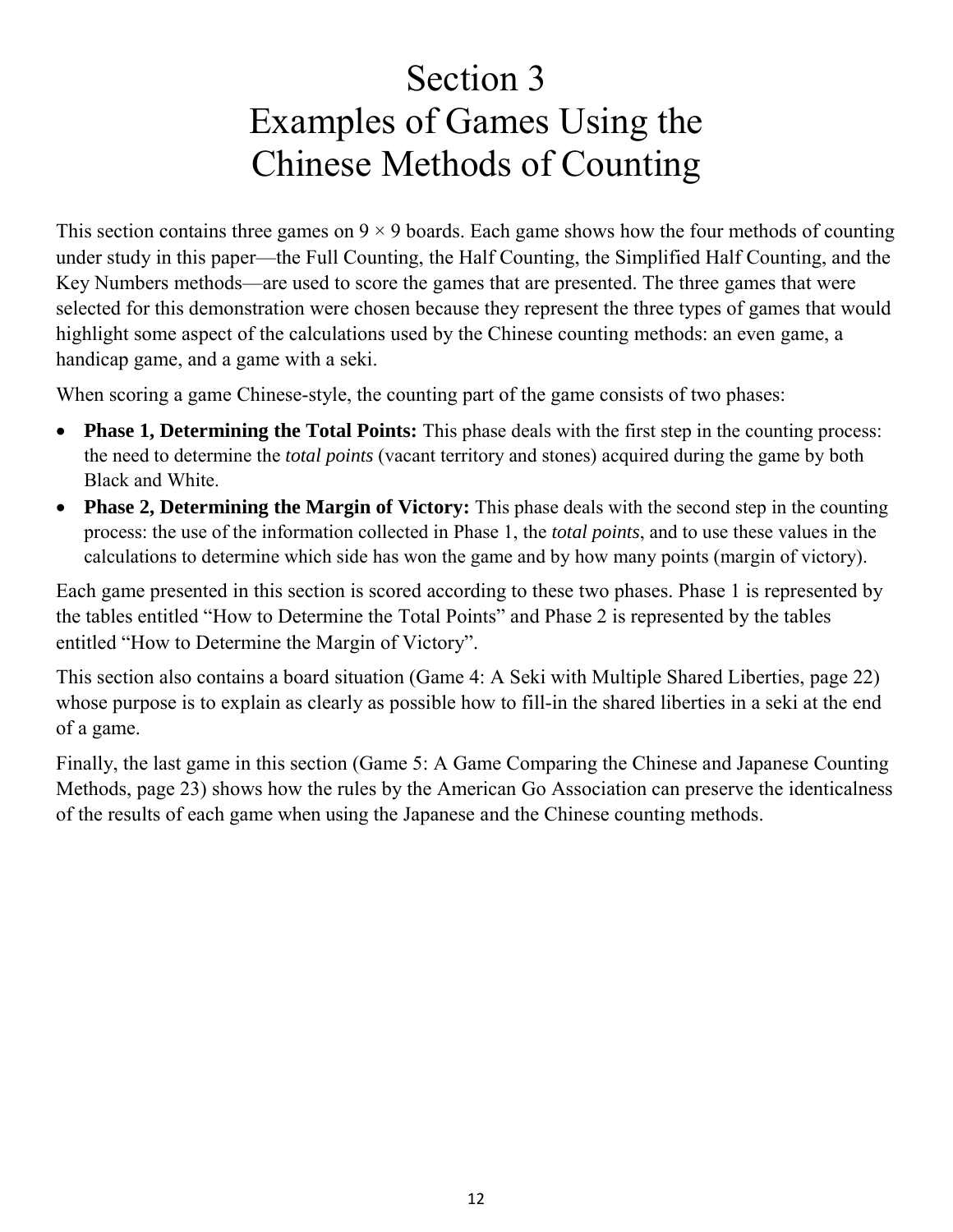# Section 3 Examples of Games Using the Chinese Methods of Counting

<span id="page-11-1"></span><span id="page-11-0"></span>This section contains three games on  $9 \times 9$  boards. Each game shows how the four methods of counting under study in this paper—the Full Counting, the Half Counting, the Simplified Half Counting, and the Key Numbers methods—are used to score the games that are presented. The three games that were selected for this demonstration were chosen because they represent the three types of games that would highlight some aspect of the calculations used by the Chinese counting methods: an even game, a handicap game, and a game with a seki.

When scoring a game Chinese-style, the counting part of the game consists of two phases:

- **Phase 1, Determining the Total Points:** This phase deals with the first step in the counting process: the need to determine the *total points* (vacant territory and stones) acquired during the game by both Black and White.
- **Phase 2, Determining the Margin of Victory:** This phase deals with the second step in the counting process: the use of the information collected in Phase 1, the *total points*, and to use these values in the calculations to determine which side has won the game and by how many points (margin of victory).

Each game presented in this section is scored according to these two phases. Phase 1 is represented by the tables entitled "How to Determine the Total Points" and Phase 2 is represented by the tables entitled "How to Determine the Margin of Victory".

This section also contains a board situation (Game 4: A Seki with Multiple Shared Liberties, page 22) whose purpose is to explain as clearly as possible how to fill-in the shared liberties in a seki at the end of a game.

Finally, the last game in this section (Game 5: A Game Comparing the Chinese and Japanese Counting Methods, page 23) shows how the rules by the American Go Association can preserve the identicalness of the results of each game when using the Japanese and the Chinese counting methods.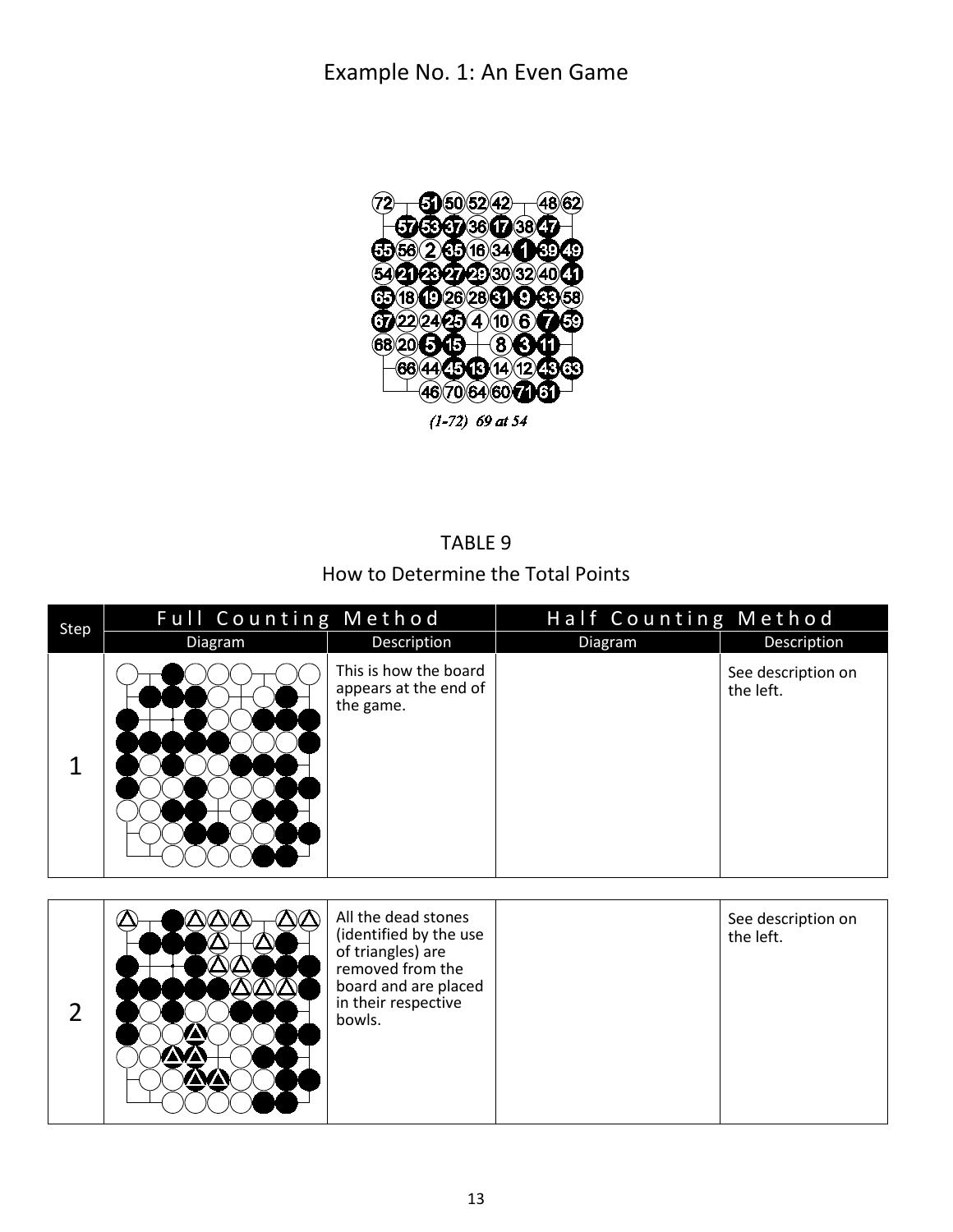<span id="page-12-0"></span>

#### TABLE 9

#### How to Determine the Total Points

<span id="page-12-1"></span>

| Step | Full Counting Method |                                                             | Half Counting Method |                                 |  |
|------|----------------------|-------------------------------------------------------------|----------------------|---------------------------------|--|
|      | Diagram              | Description                                                 | Diagram              | Description                     |  |
| 1    |                      | This is how the board<br>appears at the end of<br>the game. |                      | See description on<br>the left. |  |

|  |  | All the dead stones<br>(identified by the use<br>of triangles) are<br>removed from the<br>board and are placed<br>in their respective<br>bowls. |  | See description on<br>the left. |
|--|--|-------------------------------------------------------------------------------------------------------------------------------------------------|--|---------------------------------|
|--|--|-------------------------------------------------------------------------------------------------------------------------------------------------|--|---------------------------------|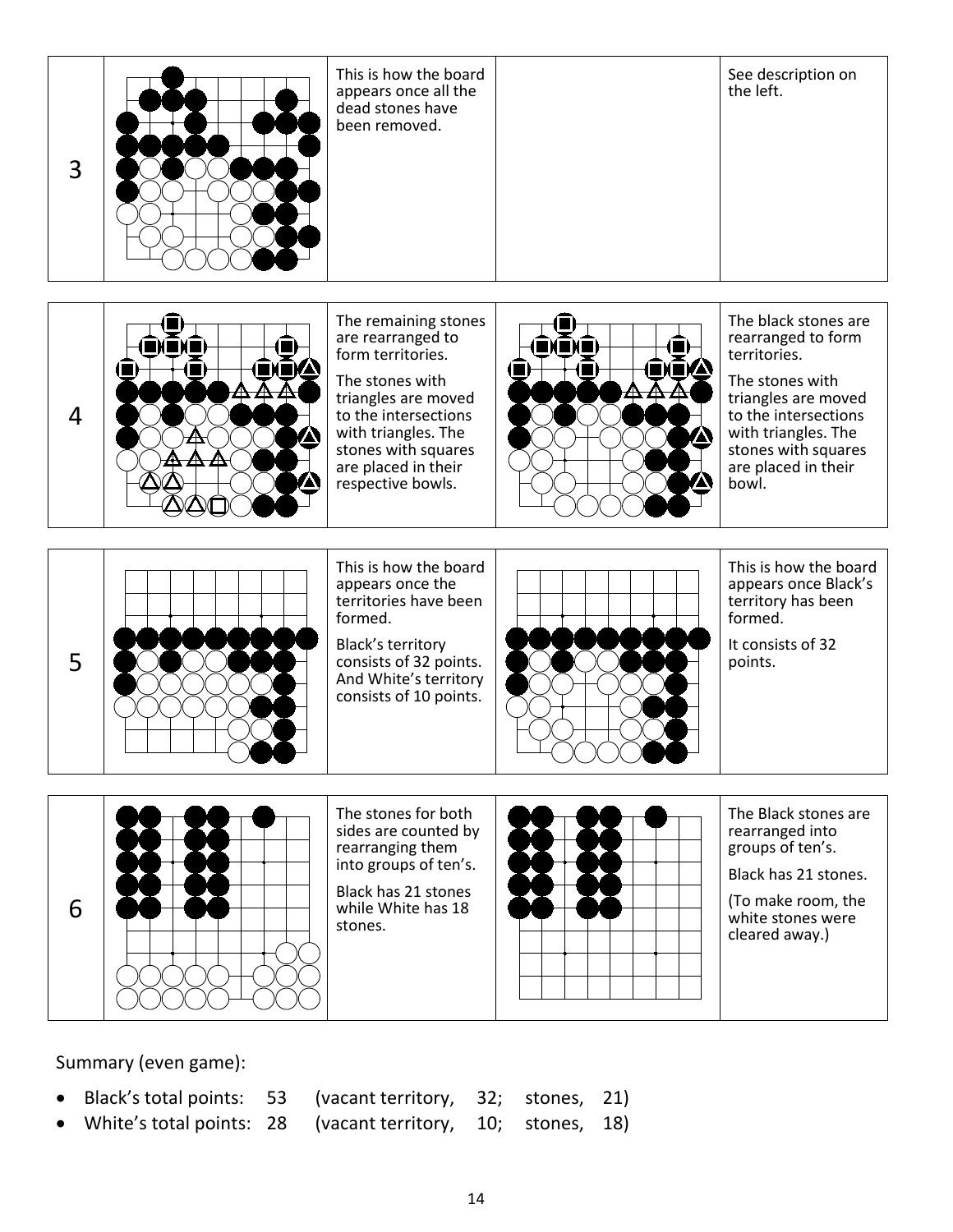

Summary (even game):

- Black's total points: 53 (vacant territory, 32; stones, 21)
- White's total points: 28 (vacant territory, 10; stones, 18)
-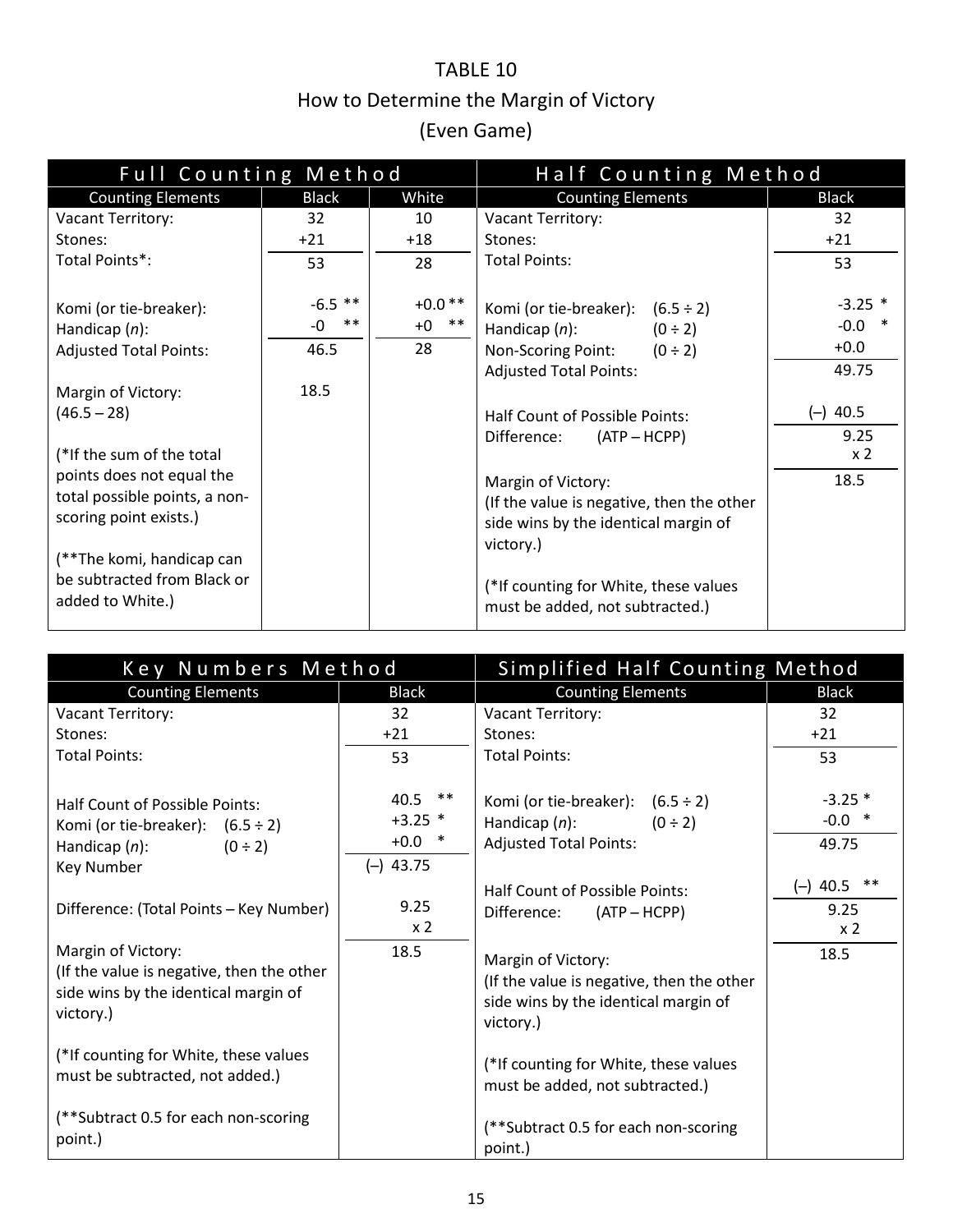### TABLE 10 How to Determine the Margin of Victory (Even Game)

<span id="page-14-1"></span><span id="page-14-0"></span>

| Full Counting Method                                                                                              |                                  |                                 | Half Counting Method                                                                                                                          |                                          |  |
|-------------------------------------------------------------------------------------------------------------------|----------------------------------|---------------------------------|-----------------------------------------------------------------------------------------------------------------------------------------------|------------------------------------------|--|
| <b>Counting Elements</b>                                                                                          | <b>Black</b>                     | White                           | <b>Counting Elements</b>                                                                                                                      | <b>Black</b>                             |  |
| Vacant Territory:                                                                                                 | 32                               | 10                              | Vacant Territory:                                                                                                                             | 32                                       |  |
| Stones:                                                                                                           | $+21$                            | $+18$                           | Stones:                                                                                                                                       | $+21$                                    |  |
| Total Points*:                                                                                                    | 53                               | 28                              | <b>Total Points:</b>                                                                                                                          | 53                                       |  |
| Komi (or tie-breaker):<br>Handicap $(n)$ :<br><b>Adjusted Total Points:</b>                                       | $-6.5$ **<br>$***$<br>-0<br>46.5 | $+0.0**$<br>$***$<br>$+0$<br>28 | Komi (or tie-breaker): $(6.5 \div 2)$<br>Handicap $(n)$ :<br>$(0 \div 2)$<br>Non-Scoring Point: $(0 \div 2)$<br><b>Adjusted Total Points:</b> | $-3.25$ *<br>$-0.0$ *<br>$+0.0$<br>49.75 |  |
| Margin of Victory:                                                                                                | 18.5                             |                                 |                                                                                                                                               |                                          |  |
| $(46.5 - 28)$                                                                                                     |                                  |                                 | Half Count of Possible Points:                                                                                                                | $(-)$ 40.5                               |  |
| (*If the sum of the total<br>points does not equal the<br>total possible points, a non-<br>scoring point exists.) |                                  |                                 | Difference:<br>$(ATP - HCPP)$<br>Margin of Victory:<br>(If the value is negative, then the other<br>side wins by the identical margin of      | 9.25<br>x <sub>2</sub><br>18.5           |  |
| (**The komi, handicap can<br>be subtracted from Black or<br>added to White.)                                      |                                  |                                 | victory.)<br>(*If counting for White, these values<br>must be added, not subtracted.)                                                         |                                          |  |

| Key Numbers Method                                                                                                        |                                                   | Simplified Half Counting Method                                                                                      |                                               |
|---------------------------------------------------------------------------------------------------------------------------|---------------------------------------------------|----------------------------------------------------------------------------------------------------------------------|-----------------------------------------------|
| <b>Counting Elements</b>                                                                                                  | <b>Black</b>                                      | <b>Counting Elements</b>                                                                                             | <b>Black</b>                                  |
| Vacant Territory:                                                                                                         | 32                                                | Vacant Territory:                                                                                                    | 32                                            |
| Stones:                                                                                                                   | $+21$                                             | Stones:                                                                                                              | $+21$                                         |
| <b>Total Points:</b>                                                                                                      | 53                                                | <b>Total Points:</b>                                                                                                 | 53                                            |
| Half Count of Possible Points:<br>Komi (or tie-breaker): $(6.5 \div 2)$<br>Handicap $(n)$ :<br>$(0 \div 2)$<br>Key Number | $40.5$ **<br>$+3.25$ *<br>$+0.0$ *<br>$(-)$ 43.75 | Komi (or tie-breaker): $(6.5 \div 2)$<br>Handicap $(n)$ :<br>$(0 \div 2)$<br><b>Adjusted Total Points:</b>           | $-3.25*$<br>$-0.0$ *<br>49.75                 |
| Difference: (Total Points - Key Number)                                                                                   | 9.25<br>x <sub>2</sub>                            | Half Count of Possible Points:<br>Difference:<br>$(ATP - HCPP)$                                                      | $***$<br>$(-)$ 40.5<br>9.25<br>x <sub>2</sub> |
| Margin of Victory:<br>(If the value is negative, then the other<br>side wins by the identical margin of<br>victory.)      | 18.5                                              | Margin of Victory:<br>(If the value is negative, then the other<br>side wins by the identical margin of<br>victory.) | 18.5                                          |
| (*If counting for White, these values<br>must be subtracted, not added.)                                                  |                                                   | (*If counting for White, these values<br>must be added, not subtracted.)                                             |                                               |
| (**Subtract 0.5 for each non-scoring<br>point.)                                                                           |                                                   | (**Subtract 0.5 for each non-scoring<br>point.)                                                                      |                                               |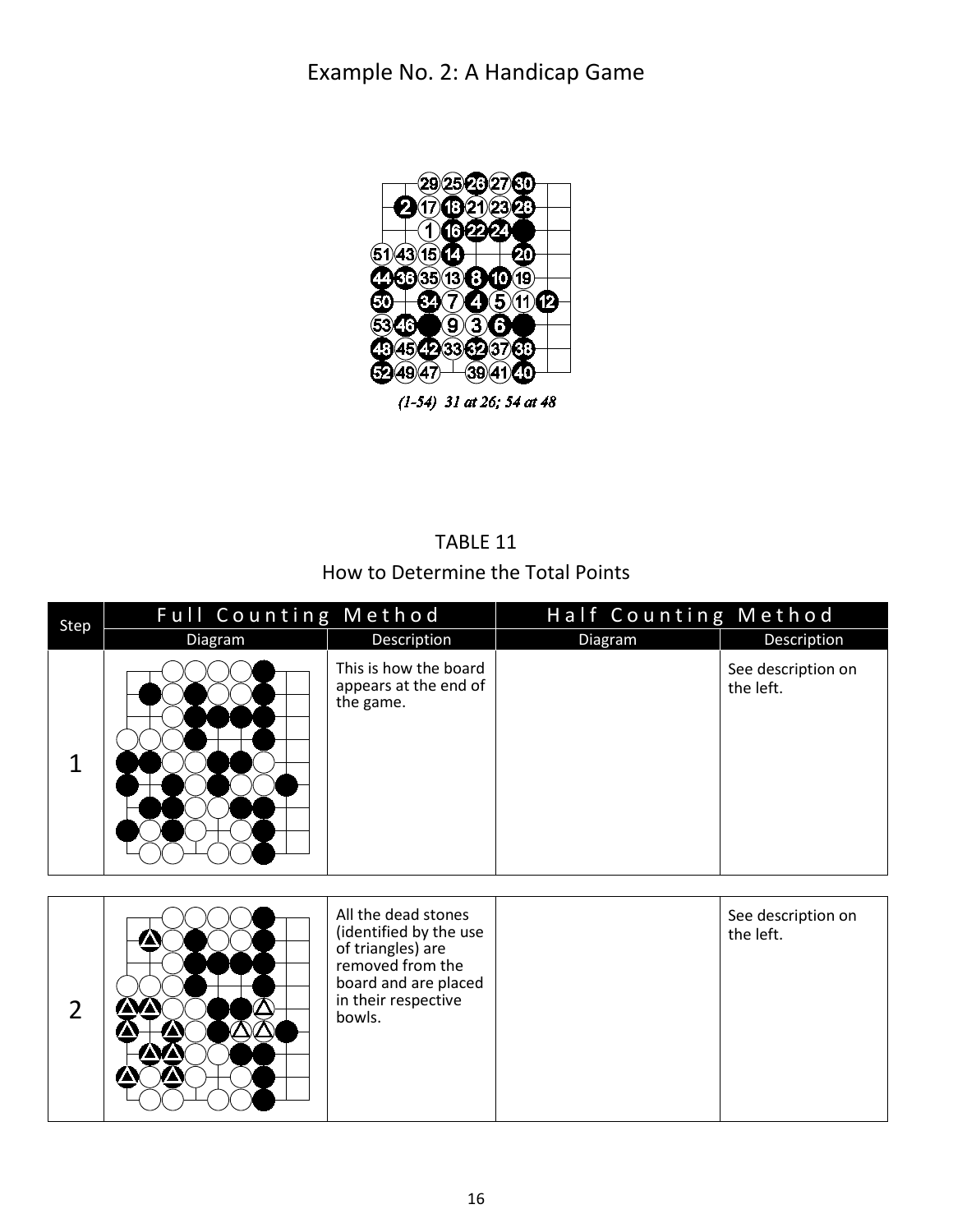<span id="page-15-0"></span>

 $(1-54)$  31 at 26; 54 at 48

#### TABLE 11 How to Determine the Total Points

<span id="page-15-1"></span>

| Step | <b>Full Counting Method</b> |                                                             | Half Counting Method |                                 |
|------|-----------------------------|-------------------------------------------------------------|----------------------|---------------------------------|
|      | <b>Diagram</b>              | Description                                                 | Diagram              | Description                     |
| 1    |                             | This is how the board<br>appears at the end of<br>the game. |                      | See description on<br>the left. |

|  |  | All the dead stones<br>(identified by the use<br>of triangles) are<br>removed from the<br>board and are placed<br>in their respective<br>bowls. |  | See description on<br>the left. |
|--|--|-------------------------------------------------------------------------------------------------------------------------------------------------|--|---------------------------------|
|--|--|-------------------------------------------------------------------------------------------------------------------------------------------------|--|---------------------------------|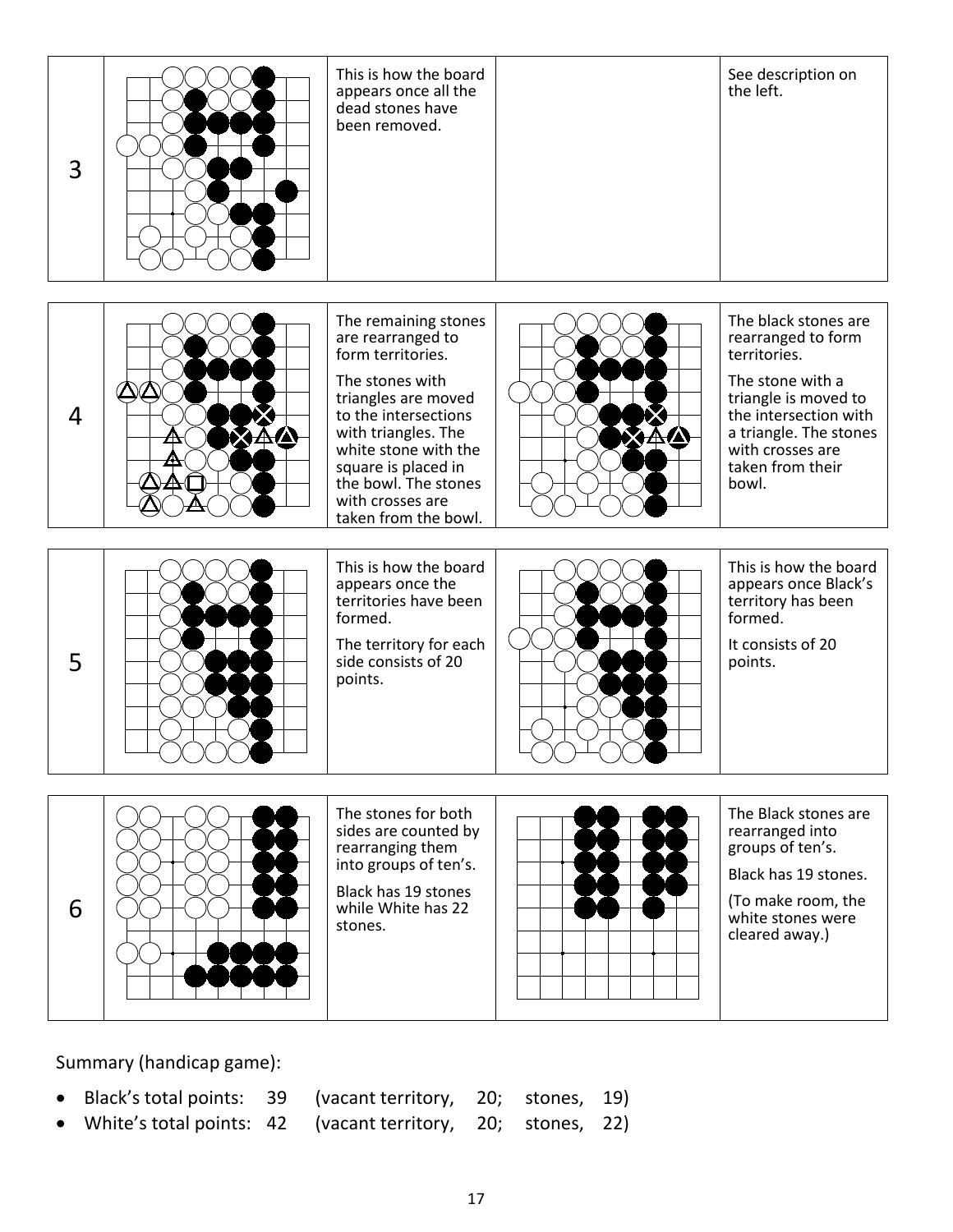| 3              | This is how the board<br>appears once all the<br>dead stones have<br>been removed.                                                                                                                                                                                         | See description on<br>the left.                                                                                                                                                                            |
|----------------|----------------------------------------------------------------------------------------------------------------------------------------------------------------------------------------------------------------------------------------------------------------------------|------------------------------------------------------------------------------------------------------------------------------------------------------------------------------------------------------------|
| $\overline{4}$ | The remaining stones<br>are rearranged to<br>form territories.<br>The stones with<br>triangles are moved<br>to the intersections<br>with triangles. The<br>white stone with the<br>square is placed in<br>the bowl. The stones<br>with crosses are<br>taken from the bowl. | The black stones are<br>rearranged to form<br>territories.<br>The stone with a<br>triangle is moved to<br>the intersection with<br>a triangle. The stones<br>with crosses are<br>taken from their<br>bowl. |
| 5              | This is how the board<br>appears once the<br>territories have been<br>formed.<br>The territory for each<br>side consists of 20<br>points.                                                                                                                                  | This is how the board<br>appears once Black's<br>territory has been<br>formed.<br>It consists of 20<br>points.                                                                                             |
| 6              | The stones for both<br>sides are counted by<br>rearranging them<br>into groups of ten's.<br>Black has 19 stones<br>while White has 22<br>stones.                                                                                                                           | The Black stones are<br>rearranged into<br>groups of ten's.<br>Black has 19 stones.<br>(To make room, the<br>white stones were<br>cleared away.)                                                           |

Summary (handicap game):

- Black's total points: 39 (vacant territory, 20; stones, 19)
- White's total points: 42 (vacant territory, 20; stones, 22)
-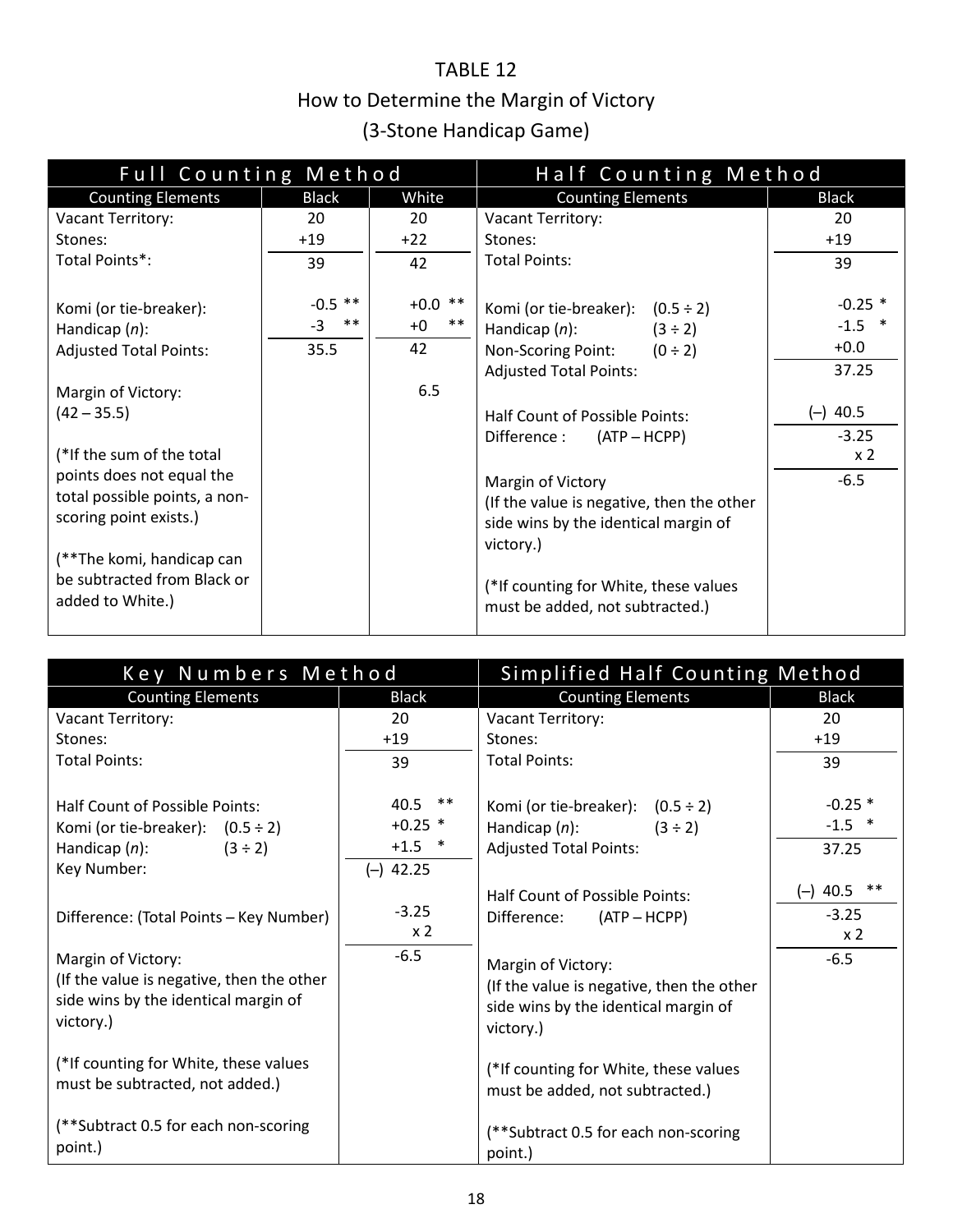### TABLE 12 How to Determine the Margin of Victory (3-Stone Handicap Game)

<span id="page-17-1"></span><span id="page-17-0"></span>

| Full Counting Method          |               | Half Counting Method |                                           |                  |
|-------------------------------|---------------|----------------------|-------------------------------------------|------------------|
| <b>Counting Elements</b>      | <b>Black</b>  | White                | <b>Counting Elements</b>                  | <b>Black</b>     |
| Vacant Territory:             | 20            | 20                   | Vacant Territory:                         | 20               |
| Stones:                       | $+19$         | $+22$                | Stones:                                   | $+19$            |
| Total Points*:                | 39            | 42                   | <b>Total Points:</b>                      | 39               |
| Komi (or tie-breaker):        | $-0.5$ **     | $+0.0$ **            | Komi (or tie-breaker): $(0.5 \div 2)$     | $-0.25$ *        |
| Handicap $(n)$ :              | $-3$<br>$***$ | $***$<br>$+0$        | Handicap $(n)$ :<br>$(3 \div 2)$          | $-1.5$<br>$\ast$ |
| <b>Adjusted Total Points:</b> | 35.5          | 42                   | Non-Scoring Point:<br>$(0 \div 2)$        | $+0.0$           |
|                               |               |                      | <b>Adjusted Total Points:</b>             | 37.25            |
| Margin of Victory:            |               | 6.5                  |                                           |                  |
| $(42 - 35.5)$                 |               |                      | Half Count of Possible Points:            | $(-)$ 40.5       |
|                               |               |                      | Difference :<br>$(ATP - HCPP)$            | $-3.25$          |
| (*If the sum of the total     |               |                      |                                           | x <sub>2</sub>   |
| points does not equal the     |               |                      | Margin of Victory                         | $-6.5$           |
| total possible points, a non- |               |                      | (If the value is negative, then the other |                  |
| scoring point exists.)        |               |                      | side wins by the identical margin of      |                  |
|                               |               |                      | victory.)                                 |                  |
| (**The komi, handicap can     |               |                      |                                           |                  |
| be subtracted from Black or   |               |                      | (*If counting for White, these values     |                  |
| added to White.)              |               |                      | must be added, not subtracted.)           |                  |
|                               |               |                      |                                           |                  |

| Key Numbers Method                                                                                                                |                                                   | Simplified Half Counting Method                                                                                      |                                            |
|-----------------------------------------------------------------------------------------------------------------------------------|---------------------------------------------------|----------------------------------------------------------------------------------------------------------------------|--------------------------------------------|
| <b>Counting Elements</b>                                                                                                          | <b>Black</b>                                      | <b>Counting Elements</b>                                                                                             | <b>Black</b>                               |
| Vacant Territory:                                                                                                                 | 20                                                | Vacant Territory:                                                                                                    | 20                                         |
| Stones:                                                                                                                           | $+19$                                             | Stones:                                                                                                              | $+19$                                      |
| <b>Total Points:</b>                                                                                                              | 39                                                | <b>Total Points:</b>                                                                                                 | 39                                         |
| <b>Half Count of Possible Points:</b><br>Komi (or tie-breaker): $(0.5 \div 2)$<br>Handicap $(n)$ :<br>$(3 \div 2)$<br>Key Number: | $40.5$ **<br>$+0.25$ *<br>$+1.5$ *<br>$(-)$ 42.25 | Komi (or tie-breaker): $(0.5 \div 2)$<br>Handicap $(n)$ :<br>$(3 \div 2)$<br><b>Adjusted Total Points:</b>           | $-0.25$ *<br>$-1.5$ *<br>37.25             |
| Difference: (Total Points - Key Number)                                                                                           | $-3.25$<br>x <sub>2</sub>                         | Half Count of Possible Points:<br>Difference:<br>$(ATP - HCPP)$                                                      | $(-)$ 40.5 **<br>$-3.25$<br>x <sub>2</sub> |
| Margin of Victory:<br>(If the value is negative, then the other<br>side wins by the identical margin of<br>victory.)              | $-6.5$                                            | Margin of Victory:<br>(If the value is negative, then the other<br>side wins by the identical margin of<br>victory.) | $-6.5$                                     |
| (*If counting for White, these values<br>must be subtracted, not added.)                                                          |                                                   | (*If counting for White, these values<br>must be added, not subtracted.)                                             |                                            |
| (**Subtract 0.5 for each non-scoring<br>point.)                                                                                   |                                                   | (**Subtract 0.5 for each non-scoring<br>point.)                                                                      |                                            |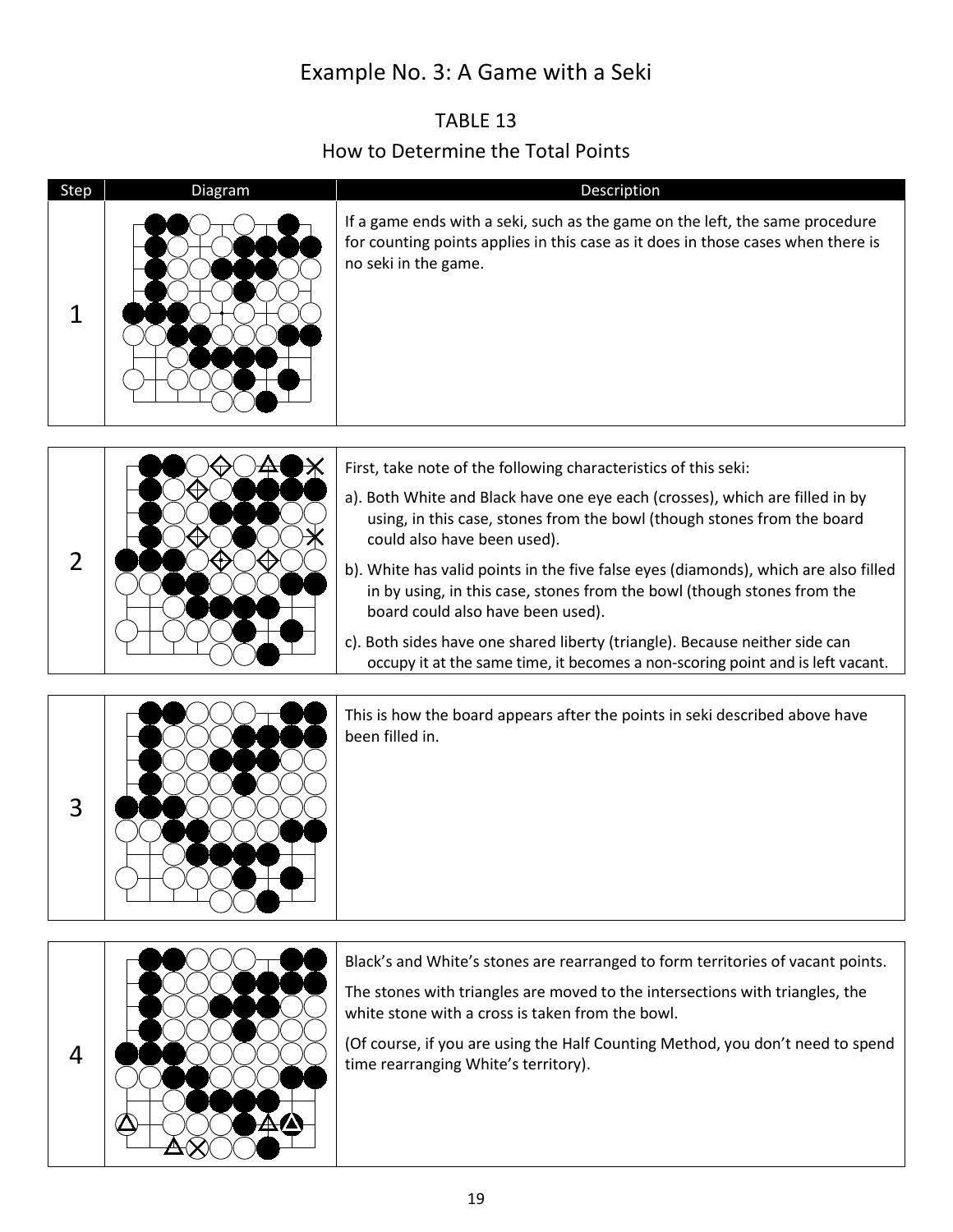### Example No. 3: A Game with a Seki

#### TABLE 13 How to Determine the Total Points

<span id="page-18-2"></span><span id="page-18-1"></span><span id="page-18-0"></span>



This is how the board appears after the points in seki described above have been filled in.



Black's and White's stones are rearranged to form territories of vacant points.

The stones with triangles are moved to the intersections with triangles, the white stone with a cross is taken from the bowl.

(Of course, if you are using the Half Counting Method, you don't need to spend time rearranging White's territory).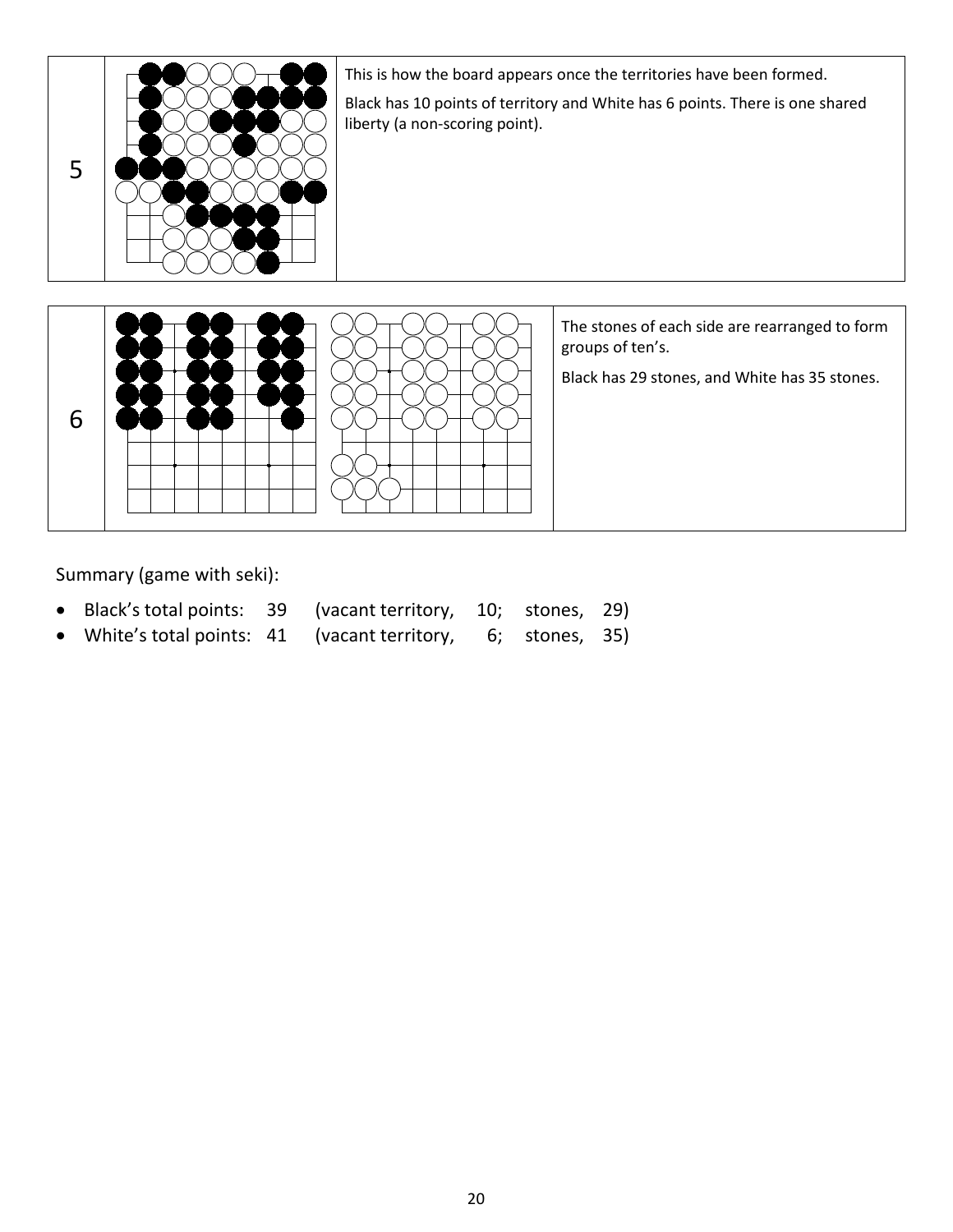

This is how the board appears once the territories have been formed.

Black has 10 points of territory and White has 6 points. There is one shared liberty (a non-scoring point).



The stones of each side are rearranged to form groups of ten's.

Black has 29 stones, and White has 35 stones.

Summary (game with seki):

- Black's total points: 39 (vacant territory, 10; stones, 29)
- White's total points: 41 (vacant territory, 6; stones, 35)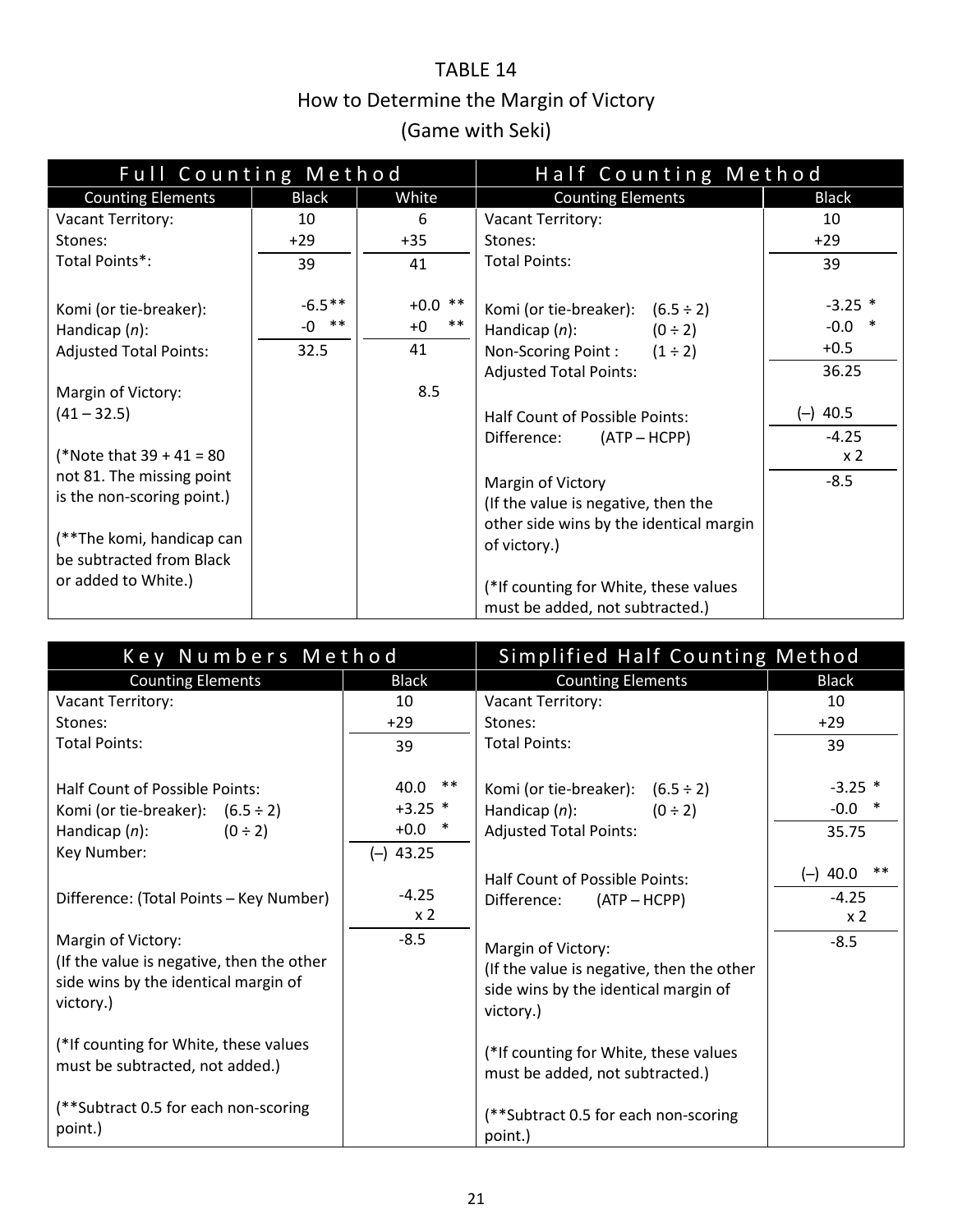### TABLE 14 How to Determine the Margin of Victory (Game with Seki)

<span id="page-20-1"></span><span id="page-20-0"></span>

| Full Counting Method                                                                                                                                                  |                             | Half Counting Method                    |                                                                                                                                                      |                                          |
|-----------------------------------------------------------------------------------------------------------------------------------------------------------------------|-----------------------------|-----------------------------------------|------------------------------------------------------------------------------------------------------------------------------------------------------|------------------------------------------|
| <b>Counting Elements</b>                                                                                                                                              | <b>Black</b>                | White                                   | <b>Counting Elements</b>                                                                                                                             | <b>Black</b>                             |
| Vacant Territory:                                                                                                                                                     | 10                          | 6                                       | <b>Vacant Territory:</b>                                                                                                                             | 10                                       |
| Stones:                                                                                                                                                               | $+29$                       | $+35$                                   | Stones:                                                                                                                                              | $+29$                                    |
| Total Points*:                                                                                                                                                        | 39                          | 41                                      | <b>Total Points:</b>                                                                                                                                 | 39                                       |
| Komi (or tie-breaker):<br>Handicap $(n)$ :<br><b>Adjusted Total Points:</b><br>Margin of Victory:                                                                     | $-6.5**$<br>$-0$ **<br>32.5 | $+0.0$ **<br>$***$<br>$+0$<br>41<br>8.5 | Komi (or tie-breaker): $(6.5 \div 2)$<br>Handicap $(n)$ :<br>$(0 \div 2)$<br>Non-Scoring Point: $(1 \div 2)$<br><b>Adjusted Total Points:</b>        | $-3.25$ *<br>$-0.0$ *<br>$+0.5$<br>36.25 |
| $(41 - 32.5)$                                                                                                                                                         |                             |                                         | Half Count of Possible Points:                                                                                                                       | $(-)$ 40.5                               |
| (*Note that $39 + 41 = 80$<br>not 81. The missing point<br>is the non-scoring point.)<br>(**The komi, handicap can<br>be subtracted from Black<br>or added to White.) |                             |                                         | Difference:<br>$(ATP - HCPP)$<br>Margin of Victory<br>(If the value is negative, then the<br>other side wins by the identical margin<br>of victory.) | $-4.25$<br>x <sub>2</sub><br>$-8.5$      |
|                                                                                                                                                                       |                             |                                         | (*If counting for White, these values<br>must be added, not subtracted.)                                                                             |                                          |

| Key Numbers Method                                                                                                         |                                                       | Simplified Half Counting Method                                                                                      |                                         |  |
|----------------------------------------------------------------------------------------------------------------------------|-------------------------------------------------------|----------------------------------------------------------------------------------------------------------------------|-----------------------------------------|--|
| <b>Counting Elements</b>                                                                                                   | <b>Black</b>                                          | <b>Counting Elements</b>                                                                                             | <b>Black</b>                            |  |
| Vacant Territory:                                                                                                          | 10                                                    | Vacant Territory:                                                                                                    | 10                                      |  |
| Stones:                                                                                                                    | $+29$                                                 | Stones:                                                                                                              | $+29$                                   |  |
| <b>Total Points:</b>                                                                                                       | 39                                                    | <b>Total Points:</b>                                                                                                 | 39                                      |  |
| Half Count of Possible Points:<br>Komi (or tie-breaker): $(6.5 \div 2)$<br>Handicap $(n)$ :<br>$(0 \div 2)$<br>Key Number: | $***$<br>40.0<br>$+3.25$ *<br>$+0.0$ *<br>$(-)$ 43.25 | Komi (or tie-breaker): $(6.5 \div 2)$<br>Handicap $(n)$ :<br>$(0 \div 2)$<br><b>Adjusted Total Points:</b>           | $-3.25$ *<br>$-0.0$ *<br>35.75<br>$***$ |  |
| Difference: (Total Points - Key Number)                                                                                    | $-4.25$<br>x <sub>2</sub>                             | <b>Half Count of Possible Points:</b><br>Difference:<br>$(ATP - HCPP)$                                               | $(-)$ 40.0<br>$-4.25$<br>x <sub>2</sub> |  |
| Margin of Victory:<br>(If the value is negative, then the other<br>side wins by the identical margin of<br>victory.)       | $-8.5$                                                | Margin of Victory:<br>(If the value is negative, then the other<br>side wins by the identical margin of<br>victory.) | $-8.5$                                  |  |
| (*If counting for White, these values<br>must be subtracted, not added.)                                                   |                                                       | (*If counting for White, these values<br>must be added, not subtracted.)                                             |                                         |  |
| (**Subtract 0.5 for each non-scoring<br>point.)                                                                            |                                                       | (**Subtract 0.5 for each non-scoring<br>point.)                                                                      |                                         |  |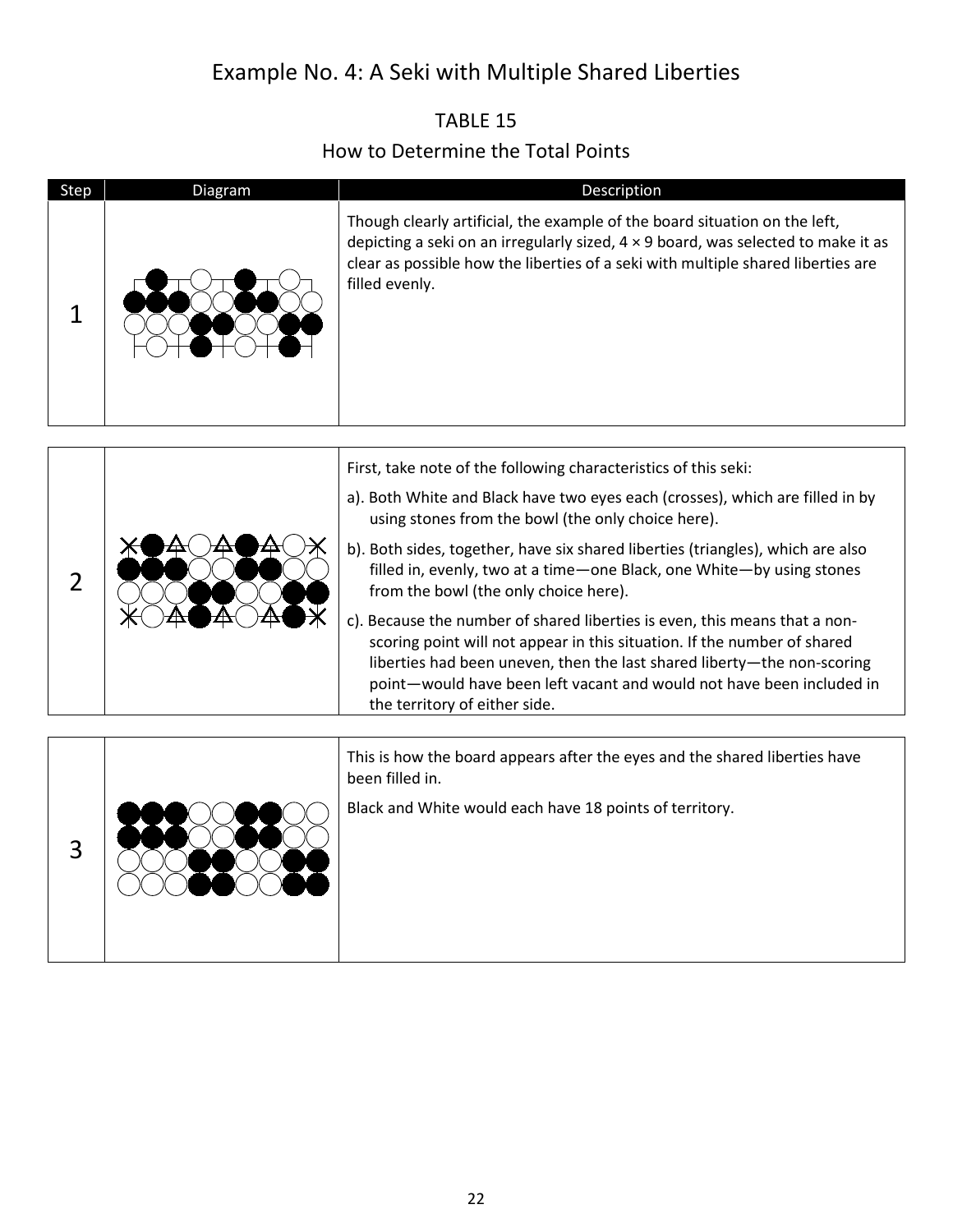### Example No. 4: A Seki with Multiple Shared Liberties

#### TABLE 15 How to Determine the Total Points

<span id="page-21-2"></span><span id="page-21-1"></span><span id="page-21-0"></span>

| Step           | Diagram | Description                                                                                                                                                                                                                                                                                                                                                                                                                                                                                                                                                                                                                                                                                                                                                |
|----------------|---------|------------------------------------------------------------------------------------------------------------------------------------------------------------------------------------------------------------------------------------------------------------------------------------------------------------------------------------------------------------------------------------------------------------------------------------------------------------------------------------------------------------------------------------------------------------------------------------------------------------------------------------------------------------------------------------------------------------------------------------------------------------|
| 1              |         | Though clearly artificial, the example of the board situation on the left,<br>depicting a seki on an irregularly sized, $4 \times 9$ board, was selected to make it as<br>clear as possible how the liberties of a seki with multiple shared liberties are<br>filled evenly.                                                                                                                                                                                                                                                                                                                                                                                                                                                                               |
| $\overline{2}$ |         | First, take note of the following characteristics of this seki:<br>a). Both White and Black have two eyes each (crosses), which are filled in by<br>using stones from the bowl (the only choice here).<br>b). Both sides, together, have six shared liberties (triangles), which are also<br>filled in, evenly, two at a time-one Black, one White-by using stones<br>from the bowl (the only choice here).<br>c). Because the number of shared liberties is even, this means that a non-<br>scoring point will not appear in this situation. If the number of shared<br>liberties had been uneven, then the last shared liberty-the non-scoring<br>point-would have been left vacant and would not have been included in<br>the territory of either side. |
| 3              |         | This is how the board appears after the eyes and the shared liberties have<br>been filled in.<br>Black and White would each have 18 points of territory.                                                                                                                                                                                                                                                                                                                                                                                                                                                                                                                                                                                                   |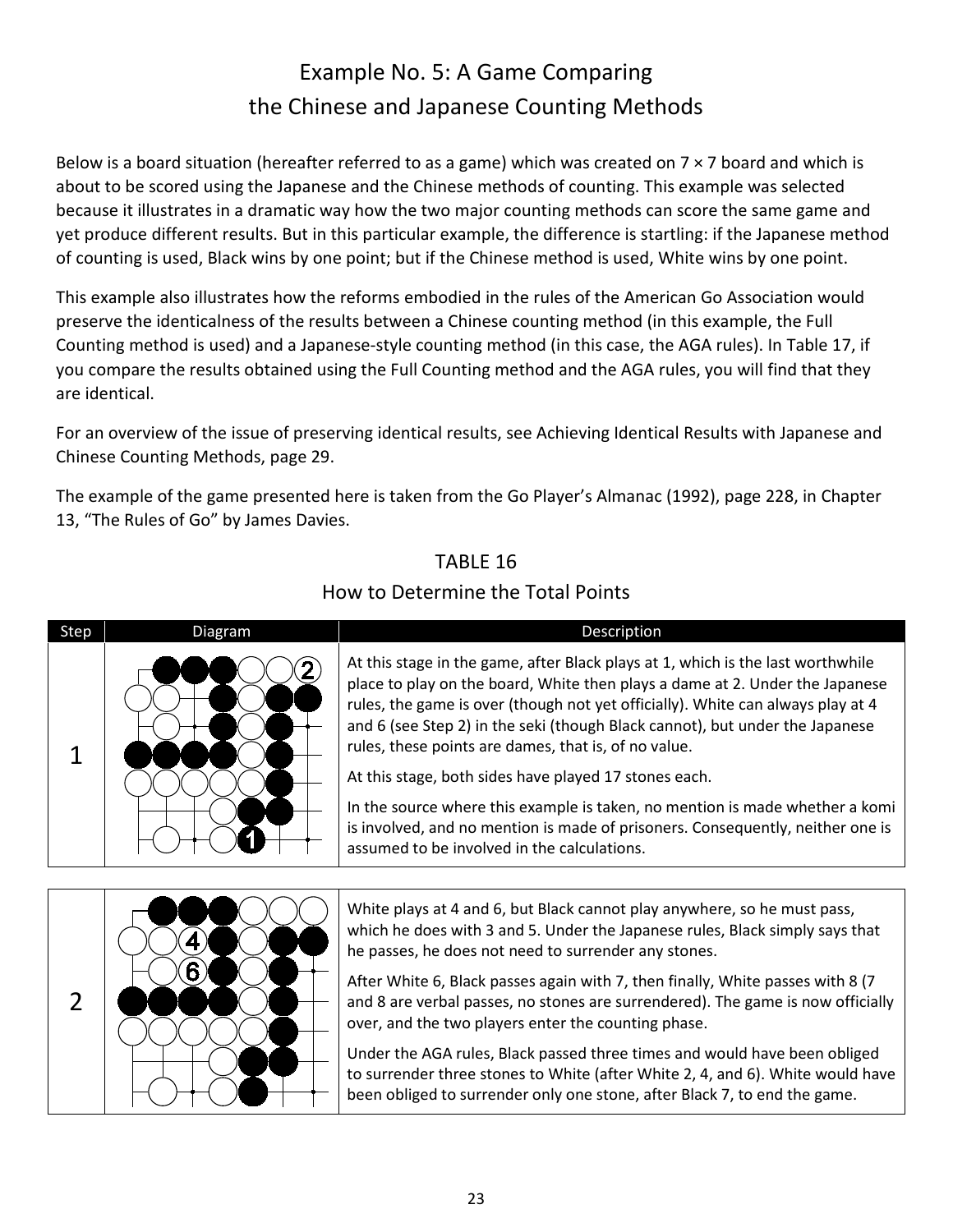# Example No. 5: A Game Comparing the Chinese and Japanese Counting Methods

<span id="page-22-2"></span><span id="page-22-0"></span>Below is a board situation (hereafter referred to as a game) which was created on  $7 \times 7$  board and which is about to be scored using the Japanese and the Chinese methods of counting. This example was selected because it illustrates in a dramatic way how the two major counting methods can score the same game and yet produce different results. But in this particular example, the difference is startling: if the Japanese method of counting is used, Black wins by one point; but if the Chinese method is used, White wins by one point.

This example also illustrates how the reforms embodied in the rules of the American Go Association would preserve the identicalness of the results between a Chinese counting method (in this example, the Full Counting method is used) and a Japanese-style counting method (in this case, the AGA rules). In Table 17, if you compare the results obtained using the Full Counting method and the AGA rules, you will find that they are identical.

For an overview of the issue of preserving identical results, see [Achieving Identical Results with Japanese and](#page-28-1)  [Chinese Counting Methods, page 29.](#page-28-1) 

<span id="page-22-1"></span>The example of the game presented here is taken from the Go Player's Almanac (1992), page 228, in Chapter 13, "The Rules of Go" by James Davies.

#### TABLE 16

#### Step Diagram Diagram Description 1 At this stage in the game, after Black plays at 1, which is the last worthwhile place to play on the board, White then plays a dame at 2. Under the Japanese rules, the game is over (though not yet officially). White can always play at 4 and 6 (see Step 2) in the seki (though Black cannot), but under the Japanese rules, these points are dames, that is, of no value. At this stage, both sides have played 17 stones each. In the source where this example is taken, no mention is made whether a komi is involved, and no mention is made of prisoners. Consequently, neither one is assumed to be involved in the calculations.

#### How to Determine the Total Points

2 White plays at 4 and 6, but Black cannot play anywhere, so he must pass, which he does with 3 and 5. Under the Japanese rules, Black simply says that he passes, he does not need to surrender any stones. After White 6, Black passes again with 7, then finally, White passes with 8 (7 and 8 are verbal passes, no stones are surrendered). The game is now officially over, and the two players enter the counting phase. Under the AGA rules, Black passed three times and would have been obliged to surrender three stones to White (after White 2, 4, and 6). White would have been obliged to surrender only one stone, after Black 7, to end the game.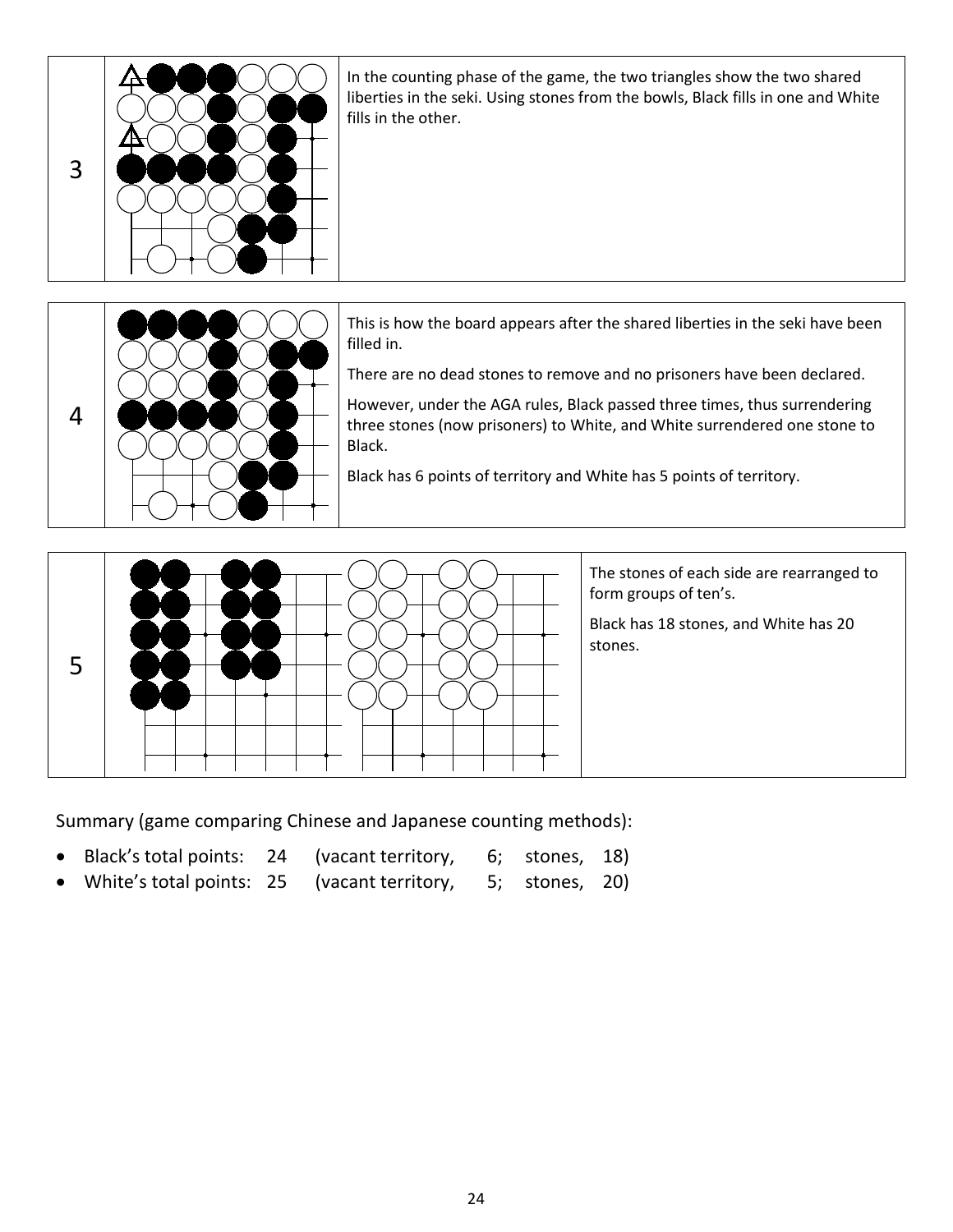



This is how the board appears after the shared liberties in the seki have been filled in.

There are no dead stones to remove and no prisoners have been declared.

However, under the AGA rules, Black passed three times, thus surrendering three stones (now prisoners) to White, and White surrendered one stone to Black.

Black has 6 points of territory and White has 5 points of territory.



The stones of each side are rearranged to form groups of ten's.

Black has 18 stones, and White has 20 stones.

Summary (game comparing Chinese and Japanese counting methods):

- Black's total points: 24 (vacant territory, 6; stones, 18)
- White's total points: 25 (vacant territory, 5; stones, 20)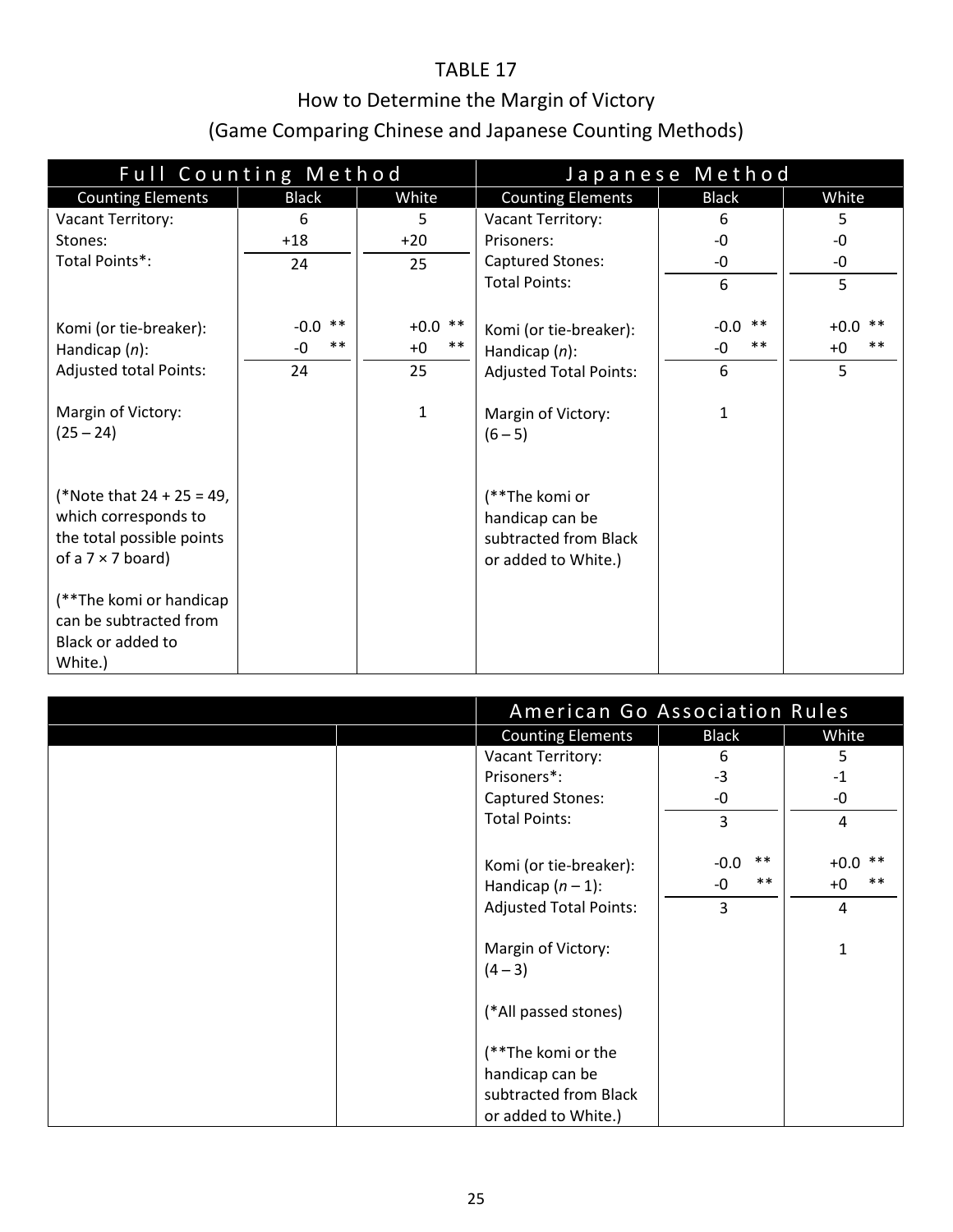#### TABLE 17

### How to Determine the Margin of Victory

### (Game Comparing Chinese and Japanese Counting Methods)

<span id="page-24-0"></span>

| Full Counting Method          |               |               | Japanese Method               |                 |               |
|-------------------------------|---------------|---------------|-------------------------------|-----------------|---------------|
| <b>Counting Elements</b>      | <b>Black</b>  | White         | <b>Counting Elements</b>      | <b>Black</b>    | White         |
| Vacant Territory:             | 6             | 5.            | Vacant Territory:             | 6               | 5             |
| Stones:                       | $+18$         | $+20$         | Prisoners:                    | -0              | -0            |
| Total Points*:                | 24            | 25            | <b>Captured Stones:</b>       | -0              | -0            |
|                               |               |               | <b>Total Points:</b>          | 6               | 5             |
|                               |               |               |                               |                 |               |
| Komi (or tie-breaker):        | $-0.0$ **     | $+0.0$ **     | Komi (or tie-breaker):        | $***$<br>$-0.0$ | $+0.0$ **     |
| Handicap $(n)$ :              | $***$<br>$-0$ | $***$<br>$+0$ | Handicap $(n)$ :              | $***$<br>-0     | $***$<br>$+0$ |
| <b>Adjusted total Points:</b> | 24            | 25            | <b>Adjusted Total Points:</b> | 6               | 5             |
|                               |               |               |                               |                 |               |
| Margin of Victory:            |               | $\mathbf{1}$  | Margin of Victory:            | $\mathbf{1}$    |               |
| $(25 - 24)$                   |               |               | $(6 - 5)$                     |                 |               |
|                               |               |               |                               |                 |               |
|                               |               |               |                               |                 |               |
| (*Note that $24 + 25 = 49$ ,  |               |               | (**The komi or                |                 |               |
| which corresponds to          |               |               | handicap can be               |                 |               |
| the total possible points     |               |               | subtracted from Black         |                 |               |
| of a $7 \times 7$ board)      |               |               | or added to White.)           |                 |               |
|                               |               |               |                               |                 |               |
| (**The komi or handicap       |               |               |                               |                 |               |
| can be subtracted from        |               |               |                               |                 |               |
| Black or added to             |               |               |                               |                 |               |
| White.)                       |               |               |                               |                 |               |

| American Go Association Rules |                 |                    |
|-------------------------------|-----------------|--------------------|
| <b>Counting Elements</b>      | <b>Black</b>    | White              |
| Vacant Territory:             | 6               | 5                  |
| Prisoners*:                   | $-3$            | $-1$               |
| Captured Stones:              | -0              | -0                 |
| <b>Total Points:</b>          | 3               | 4                  |
|                               |                 |                    |
| Komi (or tie-breaker):        | $***$<br>$-0.0$ | $***$<br>$+0.0$    |
| Handicap $(n-1)$ :            | $***$<br>-0     | $\ast\ast$<br>$+0$ |
| <b>Adjusted Total Points:</b> | 3               | 4                  |
| Margin of Victory:<br>$(4-3)$ |                 | 1                  |
| (*All passed stones)          |                 |                    |
| (**The komi or the            |                 |                    |
| handicap can be               |                 |                    |
| subtracted from Black         |                 |                    |
| or added to White.)           |                 |                    |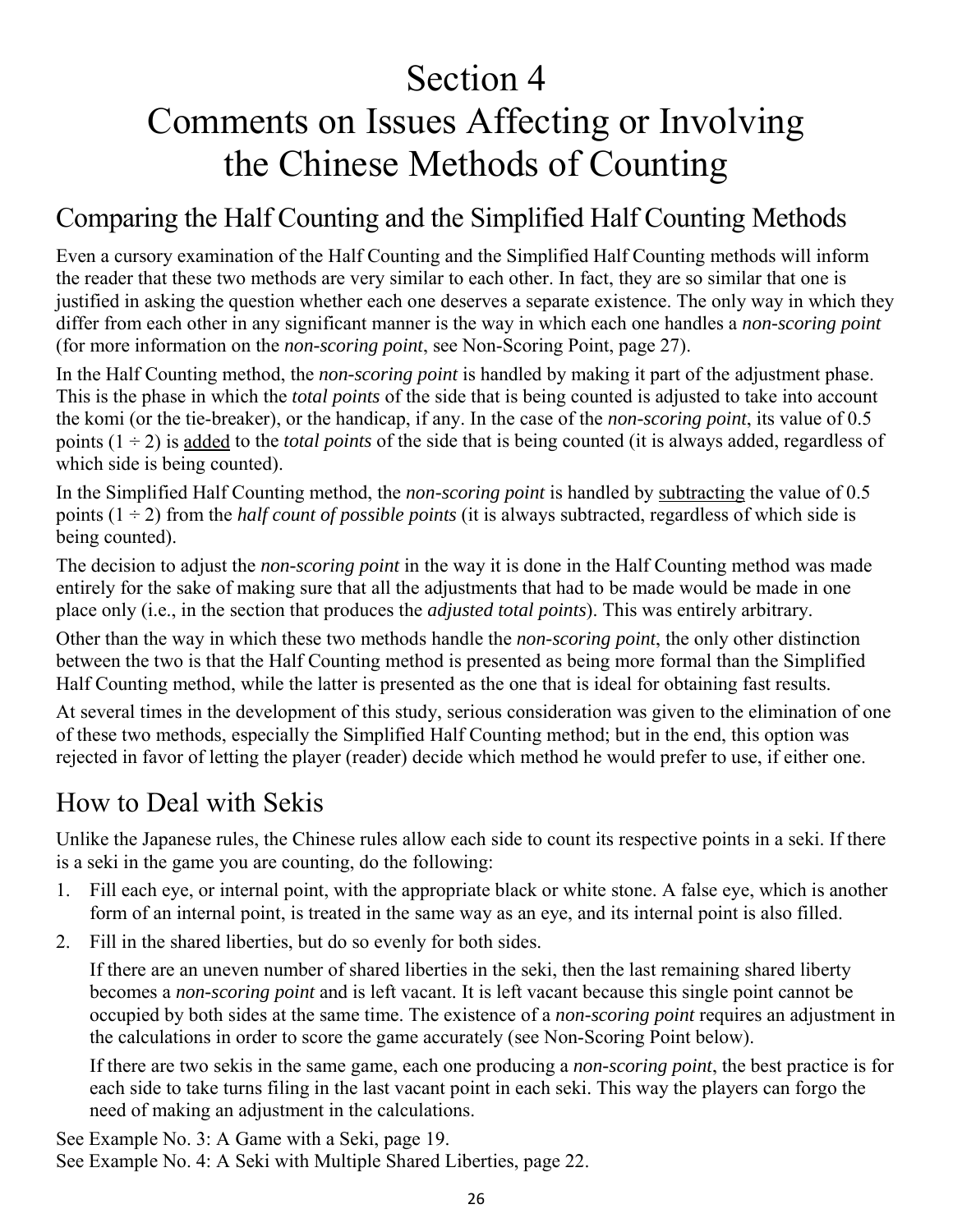# <span id="page-25-3"></span><span id="page-25-0"></span>Section 4 Comments on Issues Affecting or Involving the Chinese Methods of Counting

### <span id="page-25-1"></span>Comparing the Half Counting and the Simplified Half Counting Methods

Even a cursory examination of the Half Counting and the Simplified Half Counting methods will inform the reader that these two methods are very similar to each other. In fact, they are so similar that one is justified in asking the question whether each one deserves a separate existence. The only way in which they differ from each other in any significant manner is the way in which each one handles a *non-scoring point* (for more information on the *non-scoring point*, se[e Non-Scoring Point, page 27\).](#page-26-1)

In the Half Counting method, the *non-scoring point* is handled by making it part of the adjustment phase. This is the phase in which the *total points* of the side that is being counted is adjusted to take into account the komi (or the tie-breaker), or the handicap, if any. In the case of the *non-scoring point*, its value of 0.5 points  $(1 \div 2)$  is added to the *total points* of the side that is being counted (it is always added, regardless of which side is being counted).

In the Simplified Half Counting method, the *non-scoring point* is handled by subtracting the value of 0.5 points  $(1 \div 2)$  from the *half count of possible points* (it is always subtracted, regardless of which side is being counted).

The decision to adjust the *non-scoring point* in the way it is done in the Half Counting method was made entirely for the sake of making sure that all the adjustments that had to be made would be made in one place only (i.e., in the section that produces the *adjusted total points*). This was entirely arbitrary.

Other than the way in which these two methods handle the *non-scoring point*, the only other distinction between the two is that the Half Counting method is presented as being more formal than the Simplified Half Counting method, while the latter is presented as the one that is ideal for obtaining fast results.

At several times in the development of this study, serious consideration was given to the elimination of one of these two methods, especially the Simplified Half Counting method; but in the end, this option was rejected in favor of letting the player (reader) decide which method he would prefer to use, if either one.

### <span id="page-25-2"></span>How to Deal with Sekis

Unlike the Japanese rules, the Chinese rules allow each side to count its respective points in a seki. If there is a seki in the game you are counting, do the following:

- 1. Fill each eye, or internal point, with the appropriate black or white stone. A false eye, which is another form of an internal point, is treated in the same way as an eye, and its internal point is also filled.
- 2. Fill in the shared liberties, but do so evenly for both sides.

If there are an uneven number of shared liberties in the seki, then the last remaining shared liberty becomes a *non-scoring point* and is left vacant. It is left vacant because this single point cannot be occupied by both sides at the same time. The existence of a *non-scoring point* requires an adjustment in the calculations in order to score the game accurately (see Non-Scoring Point below).

If there are two sekis in the same game, each one producing a *non-scoring point*, the best practice is for each side to take turns filing in the last vacant point in each seki. This way the players can forgo the need of making an adjustment in the calculations.

See [Example No. 3: A Game with a Seki, page 19.](#page-18-2)  See [Example No. 4: A Seki with Multiple Shared Liberties, page 22.](#page-21-2)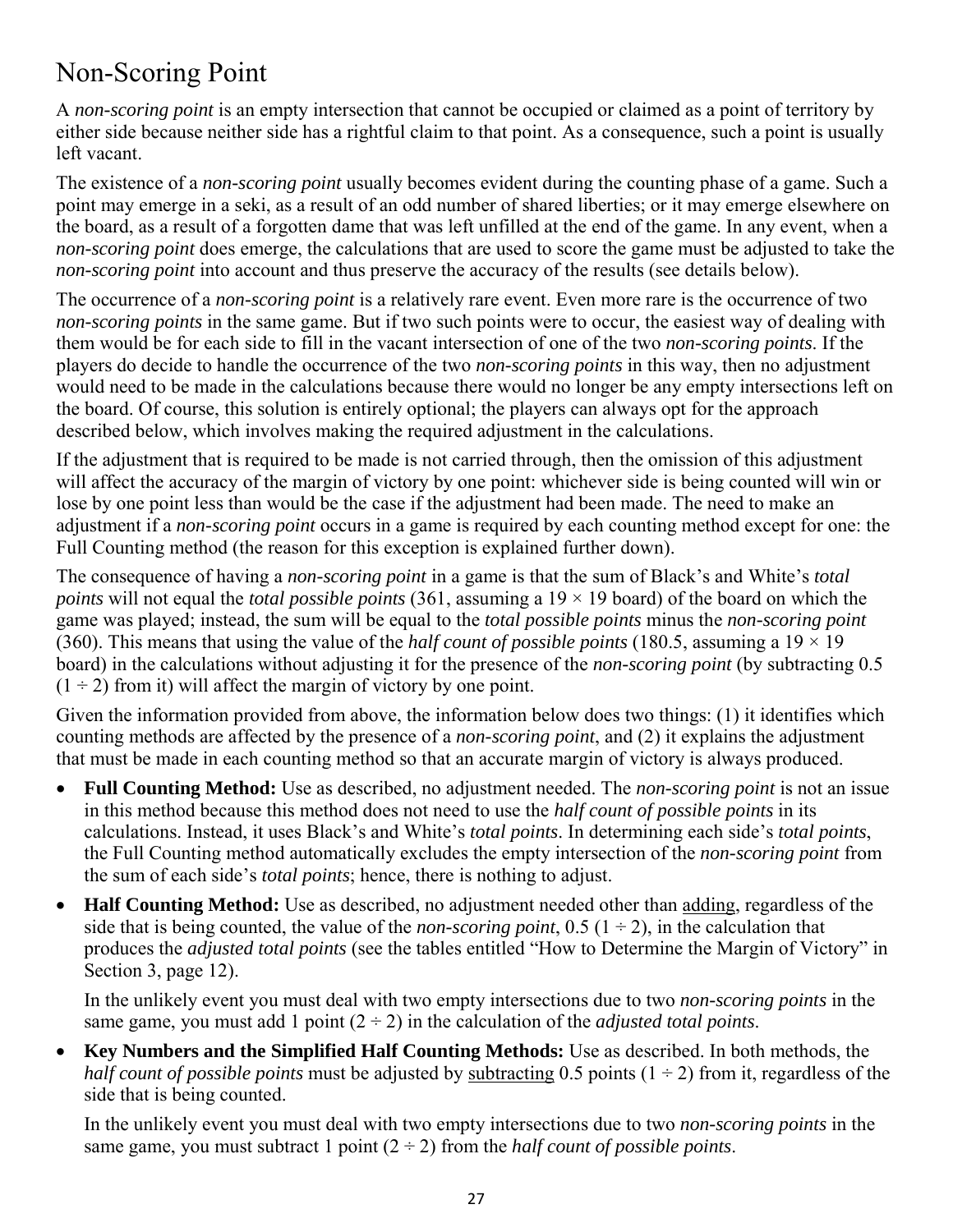# <span id="page-26-1"></span><span id="page-26-0"></span>Non-Scoring Point

A *non-scoring point* is an empty intersection that cannot be occupied or claimed as a point of territory by either side because neither side has a rightful claim to that point. As a consequence, such a point is usually left vacant.

The existence of a *non-scoring point* usually becomes evident during the counting phase of a game. Such a point may emerge in a seki, as a result of an odd number of shared liberties; or it may emerge elsewhere on the board, as a result of a forgotten dame that was left unfilled at the end of the game. In any event, when a *non-scoring point* does emerge, the calculations that are used to score the game must be adjusted to take the *non-scoring point* into account and thus preserve the accuracy of the results (see details below).

The occurrence of a *non-scoring point* is a relatively rare event. Even more rare is the occurrence of two *non-scoring points* in the same game. But if two such points were to occur, the easiest way of dealing with them would be for each side to fill in the vacant intersection of one of the two *non-scoring points*. If the players do decide to handle the occurrence of the two *non-scoring points* in this way, then no adjustment would need to be made in the calculations because there would no longer be any empty intersections left on the board. Of course, this solution is entirely optional; the players can always opt for the approach described below, which involves making the required adjustment in the calculations.

If the adjustment that is required to be made is not carried through, then the omission of this adjustment will affect the accuracy of the margin of victory by one point: whichever side is being counted will win or lose by one point less than would be the case if the adjustment had been made. The need to make an adjustment if a *non-scoring point* occurs in a game is required by each counting method except for one: the Full Counting method (the reason for this exception is explained further down).

The consequence of having a *non-scoring point* in a game is that the sum of Black's and White's *total points* will not equal the *total possible points* (361, assuming a 19 × 19 board) of the board on which the game was played; instead, the sum will be equal to the *total possible points* minus the *non-scoring point* (360). This means that using the value of the *half count of possible points* (180.5, assuming a  $19 \times 19$ ) board) in the calculations without adjusting it for the presence of the *non-scoring point* (by subtracting 0.5  $(1 \div 2)$  from it) will affect the margin of victory by one point.

Given the information provided from above, the information below does two things: (1) it identifies which counting methods are affected by the presence of a *non-scoring point*, and (2) it explains the adjustment that must be made in each counting method so that an accurate margin of victory is always produced.

- **Full Counting Method:** Use as described, no adjustment needed. The *non-scoring point* is not an issue in this method because this method does not need to use the *half count of possible points* in its calculations. Instead, it uses Black's and White's *total points*. In determining each side's *total points*, the Full Counting method automatically excludes the empty intersection of the *non-scoring point* from the sum of each side's *total points*; hence, there is nothing to adjust.
- **Half Counting Method:** Use as described, no adjustment needed other than adding, regardless of the side that is being counted, the value of the *non-scoring point*,  $0.5$  ( $1 \div 2$ ), in the calculation that produces the *adjusted total points* (see the tables entitled "How to Determine the Margin of Victory" in [Section 3, page 12\).](#page-11-1)

In the unlikely event you must deal with two empty intersections due to two *non-scoring points* in the same game, you must add 1 point  $(2 \div 2)$  in the calculation of the *adjusted total points*.

• **Key Numbers and the Simplified Half Counting Methods:** Use as described. In both methods, the *half count of possible points* must be adjusted by subtracting 0.5 points  $(1 \div 2)$  from it, regardless of the side that is being counted.

In the unlikely event you must deal with two empty intersections due to two *non-scoring points* in the same game, you must subtract 1 point  $(2 \div 2)$  from the *half count of possible points*.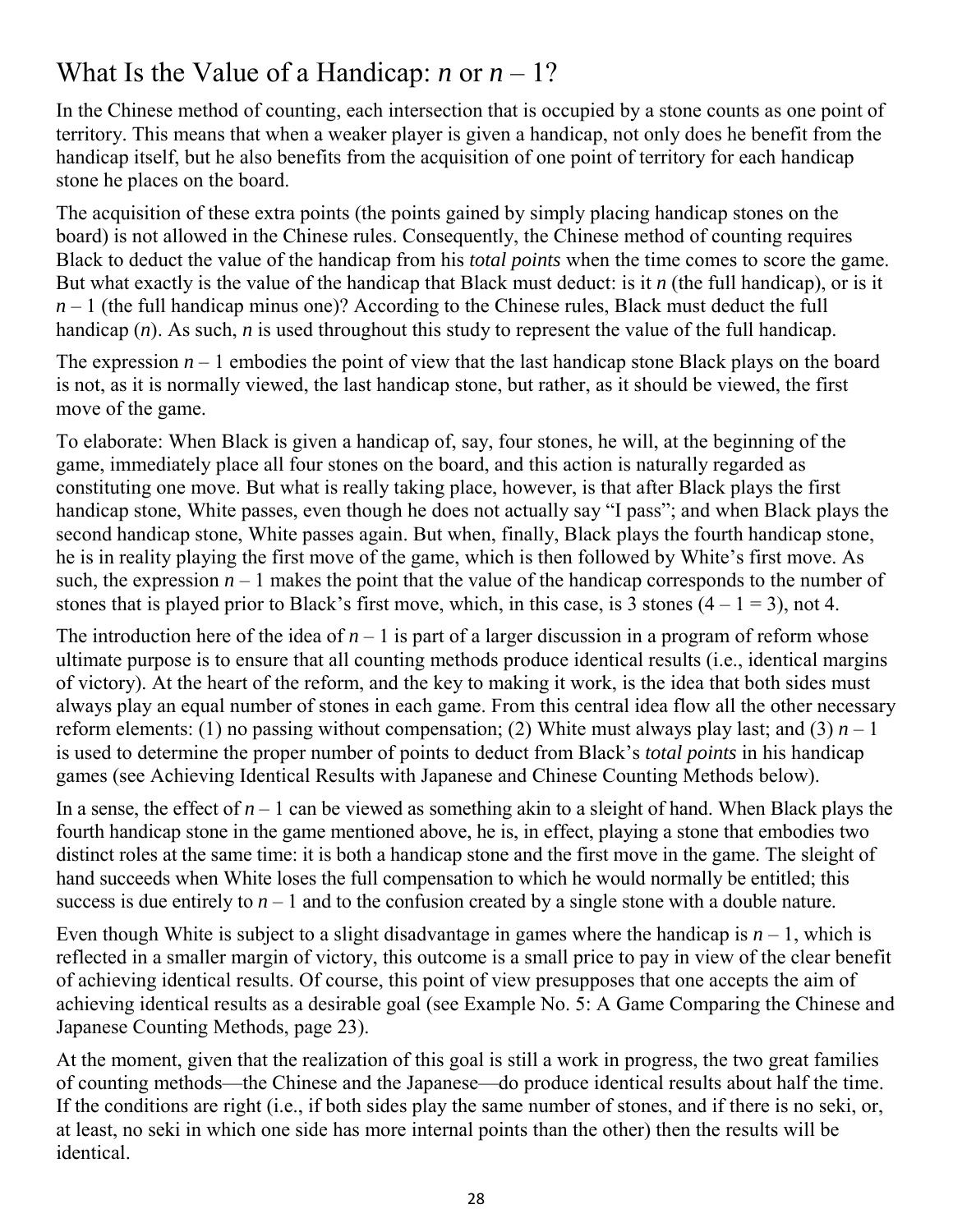## <span id="page-27-0"></span>What Is the Value of a Handicap: *n* or  $n - 1$ ?

In the Chinese method of counting, each intersection that is occupied by a stone counts as one point of territory. This means that when a weaker player is given a handicap, not only does he benefit from the handicap itself, but he also benefits from the acquisition of one point of territory for each handicap stone he places on the board.

The acquisition of these extra points (the points gained by simply placing handicap stones on the board) is not allowed in the Chinese rules. Consequently, the Chinese method of counting requires Black to deduct the value of the handicap from his *total points* when the time comes to score the game. But what exactly is the value of the handicap that Black must deduct: is it *n* (the full handicap), or is it  $n-1$  (the full handicap minus one)? According to the Chinese rules, Black must deduct the full handicap (*n*). As such, *n* is used throughout this study to represent the value of the full handicap.

The expression  $n-1$  embodies the point of view that the last handicap stone Black plays on the board is not, as it is normally viewed, the last handicap stone, but rather, as it should be viewed, the first move of the game.

To elaborate: When Black is given a handicap of, say, four stones, he will, at the beginning of the game, immediately place all four stones on the board, and this action is naturally regarded as constituting one move. But what is really taking place, however, is that after Black plays the first handicap stone, White passes, even though he does not actually say "I pass"; and when Black plays the second handicap stone, White passes again. But when, finally, Black plays the fourth handicap stone, he is in reality playing the first move of the game, which is then followed by White's first move. As such, the expression  $n-1$  makes the point that the value of the handicap corresponds to the number of stones that is played prior to Black's first move, which, in this case, is 3 stones  $(4 - 1 = 3)$ , not 4.

The introduction here of the idea of  $n-1$  is part of a larger discussion in a program of reform whose ultimate purpose is to ensure that all counting methods produce identical results (i.e., identical margins of victory). At the heart of the reform, and the key to making it work, is the idea that both sides must always play an equal number of stones in each game. From this central idea flow all the other necessary reform elements: (1) no passing without compensation; (2) White must always play last; and (3)  $n-1$ is used to determine the proper number of points to deduct from Black's *total points* in his handicap games (see Achieving Identical Results with Japanese and Chinese Counting Methods below).

In a sense, the effect of  $n-1$  can be viewed as something akin to a sleight of hand. When Black plays the fourth handicap stone in the game mentioned above, he is, in effect, playing a stone that embodies two distinct roles at the same time: it is both a handicap stone and the first move in the game. The sleight of hand succeeds when White loses the full compensation to which he would normally be entitled; this success is due entirely to  $n-1$  and to the confusion created by a single stone with a double nature.

Even though White is subject to a slight disadvantage in games where the handicap is  $n-1$ , which is reflected in a smaller margin of victory, this outcome is a small price to pay in view of the clear benefit of achieving identical results. Of course, this point of view presupposes that one accepts the aim of achieving identical results as a desirable goal (see [Example No. 5: A Game Comparing the Chinese and](#page-22-2)  [Japanese Counting Methods, page 23\).](#page-22-2)

At the moment, given that the realization of this goal is still a work in progress, the two great families of counting methods—the Chinese and the Japanese—do produce identical results about half the time. If the conditions are right (i.e., if both sides play the same number of stones, and if there is no seki, or, at least, no seki in which one side has more internal points than the other) then the results will be identical.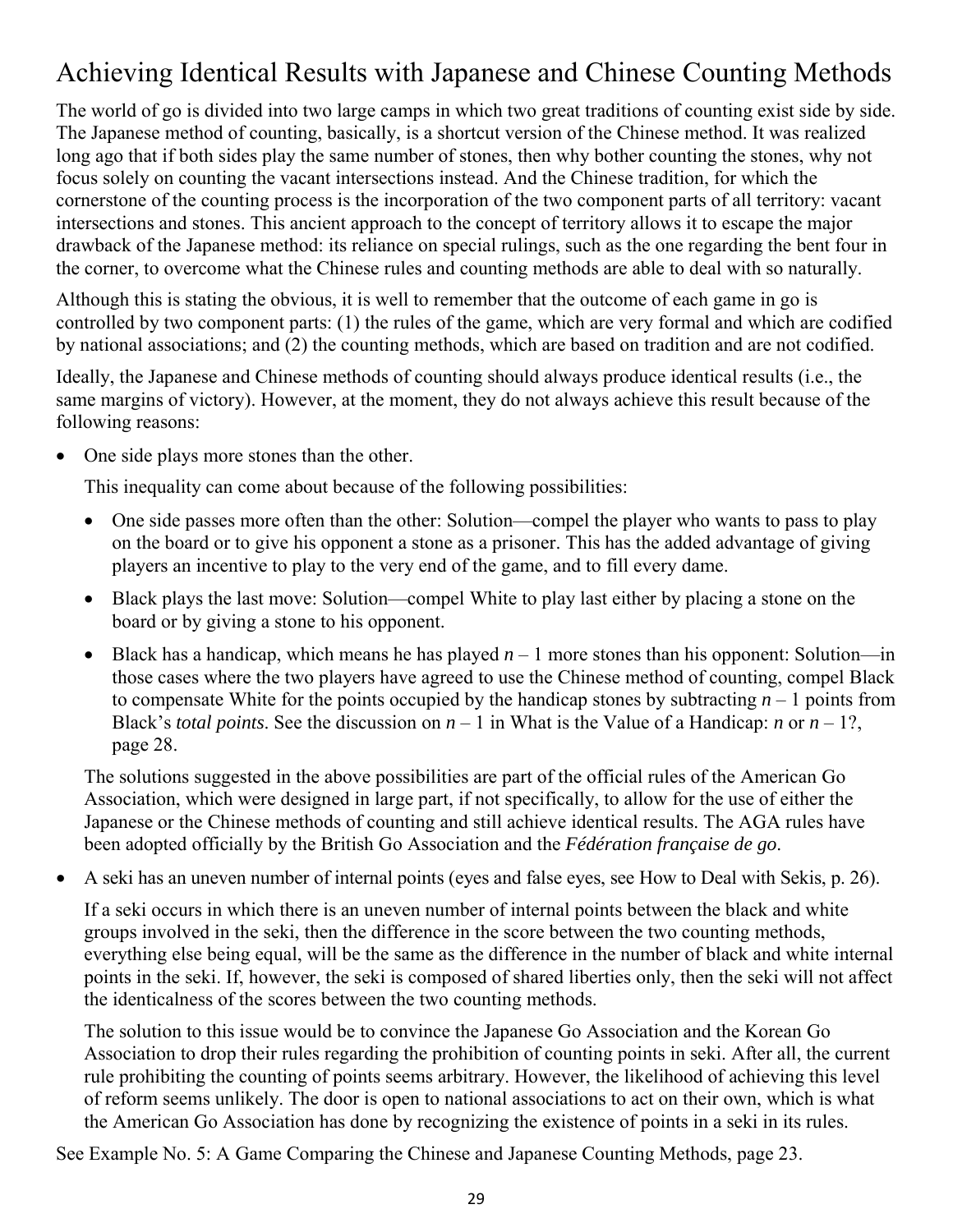# <span id="page-28-1"></span><span id="page-28-0"></span>Achieving Identical Results with Japanese and Chinese Counting Methods

The world of go is divided into two large camps in which two great traditions of counting exist side by side. The Japanese method of counting, basically, is a shortcut version of the Chinese method. It was realized long ago that if both sides play the same number of stones, then why bother counting the stones, why not focus solely on counting the vacant intersections instead. And the Chinese tradition, for which the cornerstone of the counting process is the incorporation of the two component parts of all territory: vacant intersections and stones. This ancient approach to the concept of territory allows it to escape the major drawback of the Japanese method: its reliance on special rulings, such as the one regarding the bent four in the corner, to overcome what the Chinese rules and counting methods are able to deal with so naturally.

Although this is stating the obvious, it is well to remember that the outcome of each game in go is controlled by two component parts: (1) the rules of the game, which are very formal and which are codified by national associations; and (2) the counting methods, which are based on tradition and are not codified.

Ideally, the Japanese and Chinese methods of counting should always produce identical results (i.e., the same margins of victory). However, at the moment, they do not always achieve this result because of the following reasons:

• One side plays more stones than the other.

This inequality can come about because of the following possibilities:

- One side passes more often than the other: Solution—compel the player who wants to pass to play on the board or to give his opponent a stone as a prisoner. This has the added advantage of giving players an incentive to play to the very end of the game, and to fill every dame.
- Black plays the last move: Solution—compel White to play last either by placing a stone on the board or by giving a stone to his opponent.
- Black has a handicap, which means he has played  $n-1$  more stones than his opponent: Solution—in those cases where the two players have agreed to use the Chinese method of counting, compel Black to compensate White for the points occupied by the handicap stones by subtracting  $n-1$  points from Black's *total points*. See the discussion on  $n-1$  in What is the Value of a Handicap: *n* or  $n-1$ ?, page 28.

The solutions suggested in the above possibilities are part of the official rules of the American Go Association, which were designed in large part, if not specifically, to allow for the use of either the Japanese or the Chinese methods of counting and still achieve identical results. The AGA rules have been adopted officially by the British Go Association and the *Fédération française de go*.

• A seki has an uneven number of internal points (eyes and false eyes, se[e How to Deal with Sekis, p. 26\).](#page-25-3)

If a seki occurs in which there is an uneven number of internal points between the black and white groups involved in the seki, then the difference in the score between the two counting methods, everything else being equal, will be the same as the difference in the number of black and white internal points in the seki. If, however, the seki is composed of shared liberties only, then the seki will not affect the identicalness of the scores between the two counting methods.

The solution to this issue would be to convince the Japanese Go Association and the Korean Go Association to drop their rules regarding the prohibition of counting points in seki. After all, the current rule prohibiting the counting of points seems arbitrary. However, the likelihood of achieving this level of reform seems unlikely. The door is open to national associations to act on their own, which is what the American Go Association has done by recognizing the existence of points in a seki in its rules.

See [Example No. 5: A Game Comparing the Chinese and Japanese Counting Methods, page 23.](#page-22-2)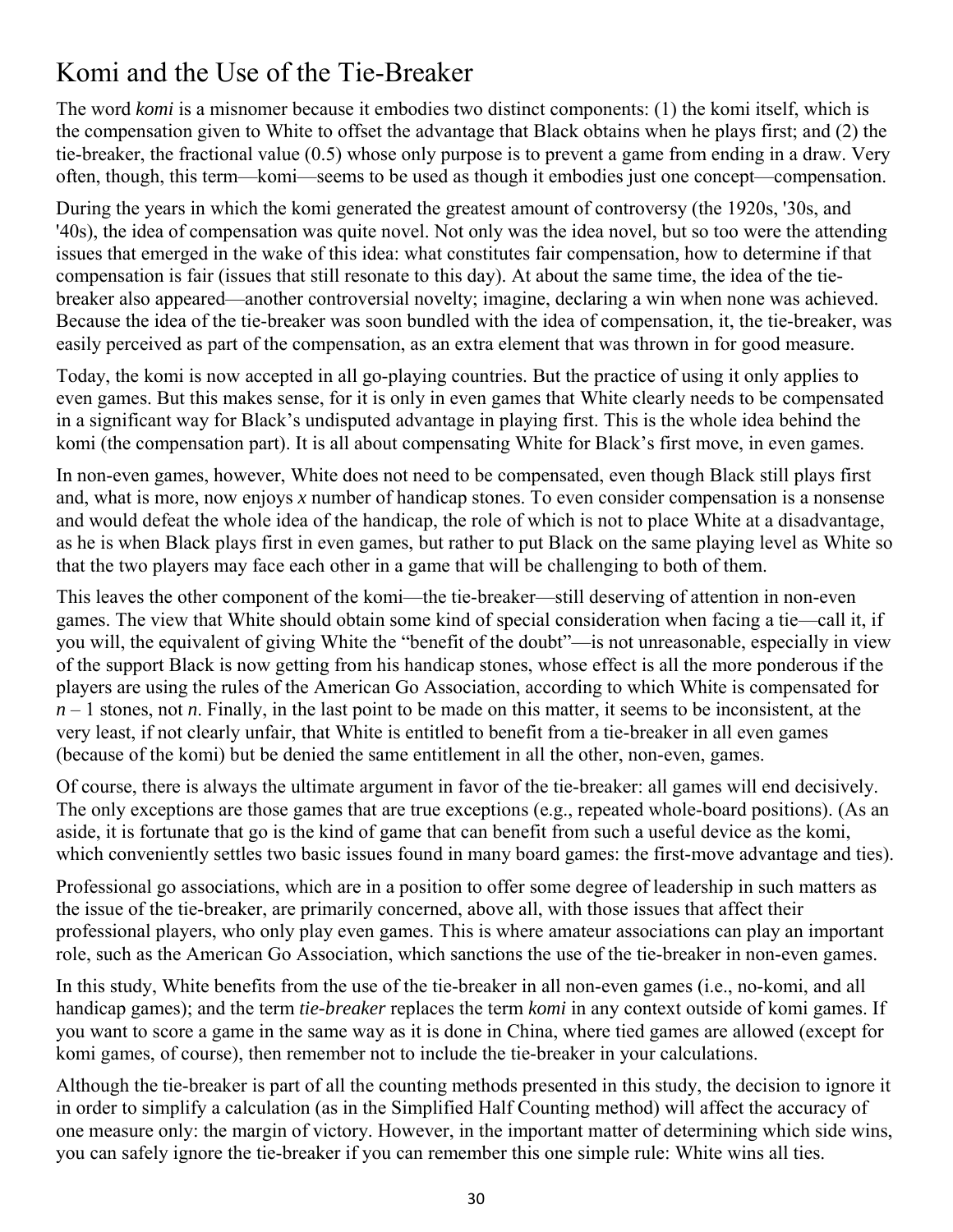# <span id="page-29-1"></span><span id="page-29-0"></span>Komi and the Use of the Tie-Breaker

The word *komi* is a misnomer because it embodies two distinct components: (1) the komi itself, which is the compensation given to White to offset the advantage that Black obtains when he plays first; and (2) the tie-breaker, the fractional value (0.5) whose only purpose is to prevent a game from ending in a draw. Very often, though, this term—komi—seems to be used as though it embodies just one concept—compensation.

During the years in which the komi generated the greatest amount of controversy (the 1920s, '30s, and '40s), the idea of compensation was quite novel. Not only was the idea novel, but so too were the attending issues that emerged in the wake of this idea: what constitutes fair compensation, how to determine if that compensation is fair (issues that still resonate to this day). At about the same time, the idea of the tiebreaker also appeared—another controversial novelty; imagine, declaring a win when none was achieved. Because the idea of the tie-breaker was soon bundled with the idea of compensation, it, the tie-breaker, was easily perceived as part of the compensation, as an extra element that was thrown in for good measure.

Today, the komi is now accepted in all go-playing countries. But the practice of using it only applies to even games. But this makes sense, for it is only in even games that White clearly needs to be compensated in a significant way for Black's undisputed advantage in playing first. This is the whole idea behind the komi (the compensation part). It is all about compensating White for Black's first move, in even games.

In non-even games, however, White does not need to be compensated, even though Black still plays first and, what is more, now enjoys *x* number of handicap stones. To even consider compensation is a nonsense and would defeat the whole idea of the handicap, the role of which is not to place White at a disadvantage, as he is when Black plays first in even games, but rather to put Black on the same playing level as White so that the two players may face each other in a game that will be challenging to both of them.

This leaves the other component of the komi—the tie-breaker—still deserving of attention in non-even games. The view that White should obtain some kind of special consideration when facing a tie—call it, if you will, the equivalent of giving White the "benefit of the doubt"—is not unreasonable, especially in view of the support Black is now getting from his handicap stones, whose effect is all the more ponderous if the players are using the rules of the American Go Association, according to which White is compensated for *n* – 1 stones, not *n*. Finally, in the last point to be made on this matter, it seems to be inconsistent, at the very least, if not clearly unfair, that White is entitled to benefit from a tie-breaker in all even games (because of the komi) but be denied the same entitlement in all the other, non-even, games.

Of course, there is always the ultimate argument in favor of the tie-breaker: all games will end decisively. The only exceptions are those games that are true exceptions (e.g., repeated whole-board positions). (As an aside, it is fortunate that go is the kind of game that can benefit from such a useful device as the komi, which conveniently settles two basic issues found in many board games: the first-move advantage and ties).

Professional go associations, which are in a position to offer some degree of leadership in such matters as the issue of the tie-breaker, are primarily concerned, above all, with those issues that affect their professional players, who only play even games. This is where amateur associations can play an important role, such as the American Go Association, which sanctions the use of the tie-breaker in non-even games.

In this study, White benefits from the use of the tie-breaker in all non-even games (i.e., no-komi, and all handicap games); and the term *tie-breaker* replaces the term *komi* in any context outside of komi games. If you want to score a game in the same way as it is done in China, where tied games are allowed (except for komi games, of course), then remember not to include the tie-breaker in your calculations.

Although the tie-breaker is part of all the counting methods presented in this study, the decision to ignore it in order to simplify a calculation (as in the Simplified Half Counting method) will affect the accuracy of one measure only: the margin of victory. However, in the important matter of determining which side wins, you can safely ignore the tie-breaker if you can remember this one simple rule: White wins all ties.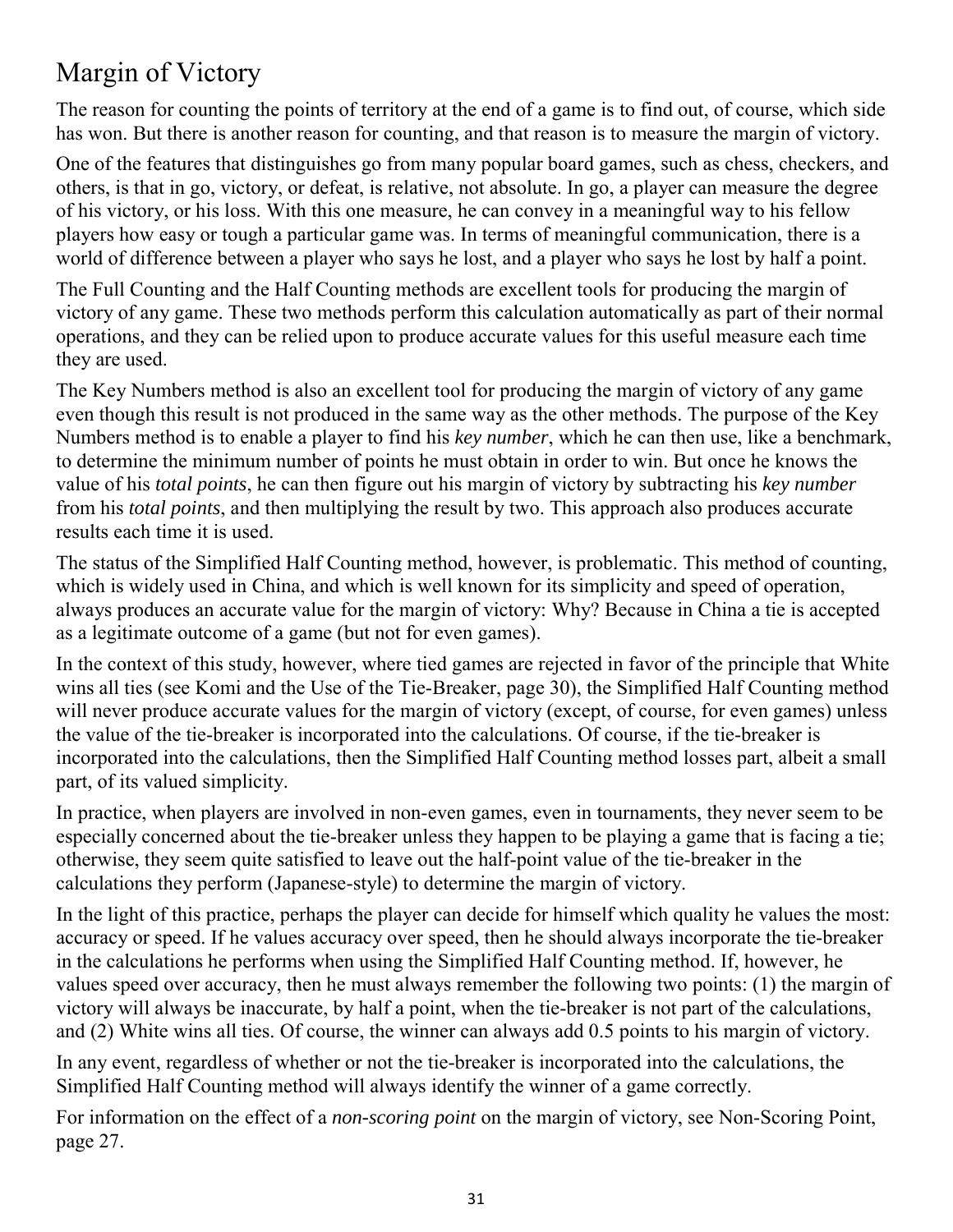# <span id="page-30-1"></span><span id="page-30-0"></span>Margin of Victory

The reason for counting the points of territory at the end of a game is to find out, of course, which side has won. But there is another reason for counting, and that reason is to measure the margin of victory.

One of the features that distinguishes go from many popular board games, such as chess, checkers, and others, is that in go, victory, or defeat, is relative, not absolute. In go, a player can measure the degree of his victory, or his loss. With this one measure, he can convey in a meaningful way to his fellow players how easy or tough a particular game was. In terms of meaningful communication, there is a world of difference between a player who says he lost, and a player who says he lost by half a point.

The Full Counting and the Half Counting methods are excellent tools for producing the margin of victory of any game. These two methods perform this calculation automatically as part of their normal operations, and they can be relied upon to produce accurate values for this useful measure each time they are used.

The Key Numbers method is also an excellent tool for producing the margin of victory of any game even though this result is not produced in the same way as the other methods. The purpose of the Key Numbers method is to enable a player to find his *key number*, which he can then use, like a benchmark, to determine the minimum number of points he must obtain in order to win. But once he knows the value of his *total points*, he can then figure out his margin of victory by subtracting his *key number* from his *total points*, and then multiplying the result by two. This approach also produces accurate results each time it is used.

The status of the Simplified Half Counting method, however, is problematic. This method of counting, which is widely used in China, and which is well known for its simplicity and speed of operation, always produces an accurate value for the margin of victory: Why? Because in China a tie is accepted as a legitimate outcome of a game (but not for even games).

In the context of this study, however, where tied games are rejected in favor of the principle that White wins all ties (see [Komi and the Use of the Tie-Breaker, page 30\)](#page-29-1), the Simplified Half Counting method will never produce accurate values for the margin of victory (except, of course, for even games) unless the value of the tie-breaker is incorporated into the calculations. Of course, if the tie-breaker is incorporated into the calculations, then the Simplified Half Counting method losses part, albeit a small part, of its valued simplicity.

In practice, when players are involved in non-even games, even in tournaments, they never seem to be especially concerned about the tie-breaker unless they happen to be playing a game that is facing a tie; otherwise, they seem quite satisfied to leave out the half-point value of the tie-breaker in the calculations they perform (Japanese-style) to determine the margin of victory.

In the light of this practice, perhaps the player can decide for himself which quality he values the most: accuracy or speed. If he values accuracy over speed, then he should always incorporate the tie-breaker in the calculations he performs when using the Simplified Half Counting method. If, however, he values speed over accuracy, then he must always remember the following two points: (1) the margin of victory will always be inaccurate, by half a point, when the tie-breaker is not part of the calculations, and (2) White wins all ties. Of course, the winner can always add 0.5 points to his margin of victory.

In any event, regardless of whether or not the tie-breaker is incorporated into the calculations, the Simplified Half Counting method will always identify the winner of a game correctly.

For information on the effect of a *non-scoring point* on the margin of victory, se[e Non-Scoring Point,](#page-26-1) [page 27.](#page-26-1)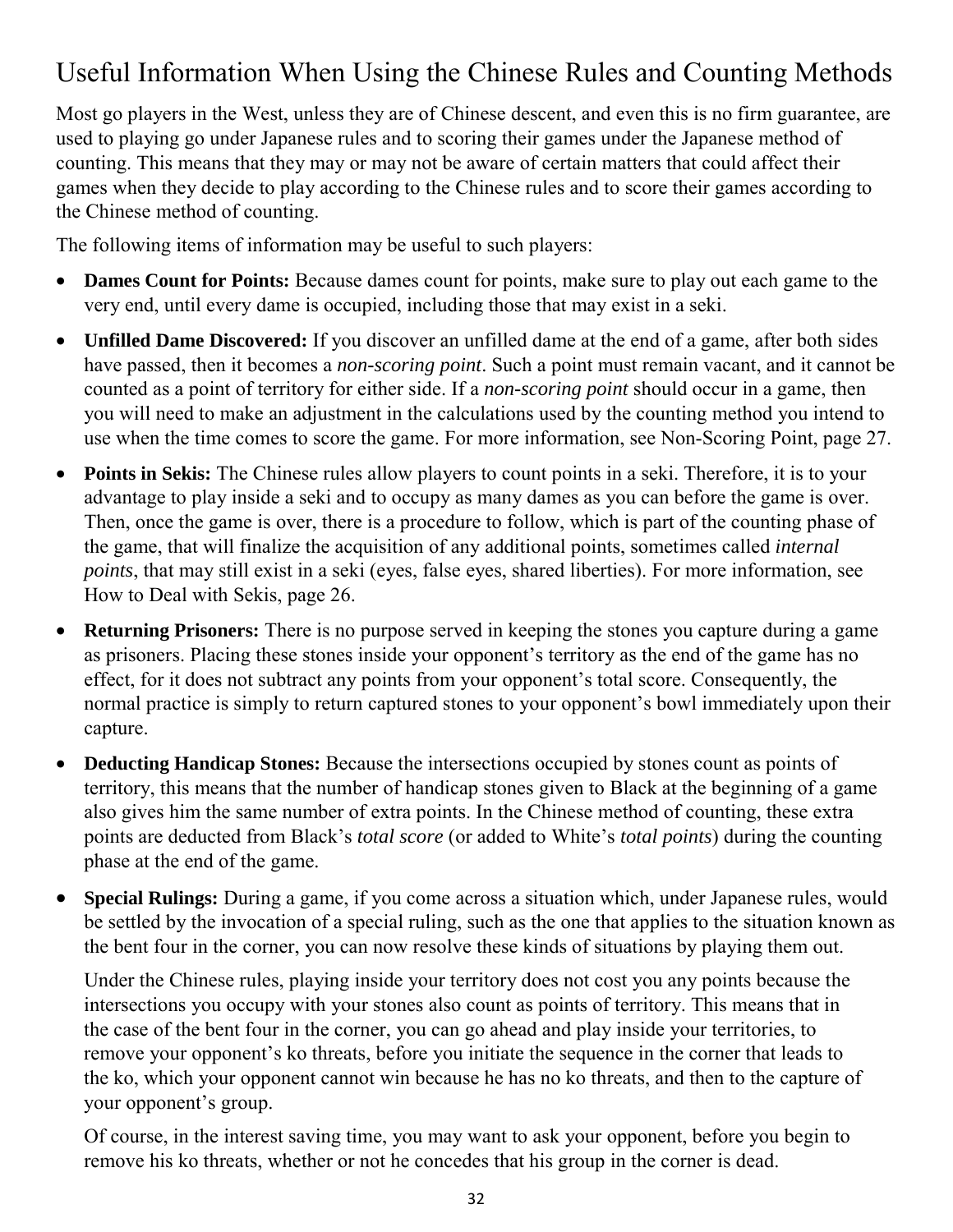# <span id="page-31-0"></span>Useful Information When Using the Chinese Rules and Counting Methods

Most go players in the West, unless they are of Chinese descent, and even this is no firm guarantee, are used to playing go under Japanese rules and to scoring their games under the Japanese method of counting. This means that they may or may not be aware of certain matters that could affect their games when they decide to play according to the Chinese rules and to score their games according to the Chinese method of counting.

The following items of information may be useful to such players:

- **Dames Count for Points:** Because dames count for points, make sure to play out each game to the very end, until every dame is occupied, including those that may exist in a seki.
- **Unfilled Dame Discovered:** If you discover an unfilled dame at the end of a game, after both sides have passed, then it becomes a *non-scoring point*. Such a point must remain vacant, and it cannot be counted as a point of territory for either side. If a *non-scoring point* should occur in a game, then you will need to make an adjustment in the calculations used by the counting method you intend to use when the time comes to score the game. For more information, see [Non-Scoring Point, page 27.](#page-26-1)
- **Points in Sekis:** The Chinese rules allow players to count points in a seki. Therefore, it is to your advantage to play inside a seki and to occupy as many dames as you can before the game is over. Then, once the game is over, there is a procedure to follow, which is part of the counting phase of the game, that will finalize the acquisition of any additional points, sometimes called *internal points*, that may still exist in a seki (eyes, false eyes, shared liberties). For more information, see [How to Deal with Sekis, page 26.](#page-25-3)
- **Returning Prisoners:** There is no purpose served in keeping the stones you capture during a game as prisoners. Placing these stones inside your opponent's territory as the end of the game has no effect, for it does not subtract any points from your opponent's total score. Consequently, the normal practice is simply to return captured stones to your opponent's bowl immediately upon their capture.
- **Deducting Handicap Stones:** Because the intersections occupied by stones count as points of territory, this means that the number of handicap stones given to Black at the beginning of a game also gives him the same number of extra points. In the Chinese method of counting, these extra points are deducted from Black's *total score* (or added to White's *total points*) during the counting phase at the end of the game.
- **Special Rulings:** During a game, if you come across a situation which, under Japanese rules, would be settled by the invocation of a special ruling, such as the one that applies to the situation known as the bent four in the corner, you can now resolve these kinds of situations by playing them out.

Under the Chinese rules, playing inside your territory does not cost you any points because the intersections you occupy with your stones also count as points of territory. This means that in the case of the bent four in the corner, you can go ahead and play inside your territories, to remove your opponent's ko threats, before you initiate the sequence in the corner that leads to the ko, which your opponent cannot win because he has no ko threats, and then to the capture of your opponent's group.

Of course, in the interest saving time, you may want to ask your opponent, before you begin to remove his ko threats, whether or not he concedes that his group in the corner is dead.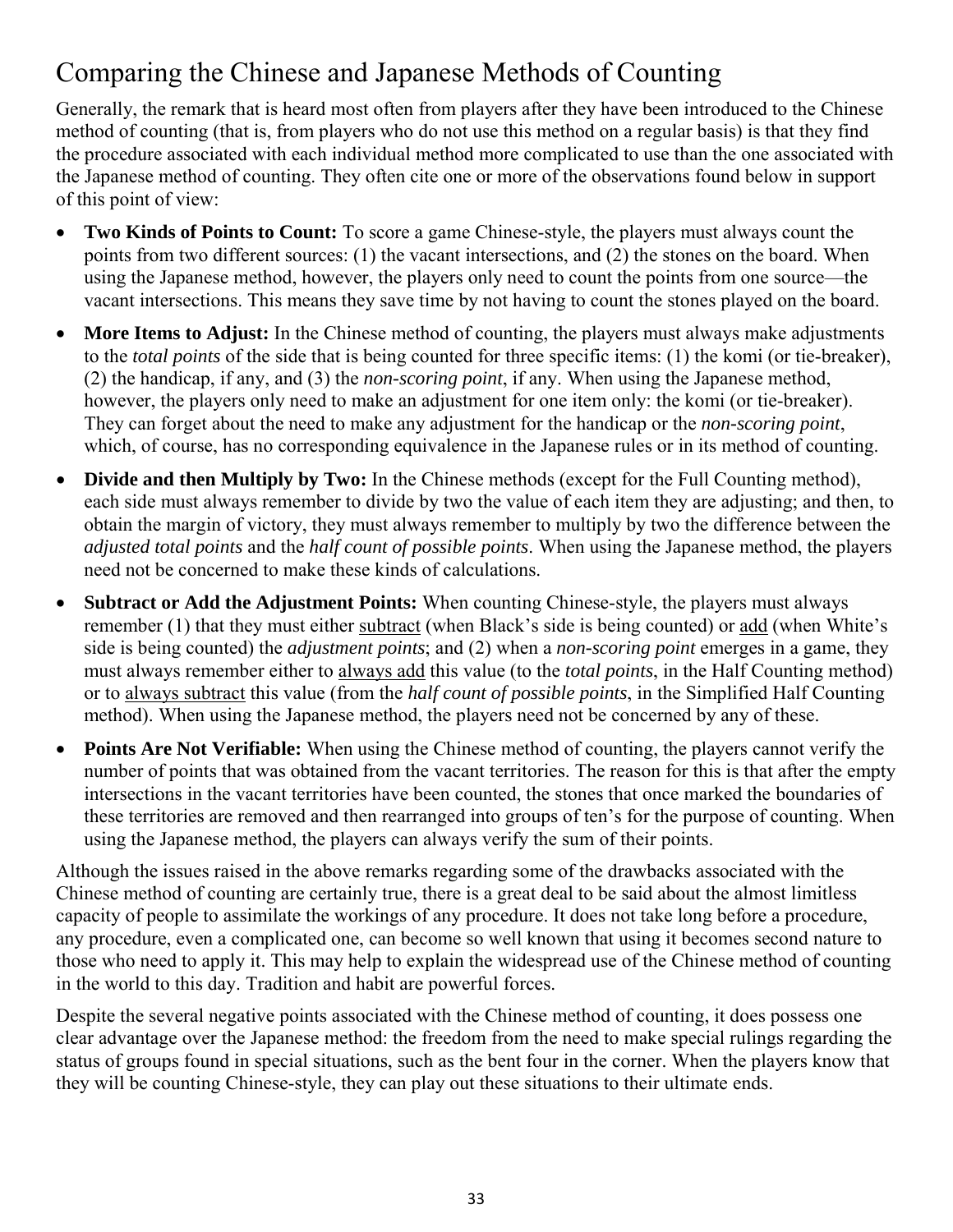# <span id="page-32-0"></span>Comparing the Chinese and Japanese Methods of Counting

Generally, the remark that is heard most often from players after they have been introduced to the Chinese method of counting (that is, from players who do not use this method on a regular basis) is that they find the procedure associated with each individual method more complicated to use than the one associated with the Japanese method of counting. They often cite one or more of the observations found below in support of this point of view:

- **Two Kinds of Points to Count:** To score a game Chinese-style, the players must always count the points from two different sources: (1) the vacant intersections, and (2) the stones on the board. When using the Japanese method, however, the players only need to count the points from one source—the vacant intersections. This means they save time by not having to count the stones played on the board.
- More Items to Adjust: In the Chinese method of counting, the players must always make adjustments to the *total points* of the side that is being counted for three specific items: (1) the komi (or tie-breaker), (2) the handicap, if any, and (3) the *non-scoring point*, if any. When using the Japanese method, however, the players only need to make an adjustment for one item only: the komi (or tie-breaker). They can forget about the need to make any adjustment for the handicap or the *non-scoring point*, which, of course, has no corresponding equivalence in the Japanese rules or in its method of counting.
- **Divide and then Multiply by Two:** In the Chinese methods (except for the Full Counting method), each side must always remember to divide by two the value of each item they are adjusting; and then, to obtain the margin of victory, they must always remember to multiply by two the difference between the *adjusted total points* and the *half count of possible points*. When using the Japanese method, the players need not be concerned to make these kinds of calculations.
- **Subtract or Add the Adjustment Points:** When counting Chinese-style, the players must always remember (1) that they must either subtract (when Black's side is being counted) or add (when White's side is being counted) the *adjustment points*; and (2) when a *non-scoring point* emerges in a game, they must always remember either to always add this value (to the *total points*, in the Half Counting method) or to always subtract this value (from the *half count of possible points*, in the Simplified Half Counting method). When using the Japanese method, the players need not be concerned by any of these.
- **Points Are Not Verifiable:** When using the Chinese method of counting, the players cannot verify the number of points that was obtained from the vacant territories. The reason for this is that after the empty intersections in the vacant territories have been counted, the stones that once marked the boundaries of these territories are removed and then rearranged into groups of ten's for the purpose of counting. When using the Japanese method, the players can always verify the sum of their points.

Although the issues raised in the above remarks regarding some of the drawbacks associated with the Chinese method of counting are certainly true, there is a great deal to be said about the almost limitless capacity of people to assimilate the workings of any procedure. It does not take long before a procedure, any procedure, even a complicated one, can become so well known that using it becomes second nature to those who need to apply it. This may help to explain the widespread use of the Chinese method of counting in the world to this day. Tradition and habit are powerful forces.

Despite the several negative points associated with the Chinese method of counting, it does possess one clear advantage over the Japanese method: the freedom from the need to make special rulings regarding the status of groups found in special situations, such as the bent four in the corner. When the players know that they will be counting Chinese-style, they can play out these situations to their ultimate ends.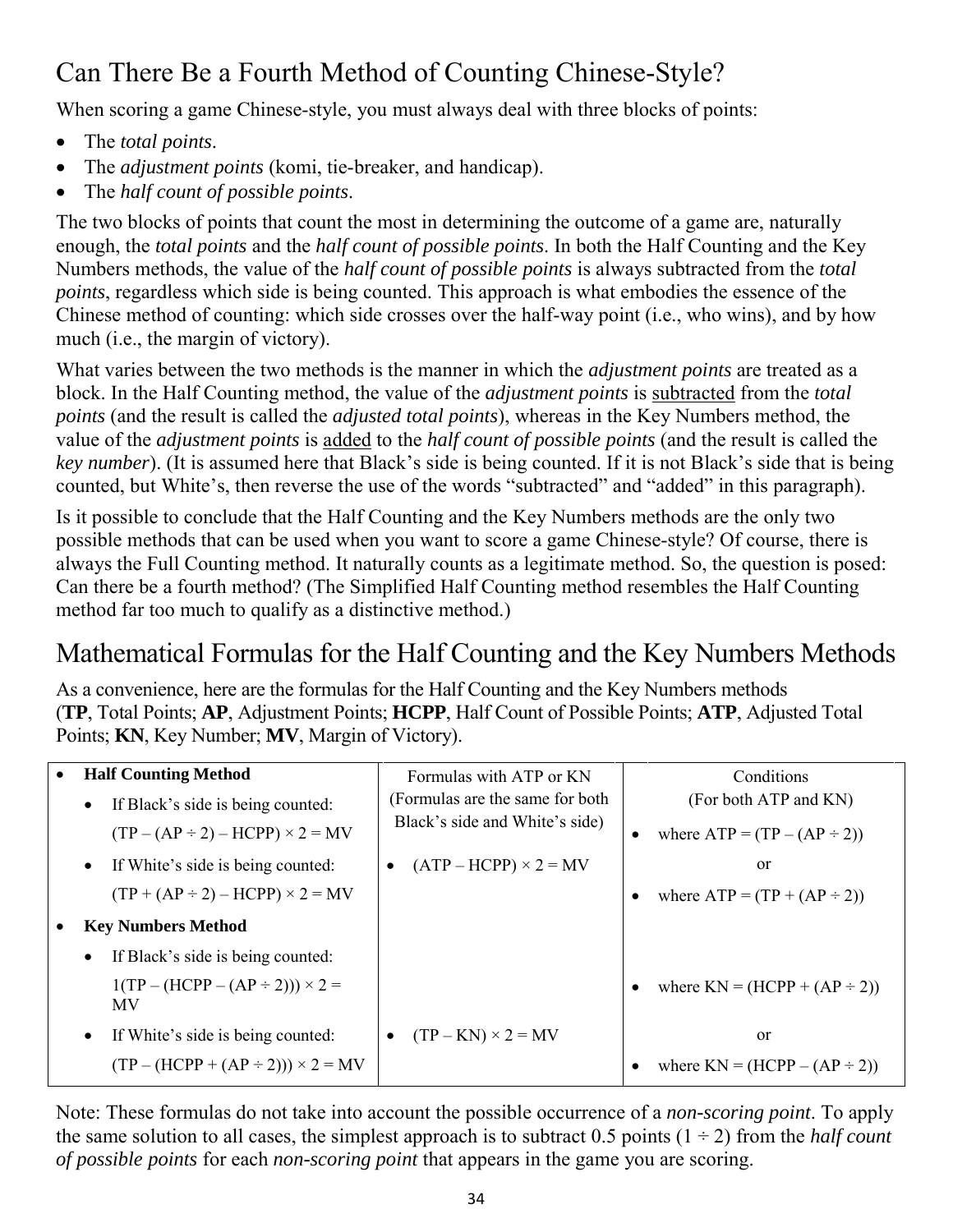# Can There Be a Fourth Method of Counting Chinese-Style?

When scoring a game Chinese-style, you must always deal with three blocks of points:

- The *total points*.
- The *adjustment points* (komi, tie-breaker, and handicap).
- The *half count of possible points*.

The two blocks of points that count the most in determining the outcome of a game are, naturally enough, the *total points* and the *half count of possible points*. In both the Half Counting and the Key Numbers methods, the value of the *half count of possible points* is always subtracted from the *total points*, regardless which side is being counted. This approach is what embodies the essence of the Chinese method of counting: which side crosses over the half-way point (i.e., who wins), and by how much (i.e., the margin of victory).

What varies between the two methods is the manner in which the *adjustment points* are treated as a block. In the Half Counting method, the value of the *adjustment points* is subtracted from the *total points* (and the result is called the *adjusted total points*), whereas in the Key Numbers method, the value of the *adjustment points* is added to the *half count of possible points* (and the result is called the *key number*). (It is assumed here that Black's side is being counted. If it is not Black's side that is being counted, but White's, then reverse the use of the words "subtracted" and "added" in this paragraph).

Is it possible to conclude that the Half Counting and the Key Numbers methods are the only two possible methods that can be used when you want to score a game Chinese-style? Of course, there is always the Full Counting method. It naturally counts as a legitimate method. So, the question is posed: Can there be a fourth method? (The Simplified Half Counting method resembles the Half Counting method far too much to qualify as a distinctive method.)

### <span id="page-33-0"></span>Mathematical Formulas for the Half Counting and the Key Numbers Methods

As a convenience, here are the formulas for the Half Counting and the Key Numbers methods (**TP**, Total Points; **AP**, Adjustment Points; **HCPP**, Half Count of Possible Points; **ATP**, Adjusted Total Points; **KN**, Key Number; **MV**, Margin of Victory).

|           | <b>Half Counting Method</b>                     | Formulas with ATP or KN                   | Conditions                        |
|-----------|-------------------------------------------------|-------------------------------------------|-----------------------------------|
|           | If Black's side is being counted:<br>$\bullet$  | (Formulas are the same for both)          | (For both ATP and KN)             |
|           | $(TP - (AP \div 2) - HCPP) \times 2 = MV$       | Black's side and White's side)            | where $ATP = (TP - (AP \div 2))$  |
|           | If White's side is being counted:<br>$\bullet$  | $(ATP - HCPP) \times 2 = MV$<br>$\bullet$ | or                                |
|           | $(TP + (AP \div 2) - HCPP) \times 2 = MV$       |                                           | where $ATP = (TP + (AP \div 2))$  |
| $\bullet$ | <b>Key Numbers Method</b>                       |                                           |                                   |
|           | If Black's side is being counted:               |                                           |                                   |
|           | $1(TP - (HCPP - (AP \div 2))) \times 2 =$<br>MV |                                           | where $KN = (HCPP + (AP \div 2))$ |
|           | If White's side is being counted:               | $(TP - KN) \times 2 = MV$<br>$\bullet$    | or                                |
|           | $(TP - (HCPP + (AP \div 2))) \times 2 = MV$     |                                           | where $KN = (HCPP - (AP \div 2))$ |

Note: These formulas do not take into account the possible occurrence of a *non-scoring point*. To apply the same solution to all cases, the simplest approach is to subtract  $0.5$  points  $(1 \div 2)$  from the *half count of possible points* for each *non-scoring point* that appears in the game you are scoring.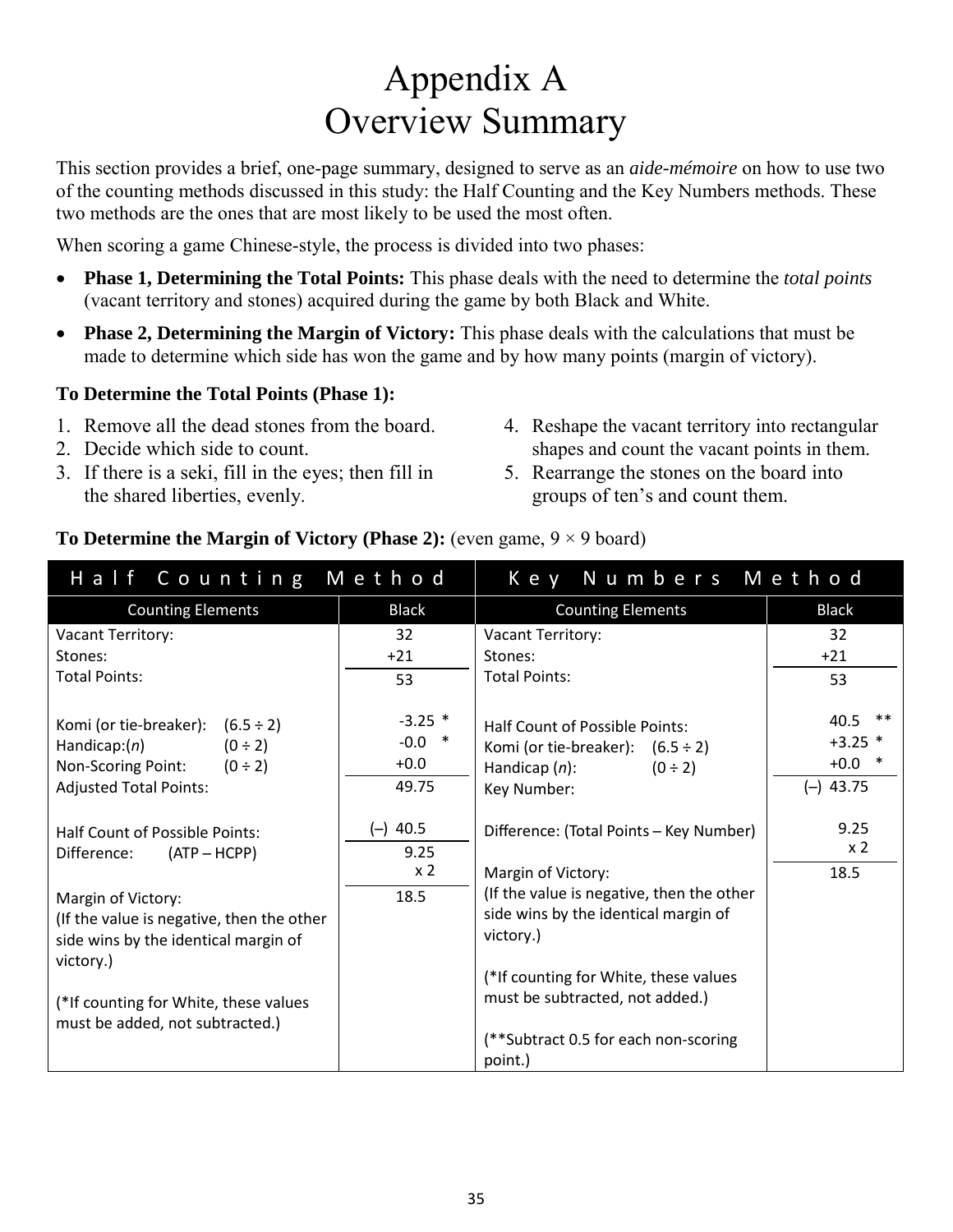# Appendix A Overview Summary

<span id="page-34-0"></span>This section provides a brief, one-page summary, designed to serve as an *aide-mémoire* on how to use two of the counting methods discussed in this study: the Half Counting and the Key Numbers methods. These two methods are the ones that are most likely to be used the most often.

When scoring a game Chinese-style, the process is divided into two phases:

- **Phase 1, Determining the Total Points:** This phase deals with the need to determine the *total points* (vacant territory and stones) acquired during the game by both Black and White.
- **Phase 2, Determining the Margin of Victory:** This phase deals with the calculations that must be made to determine which side has won the game and by how many points (margin of victory).

#### **To Determine the Total Points (Phase 1):**

- 1. Remove all the dead stones from the board.
- 2. Decide which side to count.
- 3. If there is a seki, fill in the eyes; then fill in the shared liberties, evenly.
- 4. Reshape the vacant territory into rectangular shapes and count the vacant points in them.
- 5. Rearrange the stones on the board into groups of ten's and count them.

#### **To Determine the Margin of Victory (Phase 2): (even game,**  $9 \times 9$  **board)**

| Half Counting Method                                                                                                                            |                                          | Key Numbers Method                                                                                                         |                                                          |
|-------------------------------------------------------------------------------------------------------------------------------------------------|------------------------------------------|----------------------------------------------------------------------------------------------------------------------------|----------------------------------------------------------|
| <b>Counting Elements</b>                                                                                                                        | <b>Black</b>                             | <b>Counting Elements</b>                                                                                                   | <b>Black</b>                                             |
| Vacant Territory:                                                                                                                               | 32                                       | Vacant Territory:                                                                                                          | 32                                                       |
| Stones:                                                                                                                                         | $+21$                                    | Stones:                                                                                                                    | $+21$                                                    |
| <b>Total Points:</b>                                                                                                                            | 53                                       | <b>Total Points:</b>                                                                                                       | 53                                                       |
| Komi (or tie-breaker): $(6.5 \div 2)$<br>$(0 \div 2)$<br>Handicap: $(n)$<br>Non-Scoring Point:<br>$(0 \div 2)$<br><b>Adjusted Total Points:</b> | $-3.25$ *<br>$-0.0$ *<br>$+0.0$<br>49.75 | Half Count of Possible Points:<br>Komi (or tie-breaker): $(6.5 \div 2)$<br>Handicap $(n)$ :<br>$(0 \div 2)$<br>Key Number: | $***$<br>40.5<br>$+3.25$ *<br>$+0.0$ *<br>43.75<br>$(-)$ |
| Half Count of Possible Points:                                                                                                                  | $(-)$ 40.5                               | Difference: (Total Points - Key Number)                                                                                    | 9.25                                                     |
| Difference:<br>$(ATP - HCPP)$                                                                                                                   | 9.25                                     |                                                                                                                            | x <sub>2</sub>                                           |
|                                                                                                                                                 | x <sub>2</sub>                           | Margin of Victory:                                                                                                         | 18.5                                                     |
| Margin of Victory:                                                                                                                              | 18.5                                     | (If the value is negative, then the other                                                                                  |                                                          |
| (If the value is negative, then the other                                                                                                       |                                          | side wins by the identical margin of                                                                                       |                                                          |
| side wins by the identical margin of<br>victory.)                                                                                               |                                          | victory.)                                                                                                                  |                                                          |
|                                                                                                                                                 |                                          | (*If counting for White, these values                                                                                      |                                                          |
| (*If counting for White, these values<br>must be added, not subtracted.)                                                                        |                                          | must be subtracted, not added.)                                                                                            |                                                          |
|                                                                                                                                                 |                                          | (**Subtract 0.5 for each non-scoring                                                                                       |                                                          |
|                                                                                                                                                 |                                          | point.)                                                                                                                    |                                                          |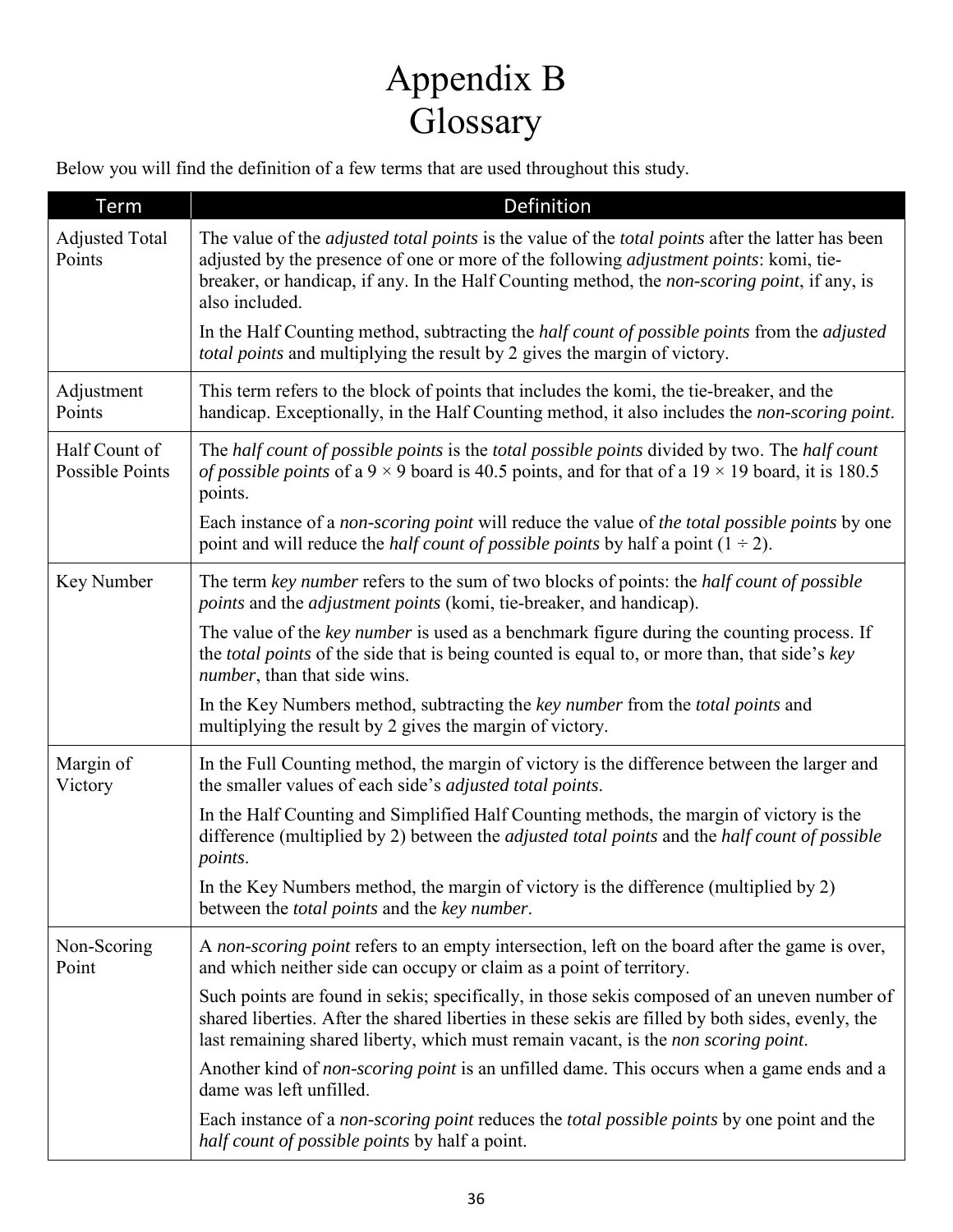# Appendix B Glossary

<span id="page-35-1"></span><span id="page-35-0"></span>Below you will find the definition of a few terms that are used throughout this study.

| Term                                    | <b>Definition</b>                                                                                                                                                                                                                                                                                                           |
|-----------------------------------------|-----------------------------------------------------------------------------------------------------------------------------------------------------------------------------------------------------------------------------------------------------------------------------------------------------------------------------|
| <b>Adjusted Total</b><br>Points         | The value of the <i>adjusted total points</i> is the value of the <i>total points</i> after the latter has been<br>adjusted by the presence of one or more of the following adjustment points: komi, tie-<br>breaker, or handicap, if any. In the Half Counting method, the non-scoring point, if any, is<br>also included. |
|                                         | In the Half Counting method, subtracting the <i>half count of possible points</i> from the <i>adjusted</i><br>total points and multiplying the result by 2 gives the margin of victory.                                                                                                                                     |
| Adjustment<br>Points                    | This term refers to the block of points that includes the komi, the tie-breaker, and the<br>handicap. Exceptionally, in the Half Counting method, it also includes the non-scoring point.                                                                                                                                   |
| Half Count of<br><b>Possible Points</b> | The half count of possible points is the total possible points divided by two. The half count<br><i>of possible points</i> of a 9 $\times$ 9 board is 40.5 points, and for that of a 19 $\times$ 19 board, it is 180.5<br>points.                                                                                           |
|                                         | Each instance of a non-scoring point will reduce the value of the total possible points by one<br>point and will reduce the <i>half count of possible points</i> by half a point $(1 \div 2)$ .                                                                                                                             |
| Key Number                              | The term key number refers to the sum of two blocks of points: the half count of possible<br><i>points</i> and the <i>adjustment points</i> (komi, tie-breaker, and handicap).                                                                                                                                              |
|                                         | The value of the key number is used as a benchmark figure during the counting process. If<br>the <i>total points</i> of the side that is being counted is equal to, or more than, that side's key<br><i>number</i> , than that side wins.                                                                                   |
|                                         | In the Key Numbers method, subtracting the key number from the total points and<br>multiplying the result by 2 gives the margin of victory.                                                                                                                                                                                 |
| Margin of<br>Victory                    | In the Full Counting method, the margin of victory is the difference between the larger and<br>the smaller values of each side's <i>adjusted total points</i> .                                                                                                                                                             |
|                                         | In the Half Counting and Simplified Half Counting methods, the margin of victory is the<br>difference (multiplied by 2) between the <i>adjusted total points</i> and the <i>half count of possible</i><br>points.                                                                                                           |
|                                         | In the Key Numbers method, the margin of victory is the difference (multiplied by 2)<br>between the <i>total points</i> and the <i>key number</i> .                                                                                                                                                                         |
| Non-Scoring<br>Point                    | A non-scoring point refers to an empty intersection, left on the board after the game is over,<br>and which neither side can occupy or claim as a point of territory.                                                                                                                                                       |
|                                         | Such points are found in sekis; specifically, in those sekis composed of an uneven number of<br>shared liberties. After the shared liberties in these sekis are filled by both sides, evenly, the<br>last remaining shared liberty, which must remain vacant, is the non scoring point.                                     |
|                                         | Another kind of <i>non-scoring point</i> is an unfilled dame. This occurs when a game ends and a<br>dame was left unfilled.                                                                                                                                                                                                 |
|                                         | Each instance of a non-scoring point reduces the total possible points by one point and the<br>half count of possible points by half a point.                                                                                                                                                                               |